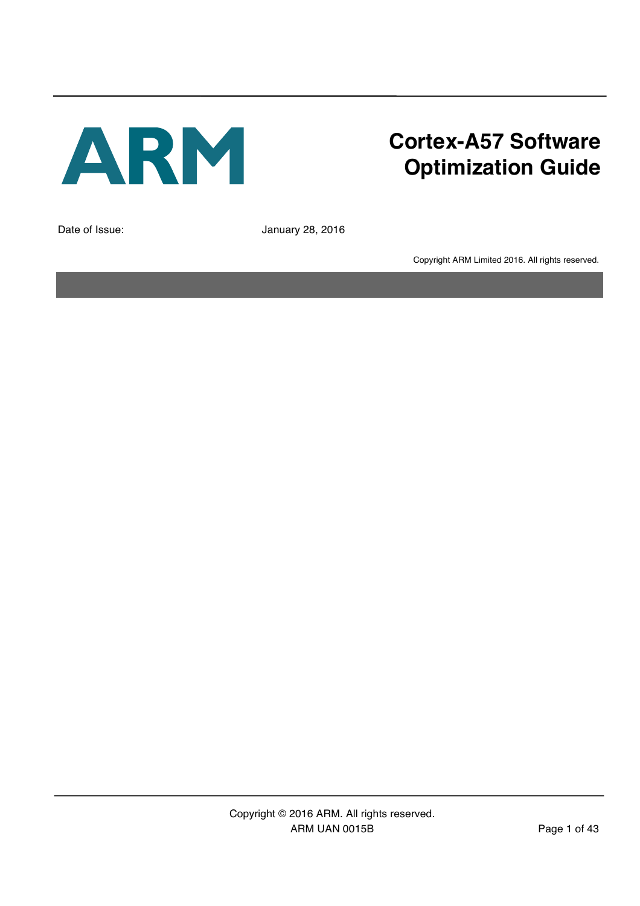

# **Cortex-A57 Software Optimization Guide**

Date of Issue: January 28, 2016

Copyright ARM Limited 2016. All rights reserved.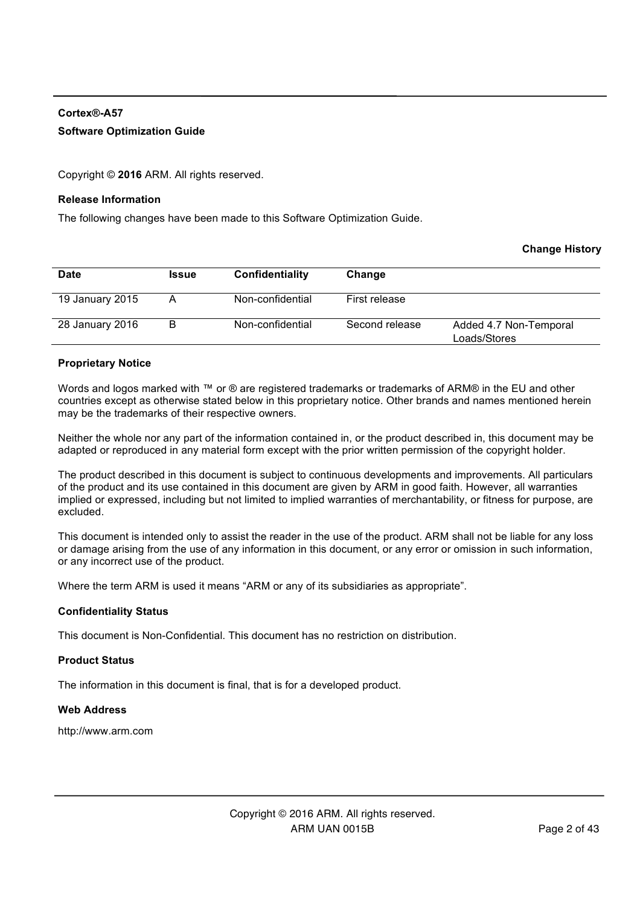#### **Cortex®-A57 Software Optimization Guide**

Copyright © **2016** ARM. All rights reserved.

#### **Release Information**

The following changes have been made to this Software Optimization Guide.

#### **Change History**

| <b>Date</b>     | <b>Issue</b> | Confidentiality  | Change         |                                        |
|-----------------|--------------|------------------|----------------|----------------------------------------|
|                 |              |                  |                |                                        |
| 19 January 2015 |              | Non-confidential | First release  |                                        |
| 28 January 2016 | B            | Non-confidential | Second release | Added 4.7 Non-Temporal<br>Loads/Stores |

#### **Proprietary Notice**

Words and logos marked with ™ or ® are registered trademarks or trademarks of ARM® in the EU and other countries except as otherwise stated below in this proprietary notice. Other brands and names mentioned herein may be the trademarks of their respective owners.

Neither the whole nor any part of the information contained in, or the product described in, this document may be adapted or reproduced in any material form except with the prior written permission of the copyright holder.

The product described in this document is subject to continuous developments and improvements. All particulars of the product and its use contained in this document are given by ARM in good faith. However, all warranties implied or expressed, including but not limited to implied warranties of merchantability, or fitness for purpose, are excluded.

This document is intended only to assist the reader in the use of the product. ARM shall not be liable for any loss or damage arising from the use of any information in this document, or any error or omission in such information, or any incorrect use of the product.

Where the term ARM is used it means "ARM or any of its subsidiaries as appropriate".

#### **Confidentiality Status**

This document is Non-Confidential. This document has no restriction on distribution.

#### **Product Status**

The information in this document is final, that is for a developed product.

#### **Web Address**

http://www.arm.com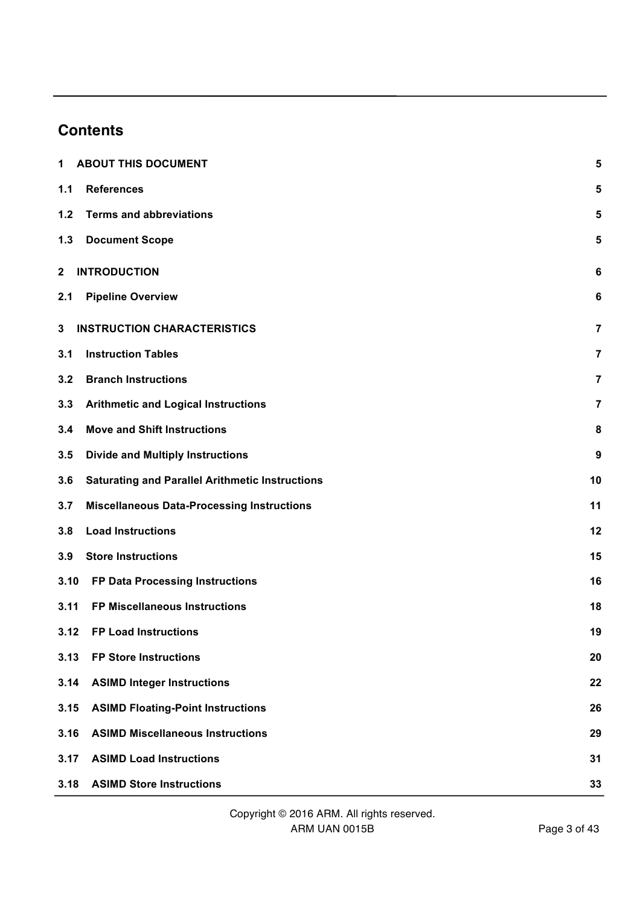# **Contents**

| 1            | <b>ABOUT THIS DOCUMENT</b>                             | 5  |
|--------------|--------------------------------------------------------|----|
| 1.1          | <b>References</b>                                      | 5  |
| 1.2          | <b>Terms and abbreviations</b>                         | 5  |
| $1.3$        | <b>Document Scope</b>                                  | 5  |
| $\mathbf{2}$ | <b>INTRODUCTION</b>                                    | 6  |
| 2.1          | <b>Pipeline Overview</b>                               | 6  |
| 3            | <b>INSTRUCTION CHARACTERISTICS</b>                     | 7  |
| 3.1          | <b>Instruction Tables</b>                              | 7  |
| 3.2          | <b>Branch Instructions</b>                             | 7  |
| 3.3          | <b>Arithmetic and Logical Instructions</b>             | 7  |
| 3.4          | <b>Move and Shift Instructions</b>                     | 8  |
| 3.5          | <b>Divide and Multiply Instructions</b>                | 9  |
| 3.6          | <b>Saturating and Parallel Arithmetic Instructions</b> | 10 |
| 3.7          | <b>Miscellaneous Data-Processing Instructions</b>      | 11 |
| 3.8          | <b>Load Instructions</b>                               | 12 |
| 3.9          | <b>Store Instructions</b>                              | 15 |
| 3.10         | FP Data Processing Instructions                        | 16 |
| 3.11         | FP Miscellaneous Instructions                          | 18 |
| 3.12         | <b>FP Load Instructions</b>                            | 19 |
| 3.13         | <b>FP Store Instructions</b>                           | 20 |
| 3.14         | <b>ASIMD Integer Instructions</b>                      | 22 |
| 3.15         | <b>ASIMD Floating-Point Instructions</b>               | 26 |
| 3.16         | <b>ASIMD Miscellaneous Instructions</b>                | 29 |
| 3.17         | <b>ASIMD Load Instructions</b>                         | 31 |
| 3.18         | <b>ASIMD Store Instructions</b>                        | 33 |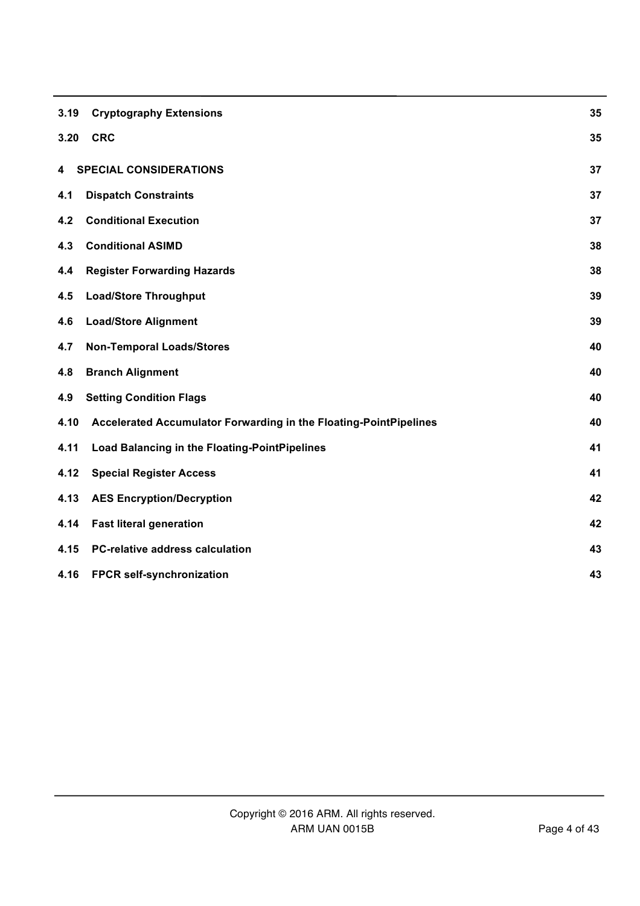| 3.19 | <b>Cryptography Extensions</b>                                    | 35 |
|------|-------------------------------------------------------------------|----|
| 3.20 | <b>CRC</b>                                                        | 35 |
| 4    | <b>SPECIAL CONSIDERATIONS</b>                                     | 37 |
| 4.1  | <b>Dispatch Constraints</b>                                       | 37 |
| 4.2  | <b>Conditional Execution</b>                                      | 37 |
| 4.3  | <b>Conditional ASIMD</b>                                          | 38 |
| 4.4  | <b>Register Forwarding Hazards</b>                                | 38 |
| 4.5  | <b>Load/Store Throughput</b>                                      | 39 |
| 4.6  | <b>Load/Store Alignment</b>                                       | 39 |
| 4.7  | <b>Non-Temporal Loads/Stores</b>                                  | 40 |
| 4.8  | <b>Branch Alignment</b>                                           | 40 |
| 4.9  | <b>Setting Condition Flags</b>                                    | 40 |
| 4.10 | Accelerated Accumulator Forwarding in the Floating-PointPipelines | 40 |
| 4.11 | <b>Load Balancing in the Floating-PointPipelines</b>              | 41 |
| 4.12 | <b>Special Register Access</b>                                    | 41 |
| 4.13 | <b>AES Encryption/Decryption</b>                                  | 42 |
| 4.14 | <b>Fast literal generation</b>                                    | 42 |
| 4.15 | <b>PC-relative address calculation</b>                            | 43 |
| 4.16 | FPCR self-synchronization                                         | 43 |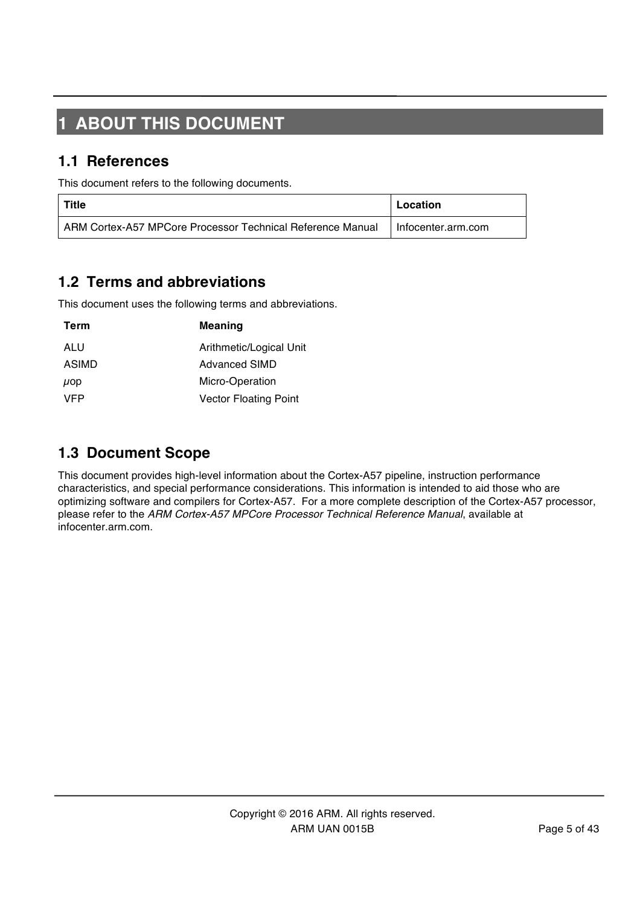# **1 ABOUT THIS DOCUMENT**

#### **1.1 References**

This document refers to the following documents.

| Title                                                      | Location             |
|------------------------------------------------------------|----------------------|
| ARM Cortex-A57 MPCore Processor Technical Reference Manual | I Infocenter.arm.com |

### **1.2 Terms and abbreviations**

This document uses the following terms and abbreviations.

| Term     | <b>Meaning</b>               |
|----------|------------------------------|
| ALU      | Arithmetic/Logical Unit      |
| ASIMD    | <b>Advanced SIMD</b>         |
| $\mu$ op | Micro-Operation              |
| VFP      | <b>Vector Floating Point</b> |

#### **1.3 Document Scope**

This document provides high-level information about the Cortex-A57 pipeline, instruction performance characteristics, and special performance considerations. This information is intended to aid those who are optimizing software and compilers for Cortex-A57. For a more complete description of the Cortex-A57 processor, please refer to the *ARM Cortex-A57 MPCore Processor Technical Reference Manual*, available at infocenter.arm.com.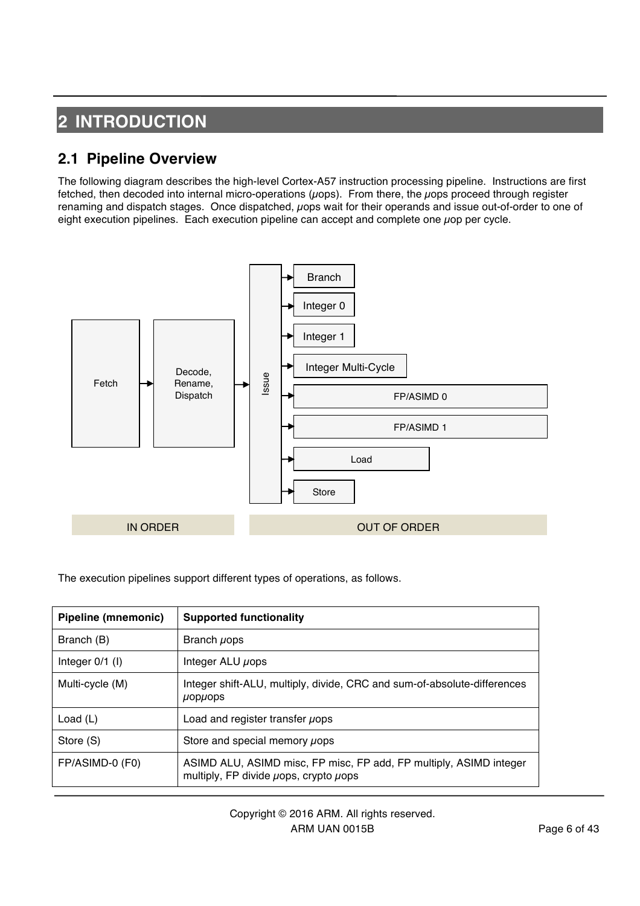# **2 INTRODUCTION**

## **2.1 Pipeline Overview**

The following diagram describes the high-level Cortex-A57 instruction processing pipeline. Instructions are first fetched, then decoded into internal micro-operations ( $\mu$ ops). From there, the  $\mu$ ops proceed through register renaming and dispatch stages. Once dispatched, uops wait for their operands and issue out-of-order to one of eight execution pipelines. Each execution pipeline can accept and complete one  $\mu$ op per cycle.



The execution pipelines support different types of operations, as follows.

| Pipeline (mnemonic) | <b>Supported functionality</b>                                                                                        |
|---------------------|-----------------------------------------------------------------------------------------------------------------------|
| Branch (B)          | Branch <i>u</i> ops                                                                                                   |
| Integer $0/1$ (I)   | Integer ALU µops                                                                                                      |
| Multi-cycle (M)     | Integer shift-ALU, multiply, divide, CRC and sum-of-absolute-differences<br>$\mu$ op $\mu$ ops                        |
| Load $(L)$          | Load and register transfer uops                                                                                       |
| Store (S)           | Store and special memory uops                                                                                         |
| FP/ASIMD-0 (F0)     | ASIMD ALU, ASIMD misc, FP misc, FP add, FP multiply, ASIMD integer<br>multiply, FP divide $\mu$ ops, crypto $\mu$ ops |

Copyright © 2016 ARM. All rights reserved. ARM UAN 0015B Page 6 of 43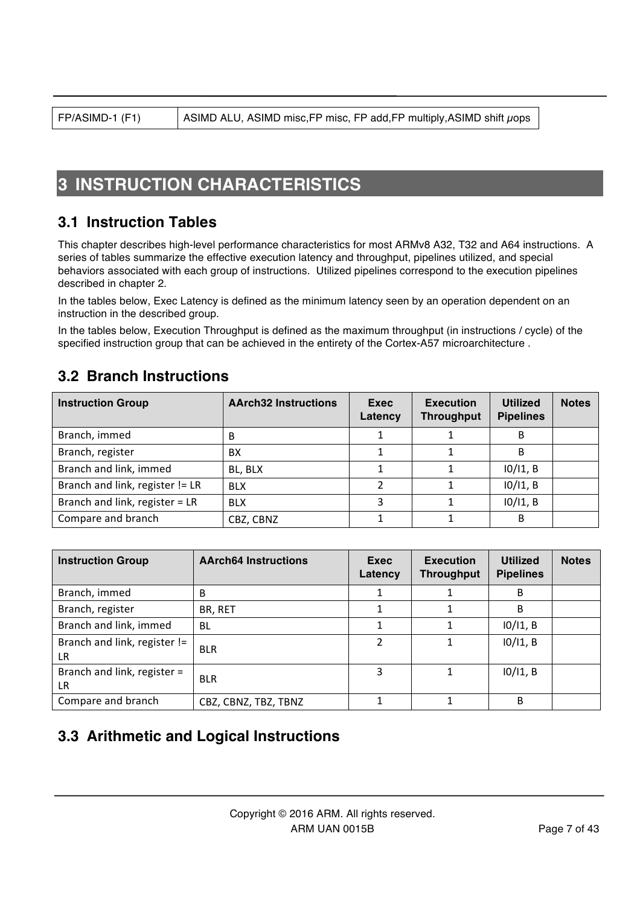# **3 INSTRUCTION CHARACTERISTICS**

#### **3.1 Instruction Tables**

This chapter describes high-level performance characteristics for most ARMv8 A32, T32 and A64 instructions. A series of tables summarize the effective execution latency and throughput, pipelines utilized, and special behaviors associated with each group of instructions. Utilized pipelines correspond to the execution pipelines described in chapter 2.

In the tables below, Exec Latency is defined as the minimum latency seen by an operation dependent on an instruction in the described group.

In the tables below, Execution Throughput is defined as the maximum throughput (in instructions / cycle) of the specified instruction group that can be achieved in the entirety of the Cortex-A57 microarchitecture .

#### **3.2 Branch Instructions**

| <b>Instruction Group</b>        | <b>AArch32 Instructions</b> | Exec<br>Latency | <b>Execution</b><br><b>Throughput</b> | <b>Utilized</b><br><b>Pipelines</b> | <b>Notes</b> |
|---------------------------------|-----------------------------|-----------------|---------------------------------------|-------------------------------------|--------------|
| Branch, immed                   | B                           |                 |                                       | B                                   |              |
| Branch, register                | BX                          |                 |                                       | B                                   |              |
| Branch and link, immed          | BL, BLX                     |                 |                                       | $10/11$ , B                         |              |
| Branch and link, register != LR | <b>BLX</b>                  |                 |                                       | $10/11$ , B                         |              |
| Branch and link, register = LR  | <b>BLX</b>                  | ς               |                                       | $10/11$ , B                         |              |
| Compare and branch              | CBZ, CBNZ                   |                 |                                       | B                                   |              |

| <b>Instruction Group</b>                  | <b>AArch64 Instructions</b> | Exec<br>Latency | <b>Execution</b><br><b>Throughput</b> | <b>Utilized</b><br><b>Pipelines</b> | <b>Notes</b> |
|-------------------------------------------|-----------------------------|-----------------|---------------------------------------|-------------------------------------|--------------|
| Branch, immed                             | B                           |                 |                                       | B                                   |              |
| Branch, register                          | BR, RET                     |                 |                                       | B                                   |              |
| Branch and link, immed                    | <b>BL</b>                   | 1               |                                       | 10/11, B                            |              |
| Branch and link, register !=<br><b>LR</b> | <b>BLR</b>                  | 2               |                                       | $10/11$ , B                         |              |
| Branch and link, register =<br><b>LR</b>  | <b>BLR</b>                  | 3               |                                       | $10/11$ , B                         |              |
| Compare and branch                        | CBZ, CBNZ, TBZ, TBNZ        |                 |                                       | B                                   |              |

### **3.3 Arithmetic and Logical Instructions**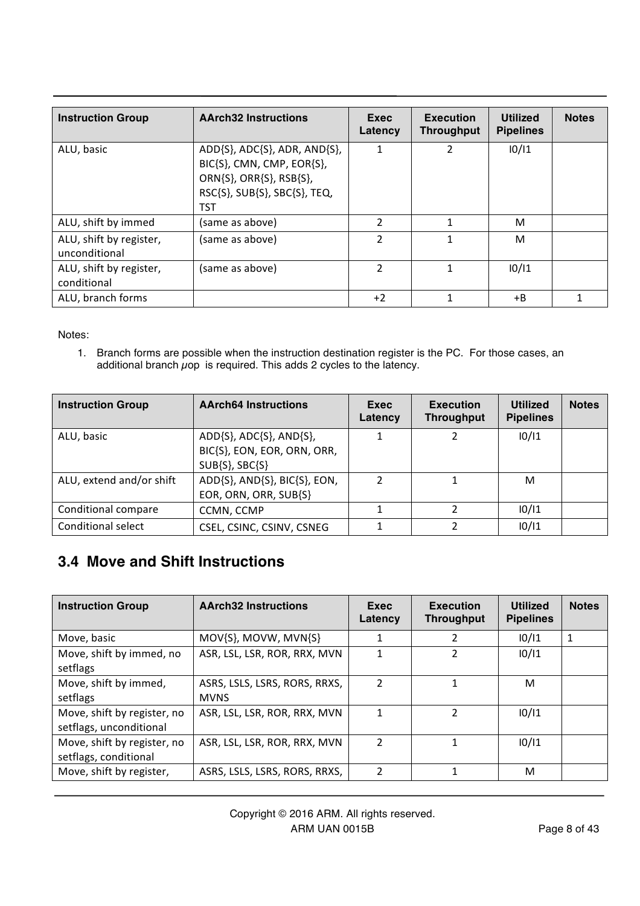| <b>Instruction Group</b>                 | <b>AArch32 Instructions</b>                                                                                                                   | Exec<br>Latency | <b>Execution</b><br><b>Throughput</b> | <b>Utilized</b><br><b>Pipelines</b> | <b>Notes</b> |
|------------------------------------------|-----------------------------------------------------------------------------------------------------------------------------------------------|-----------------|---------------------------------------|-------------------------------------|--------------|
| ALU, basic                               | $ADD\{S\}$ , $ADC\{S\}$ , $ADR$ , $AND\{S\}$ ,<br>BIC{S}, CMN, CMP, EOR{S},<br>ORN{S}, ORR{S}, RSB{S},<br>RSC{S}, SUB{S}, SBC{S}, TEQ,<br>TST | 1               | 2                                     | 10/11                               |              |
| ALU, shift by immed                      | (same as above)                                                                                                                               | $\overline{2}$  | 1                                     | м                                   |              |
| ALU, shift by register,<br>unconditional | (same as above)                                                                                                                               | $\overline{2}$  |                                       | М                                   |              |
| ALU, shift by register,<br>conditional   | (same as above)                                                                                                                               | $\overline{2}$  | 1                                     | 10/11                               |              |
| ALU, branch forms                        |                                                                                                                                               | $+2$            | 1                                     | +B                                  |              |

Notes:

1. Branch forms are possible when the instruction destination register is the PC. For those cases, an additional branch  $\mu$ op is required. This adds 2 cycles to the latency.

| <b>Instruction Group</b> | <b>AArch64 Instructions</b>                                              | Exec<br>Latency | <b>Execution</b><br><b>Throughput</b> | <b>Utilized</b><br><b>Pipelines</b> | <b>Notes</b> |
|--------------------------|--------------------------------------------------------------------------|-----------------|---------------------------------------|-------------------------------------|--------------|
| ALU, basic               | ADD{S}, ADC{S}, AND{S},<br>BIC{S}, EON, EOR, ORN, ORR,<br>SUB{S}, SBC{S} |                 | 2                                     | 10/11                               |              |
| ALU, extend and/or shift | ADD{S}, AND{S}, BIC{S}, EON,<br>EOR, ORN, ORR, SUB{S}                    | າ               |                                       | M                                   |              |
| Conditional compare      | CCMN, CCMP                                                               |                 |                                       | 10/11                               |              |
| Conditional select       | CSEL, CSINC, CSINV, CSNEG                                                |                 |                                       | 10/11                               |              |

# **3.4 Move and Shift Instructions**

| <b>Instruction Group</b>                               | <b>AArch32 Instructions</b>                  | Exec<br>Latency | <b>Execution</b><br><b>Throughput</b> | <b>Utilized</b><br><b>Pipelines</b> | <b>Notes</b> |
|--------------------------------------------------------|----------------------------------------------|-----------------|---------------------------------------|-------------------------------------|--------------|
| Move, basic                                            | MOV{S}, MOVW, MVN{S}                         |                 | 2                                     | 10/11                               | 1            |
| Move, shift by immed, no<br>setflags                   | ASR, LSL, LSR, ROR, RRX, MVN                 | 1               | 2                                     | 10/11                               |              |
| Move, shift by immed,<br>setflags                      | ASRS, LSLS, LSRS, RORS, RRXS,<br><b>MVNS</b> | $\overline{2}$  | 1                                     | м                                   |              |
| Move, shift by register, no<br>setflags, unconditional | ASR, LSL, LSR, ROR, RRX, MVN                 | 1               | 2                                     | 10/11                               |              |
| Move, shift by register, no<br>setflags, conditional   | ASR, LSL, LSR, ROR, RRX, MVN                 | $\overline{2}$  | 1                                     | 10/11                               |              |
| Move, shift by register,                               | ASRS, LSLS, LSRS, RORS, RRXS,                | 2               | 1                                     | M                                   |              |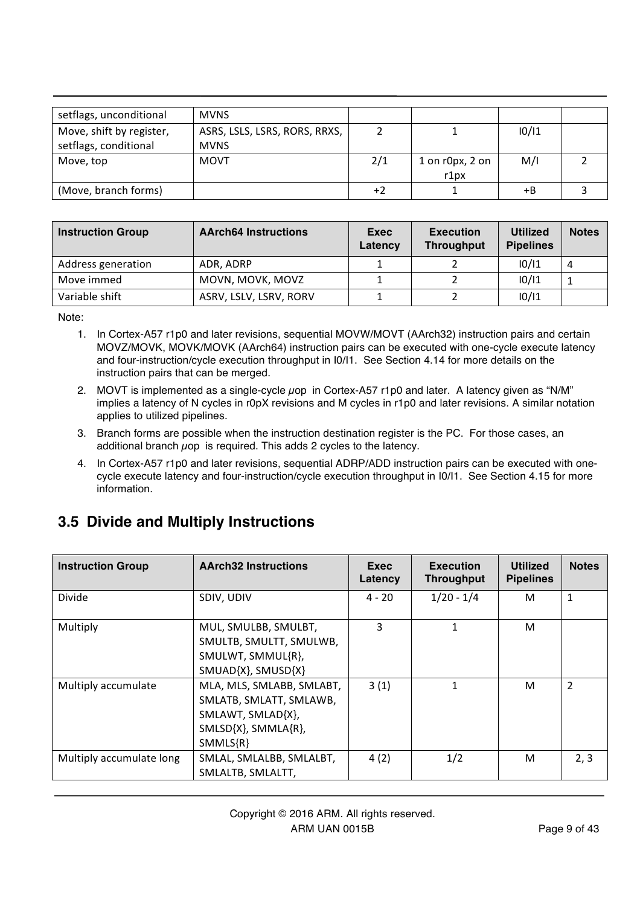| setflags, unconditional                           | <b>MVNS</b>                                  |     |                         |       |  |
|---------------------------------------------------|----------------------------------------------|-----|-------------------------|-------|--|
| Move, shift by register,<br>setflags, conditional | ASRS, LSLS, LSRS, RORS, RRXS,<br><b>MVNS</b> |     |                         | 10/11 |  |
| Move, top                                         | <b>MOVT</b>                                  | 2/1 | 1 on r0px, 2 on<br>r1px | M/I   |  |
| (Move, branch forms)                              |                                              | +2  |                         | +B    |  |

| <b>Instruction Group</b> | <b>AArch64 Instructions</b> | Exec<br>Latency | <b>Execution</b><br><b>Throughput</b> | <b>Utilized</b><br><b>Pipelines</b> | <b>Notes</b> |
|--------------------------|-----------------------------|-----------------|---------------------------------------|-------------------------------------|--------------|
| Address generation       | ADR. ADRP                   |                 |                                       | 10/11                               | 4            |
| Move immed               | MOVN, MOVK, MOVZ            |                 |                                       | 10/11                               |              |
| Variable shift           | ASRV, LSLV, LSRV, RORV      |                 |                                       | 10/11                               |              |

Note:

- 1. In Cortex-A57 r1p0 and later revisions, sequential MOVW/MOVT (AArch32) instruction pairs and certain MOVZ/MOVK, MOVK/MOVK (AArch64) instruction pairs can be executed with one-cycle execute latency and four-instruction/cycle execution throughput in I0/I1. See Section 4.14 for more details on the instruction pairs that can be merged.
- 2. MOVT is implemented as a single-cycle  $\mu$ op in Cortex-A57 r1p0 and later. A latency given as "N/M" implies a latency of N cycles in r0pX revisions and M cycles in r1p0 and later revisions. A similar notation applies to utilized pipelines.
- 3. Branch forms are possible when the instruction destination register is the PC. For those cases, an additional branch  $\mu$ op is required. This adds 2 cycles to the latency.
- 4. In Cortex-A57 r1p0 and later revisions, sequential ADRP/ADD instruction pairs can be executed with onecycle execute latency and four-instruction/cycle execution throughput in I0/I1. See Section 4.15 for more information.

# **3.5 Divide and Multiply Instructions**

| <b>Instruction Group</b> | <b>AArch32 Instructions</b>                                                                                    | Exec<br>Latency | <b>Execution</b><br><b>Throughput</b> | <b>Utilized</b><br><b>Pipelines</b> | <b>Notes</b>   |
|--------------------------|----------------------------------------------------------------------------------------------------------------|-----------------|---------------------------------------|-------------------------------------|----------------|
| Divide                   | SDIV, UDIV                                                                                                     | $4 - 20$        | $1/20 - 1/4$                          | м                                   | 1              |
| Multiply                 | MUL, SMULBB, SMULBT,<br>SMULTB, SMULTT, SMULWB,<br>SMULWT, SMMUL{R},<br>SMUAD{X}, SMUSD{X}                     | 3               | 1                                     | м                                   |                |
| Multiply accumulate      | MLA, MLS, SMLABB, SMLABT,<br>SMLATB, SMLATT, SMLAWB,<br>SMLAWT, SMLAD{X},<br>SMLSD{X}, SMMLA{R},<br>$SMMLS{R}$ | 3(1)            | 1                                     | м                                   | $\overline{2}$ |
| Multiply accumulate long | SMLAL, SMLALBB, SMLALBT,<br>SMLALTB, SMLALTT,                                                                  | 4(2)            | 1/2                                   | м                                   | 2, 3           |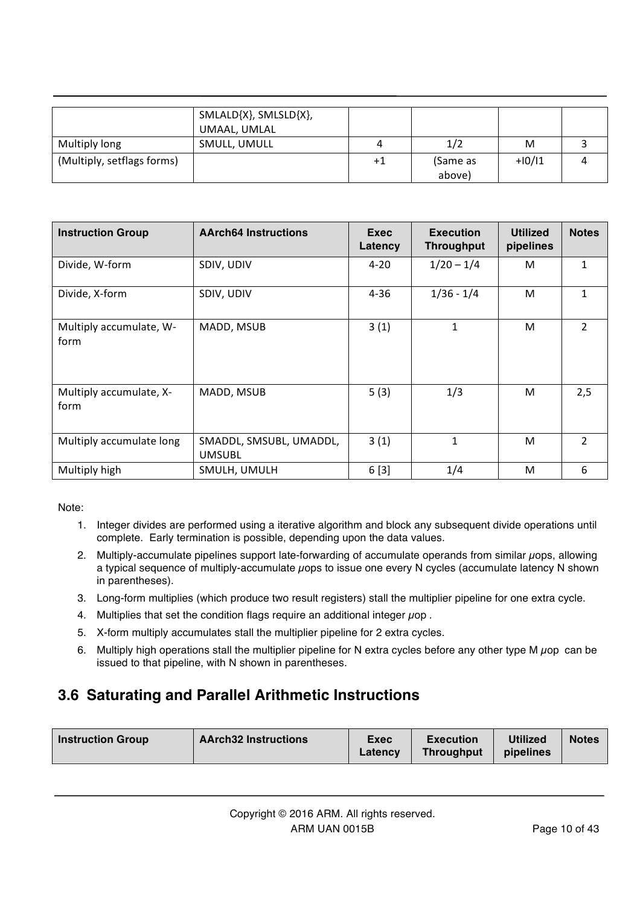|                            | SMLALD{X}, SMLSLD{X},<br>UMAAL, UMLAL |    |          |          |  |
|----------------------------|---------------------------------------|----|----------|----------|--|
| Multiply long              | SMULL, UMULL                          |    | 1/2      | M        |  |
| (Multiply, setflags forms) |                                       | +1 | (Same as | $+10/11$ |  |
|                            |                                       |    | above)   |          |  |

| <b>Instruction Group</b>        | <b>AArch64 Instructions</b>              | Exec<br>Latency | <b>Execution</b><br><b>Throughput</b> | <b>Utilized</b><br>pipelines | <b>Notes</b>   |
|---------------------------------|------------------------------------------|-----------------|---------------------------------------|------------------------------|----------------|
| Divide, W-form                  | SDIV, UDIV                               | $4 - 20$        | $1/20 - 1/4$                          | M                            | $\mathbf{1}$   |
| Divide, X-form                  | SDIV, UDIV                               | $4 - 36$        | $1/36 - 1/4$                          | M                            | $\mathbf{1}$   |
| Multiply accumulate, W-<br>form | MADD, MSUB                               | 3(1)            | 1                                     | M                            | $\overline{2}$ |
| Multiply accumulate, X-<br>form | MADD, MSUB                               | 5(3)            | 1/3                                   | M                            | 2,5            |
| Multiply accumulate long        | SMADDL, SMSUBL, UMADDL,<br><b>UMSUBL</b> | 3(1)            | 1                                     | M                            | $\overline{2}$ |
| Multiply high                   | SMULH, UMULH                             | 6[3]            | 1/4                                   | M                            | 6              |

Note:

- 1. Integer divides are performed using a iterative algorithm and block any subsequent divide operations until complete. Early termination is possible, depending upon the data values.
- 2. Multiply-accumulate pipelines support late-forwarding of accumulate operands from similar µops, allowing a typical sequence of multiply-accumulate µops to issue one every N cycles (accumulate latency N shown in parentheses).
- 3. Long-form multiplies (which produce two result registers) stall the multiplier pipeline for one extra cycle.
- 4. Multiplies that set the condition flags require an additional integer  $\mu$ op.
- 5. X-form multiply accumulates stall the multiplier pipeline for 2 extra cycles.
- 6. Multiply high operations stall the multiplier pipeline for N extra cycles before any other type M  $\mu$ op can be issued to that pipeline, with N shown in parentheses.

# **3.6 Saturating and Parallel Arithmetic Instructions**

| <b>AArch32 Instructions</b> | Exec    | <b>Execution</b>  | <b>Utilized</b> | <b>Notes</b> |
|-----------------------------|---------|-------------------|-----------------|--------------|
| <b>Instruction Group</b>    | Latency | <b>Throughput</b> | pipelines       |              |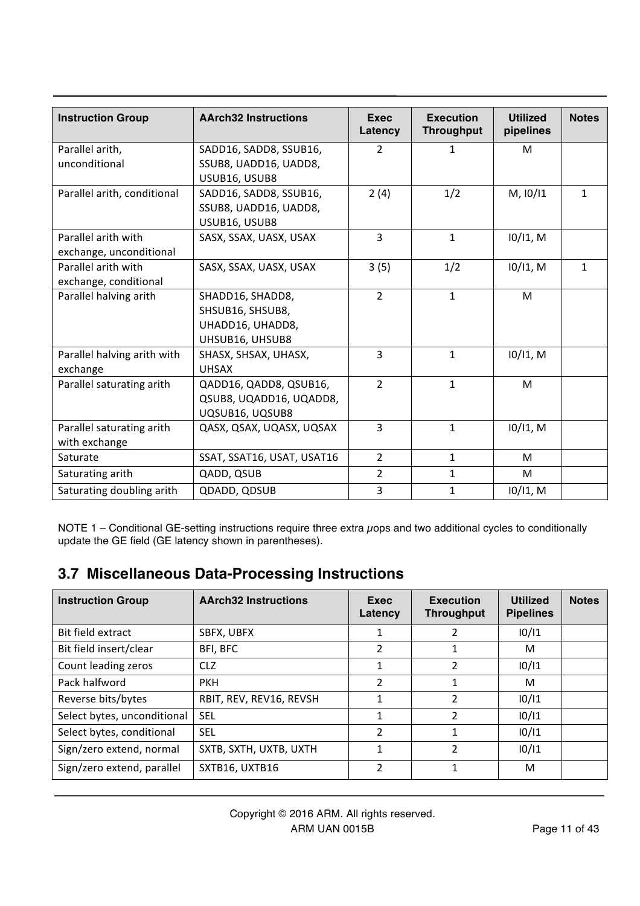| <b>Instruction Group</b>    | <b>AArch32 Instructions</b> | <b>Exec</b><br>Latency | <b>Execution</b><br><b>Throughput</b> | <b>Utilized</b><br>pipelines | <b>Notes</b> |
|-----------------------------|-----------------------------|------------------------|---------------------------------------|------------------------------|--------------|
| Parallel arith,             | SADD16, SADD8, SSUB16,      | $\overline{2}$         | $\mathbf{1}$                          | M                            |              |
| unconditional               | SSUB8, UADD16, UADD8,       |                        |                                       |                              |              |
|                             | USUB16, USUB8               |                        |                                       |                              |              |
| Parallel arith, conditional | SADD16, SADD8, SSUB16,      | 2(4)                   | 1/2                                   | M, 10/11                     | $\mathbf{1}$ |
|                             | SSUB8, UADD16, UADD8,       |                        |                                       |                              |              |
|                             | USUB16, USUB8               |                        |                                       |                              |              |
| Parallel arith with         | SASX, SSAX, UASX, USAX      | $\overline{3}$         | $\mathbf{1}$                          | $10/11$ , M                  |              |
| exchange, unconditional     |                             |                        |                                       |                              |              |
| Parallel arith with         | SASX, SSAX, UASX, USAX      | 3(5)                   | 1/2                                   | $10/11$ , M                  | $\mathbf{1}$ |
| exchange, conditional       |                             |                        |                                       |                              |              |
| Parallel halving arith      | SHADD16, SHADD8,            | $\overline{2}$         | $\mathbf{1}$                          | M                            |              |
|                             | SHSUB16, SHSUB8,            |                        |                                       |                              |              |
|                             | UHADD16, UHADD8,            |                        |                                       |                              |              |
|                             | UHSUB16, UHSUB8             |                        |                                       |                              |              |
| Parallel halving arith with | SHASX, SHSAX, UHASX,        | $\overline{3}$         | $\mathbf{1}$                          | $10/11$ , M                  |              |
| exchange                    | <b>UHSAX</b>                |                        |                                       |                              |              |
| Parallel saturating arith   | QADD16, QADD8, QSUB16,      | $\overline{2}$         | $\mathbf{1}$                          | M                            |              |
|                             | QSUB8, UQADD16, UQADD8,     |                        |                                       |                              |              |
|                             | UQSUB16, UQSUB8             |                        |                                       |                              |              |
| Parallel saturating arith   | QASX, QSAX, UQASX, UQSAX    | 3                      | $\mathbf{1}$                          | $10/11$ , M                  |              |
| with exchange               |                             |                        |                                       |                              |              |
| Saturate                    | SSAT, SSAT16, USAT, USAT16  | $\overline{2}$         | $\mathbf{1}$                          | M                            |              |
| Saturating arith            | QADD, QSUB                  | $\overline{2}$         | $\mathbf{1}$                          | M                            |              |
| Saturating doubling arith   | QDADD, QDSUB                | 3                      | $\mathbf 1$                           | 10/11, M                     |              |

NOTE 1 – Conditional GE-setting instructions require three extra uops and two additional cycles to conditionally update the GE field (GE latency shown in parentheses).

# **3.7 Miscellaneous Data-Processing Instructions**

| <b>Instruction Group</b>    | <b>AArch32 Instructions</b> | Exec<br>Latency | <b>Execution</b><br><b>Throughput</b> | <b>Utilized</b><br><b>Pipelines</b> | <b>Notes</b> |
|-----------------------------|-----------------------------|-----------------|---------------------------------------|-------------------------------------|--------------|
| Bit field extract           | SBFX, UBFX                  |                 | 2                                     | 10/11                               |              |
| Bit field insert/clear      | BFI, BFC                    | 2               | 1                                     | M                                   |              |
| Count leading zeros         | <b>CLZ</b>                  | 1               | 2                                     | 10/11                               |              |
| Pack halfword               | <b>PKH</b>                  | $\overline{2}$  |                                       | M                                   |              |
| Reverse bits/bytes          | RBIT, REV, REV16, REVSH     |                 | 2                                     | 10/11                               |              |
| Select bytes, unconditional | <b>SEL</b>                  | 1               | 2                                     | 10/11                               |              |
| Select bytes, conditional   | <b>SEL</b>                  | $\overline{2}$  |                                       | 10/11                               |              |
| Sign/zero extend, normal    | SXTB, SXTH, UXTB, UXTH      | 1               | 2                                     | 10/11                               |              |
| Sign/zero extend, parallel  | SXTB16, UXTB16              | 2               | 1                                     | M                                   |              |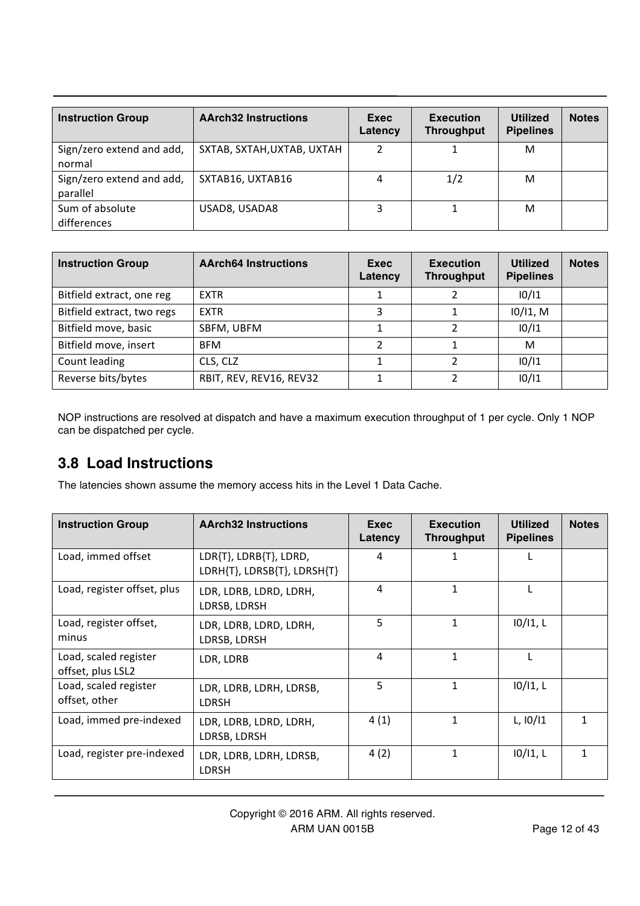| <b>Instruction Group</b>              | <b>AArch32 Instructions</b> | Exec<br>Latency | <b>Execution</b><br><b>Throughput</b> | <b>Utilized</b><br><b>Pipelines</b> | <b>Notes</b> |
|---------------------------------------|-----------------------------|-----------------|---------------------------------------|-------------------------------------|--------------|
| Sign/zero extend and add,<br>normal   | SXTAB, SXTAH, UXTAB, UXTAH  | ำ               |                                       | м                                   |              |
| Sign/zero extend and add,<br>parallel | SXTAB16, UXTAB16            | 4               | 1/2                                   | м                                   |              |
| Sum of absolute<br>differences        | USAD8, USADA8               |                 |                                       | м                                   |              |

| <b>Instruction Group</b>   | <b>AArch64 Instructions</b> | Exec<br>Latency | <b>Execution</b><br><b>Throughput</b> | <b>Utilized</b><br><b>Pipelines</b> | <b>Notes</b> |
|----------------------------|-----------------------------|-----------------|---------------------------------------|-------------------------------------|--------------|
| Bitfield extract, one reg  | EXTR                        |                 |                                       | 10/11                               |              |
| Bitfield extract, two regs | <b>EXTR</b>                 | 3               |                                       | 10/11, M                            |              |
| Bitfield move, basic       | SBFM, UBFM                  |                 | ำ                                     | 10/11                               |              |
| Bitfield move, insert      | <b>BFM</b>                  | 2               |                                       | м                                   |              |
| Count leading              | CLS, CLZ                    |                 | າ                                     | 10/11                               |              |
| Reverse bits/bytes         | RBIT, REV, REV16, REV32     |                 |                                       | 10/11                               |              |

NOP instructions are resolved at dispatch and have a maximum execution throughput of 1 per cycle. Only 1 NOP can be dispatched per cycle.

### **3.8 Load Instructions**

The latencies shown assume the memory access hits in the Level 1 Data Cache.

| <b>Instruction Group</b>                   | <b>AArch32 Instructions</b>                           | Exec<br>Latency | <b>Execution</b><br><b>Throughput</b> | <b>Utilized</b><br><b>Pipelines</b> | <b>Notes</b> |
|--------------------------------------------|-------------------------------------------------------|-----------------|---------------------------------------|-------------------------------------|--------------|
| Load, immed offset                         | LDR{T}, LDRB{T}, LDRD,<br>LDRH{T}, LDRSB{T}, LDRSH{T} | 4               | 1                                     |                                     |              |
| Load, register offset, plus                | LDR, LDRB, LDRD, LDRH,<br>LDRSB, LDRSH                | 4               | 1                                     |                                     |              |
| Load, register offset,<br>minus            | LDR, LDRB, LDRD, LDRH,<br>LDRSB, LDRSH                | 5               | 1                                     | 10/11, L                            |              |
| Load, scaled register<br>offset, plus LSL2 | LDR, LDRB                                             | 4               | $\mathbf{1}$                          |                                     |              |
| Load, scaled register<br>offset, other     | LDR, LDRB, LDRH, LDRSB,<br>LDRSH                      | 5               | 1                                     | 10/11, L                            |              |
| Load, immed pre-indexed                    | LDR, LDRB, LDRD, LDRH,<br>LDRSB, LDRSH                | 4(1)            | $\mathbf{1}$                          | $L$ , $10/11$                       | 1            |
| Load, register pre-indexed                 | LDR, LDRB, LDRH, LDRSB,<br><b>LDRSH</b>               | 4(2)            | 1                                     | 10/11, L                            | 1            |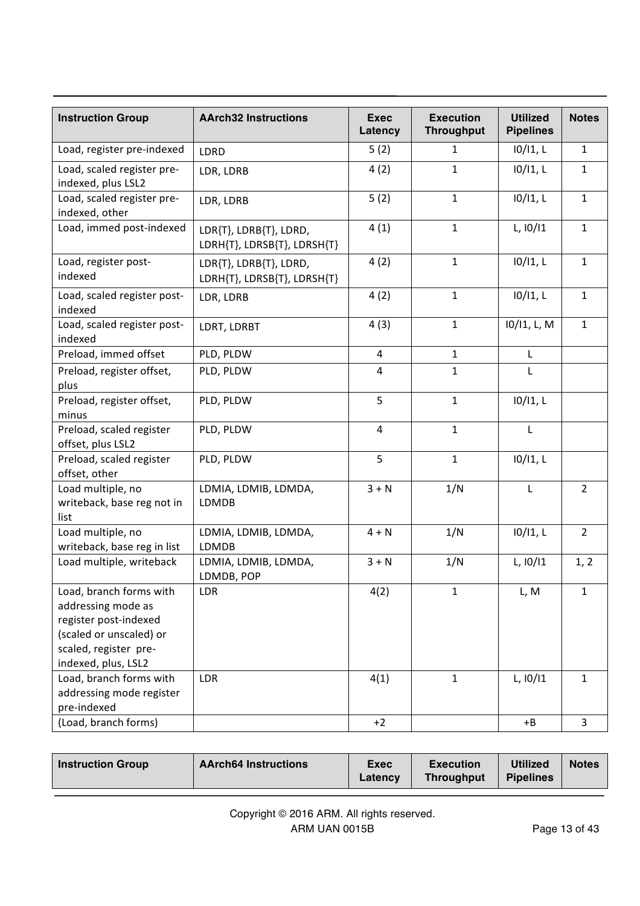| <b>Instruction Group</b>                                                                                                                          | <b>AArch32 Instructions</b>                           | <b>Exec</b><br>Latency | <b>Execution</b><br><b>Throughput</b> | <b>Utilized</b><br><b>Pipelines</b> | <b>Notes</b>   |
|---------------------------------------------------------------------------------------------------------------------------------------------------|-------------------------------------------------------|------------------------|---------------------------------------|-------------------------------------|----------------|
| Load, register pre-indexed                                                                                                                        | <b>LDRD</b>                                           | 5(2)                   | 1                                     | 10/11, L                            | $\mathbf{1}$   |
| Load, scaled register pre-<br>indexed, plus LSL2                                                                                                  | LDR, LDRB                                             | 4(2)                   | $\mathbf{1}$                          | 10/11, L                            | $\mathbf 1$    |
| Load, scaled register pre-<br>indexed, other                                                                                                      | LDR, LDRB                                             | 5(2)                   | $\mathbf{1}$                          | 10/11, L                            | $\mathbf{1}$   |
| Load, immed post-indexed                                                                                                                          | LDR{T}, LDRB{T}, LDRD,<br>LDRH{T}, LDRSB{T}, LDRSH{T} | 4(1)                   | $\mathbf{1}$                          | L, 10/11                            | $\mathbf 1$    |
| Load, register post-<br>indexed                                                                                                                   | LDR{T}, LDRB{T}, LDRD,<br>LDRH{T}, LDRSB{T}, LDRSH{T} | 4(2)                   | $\mathbf{1}$                          | 10/11, L                            | $\mathbf{1}$   |
| Load, scaled register post-<br>indexed                                                                                                            | LDR, LDRB                                             | 4(2)                   | $\mathbf{1}$                          | $10/11$ , L                         | $\mathbf 1$    |
| Load, scaled register post-<br>indexed                                                                                                            | LDRT, LDRBT                                           | 4(3)                   | $\mathbf{1}$                          | 10/11, L, M                         | $\mathbf 1$    |
| Preload, immed offset                                                                                                                             | PLD, PLDW                                             | 4                      | $\mathbf{1}$                          | L                                   |                |
| Preload, register offset,<br>plus                                                                                                                 | PLD, PLDW                                             | 4                      | $\mathbf{1}$                          | L                                   |                |
| Preload, register offset,<br>minus                                                                                                                | PLD, PLDW                                             | 5                      | $\mathbf{1}$                          | 10/11, L                            |                |
| Preload, scaled register<br>offset, plus LSL2                                                                                                     | PLD, PLDW                                             | 4                      | $\mathbf{1}$                          | L                                   |                |
| Preload, scaled register<br>offset, other                                                                                                         | PLD, PLDW                                             | 5                      | $\mathbf{1}$                          | 10/11, L                            |                |
| Load multiple, no<br>writeback, base reg not in<br>list                                                                                           | LDMIA, LDMIB, LDMDA,<br>LDMDB                         | $3 + N$                | 1/N                                   | $\mathsf L$                         | $\overline{2}$ |
| Load multiple, no<br>writeback, base reg in list                                                                                                  | LDMIA, LDMIB, LDMDA,<br>LDMDB                         | $4 + N$                | 1/N                                   | $10/11$ , L                         | $\overline{2}$ |
| Load multiple, writeback                                                                                                                          | LDMIA, LDMIB, LDMDA,<br>LDMDB, POP                    | $3 + N$                | 1/N                                   | L, 10/11                            | 1, 2           |
| Load, branch forms with<br>addressing mode as<br>register post-indexed<br>(scaled or unscaled) or<br>scaled, register pre-<br>indexed, plus, LSL2 | LDR                                                   | 4(2)                   | $\mathbf 1$                           | L, M                                | $\mathbf 1$    |
| Load, branch forms with<br>addressing mode register<br>pre-indexed                                                                                | LDR                                                   | 4(1)                   | $\mathbf{1}$                          | L, 10/11                            | $\mathbf{1}$   |
| (Load, branch forms)                                                                                                                              |                                                       | $+2$                   |                                       | $+B$                                | $\overline{3}$ |

|  | <b>Instruction Group</b> | <b>AArch64 Instructions</b> | <b>Exec</b><br>Latency | <b>Execution</b><br>Throughput | <b>Utilized</b><br><b>Pipelines</b> | <b>Notes</b> |
|--|--------------------------|-----------------------------|------------------------|--------------------------------|-------------------------------------|--------------|
|--|--------------------------|-----------------------------|------------------------|--------------------------------|-------------------------------------|--------------|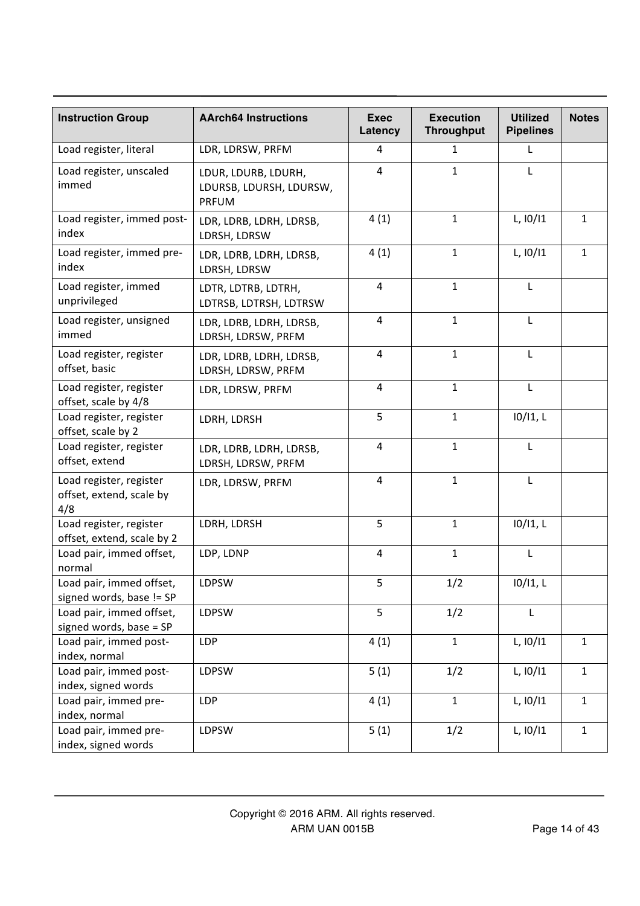| <b>Instruction Group</b>                                   | <b>AArch64 Instructions</b>                                    | <b>Exec</b><br>Latency  | <b>Execution</b><br><b>Throughput</b> | <b>Utilized</b><br><b>Pipelines</b> | <b>Notes</b> |
|------------------------------------------------------------|----------------------------------------------------------------|-------------------------|---------------------------------------|-------------------------------------|--------------|
| Load register, literal                                     | LDR, LDRSW, PRFM                                               | 4                       | 1                                     | L                                   |              |
| Load register, unscaled<br>immed                           | LDUR, LDURB, LDURH,<br>LDURSB, LDURSH, LDURSW,<br><b>PRFUM</b> | $\overline{4}$          | $\mathbf{1}$                          | L                                   |              |
| Load register, immed post-<br>index                        | LDR, LDRB, LDRH, LDRSB,<br>LDRSH, LDRSW                        | 4(1)                    | $\mathbf{1}$                          | L, 10/11                            | $\mathbf{1}$ |
| Load register, immed pre-<br>index                         | LDR, LDRB, LDRH, LDRSB,<br>LDRSH, LDRSW                        | 4(1)                    | $\mathbf{1}$                          | L, 10/11                            | $\mathbf 1$  |
| Load register, immed<br>unprivileged                       | LDTR, LDTRB, LDTRH,<br>LDTRSB, LDTRSH, LDTRSW                  | 4                       | $\mathbf{1}$                          | L                                   |              |
| Load register, unsigned<br>immed                           | LDR, LDRB, LDRH, LDRSB,<br>LDRSH, LDRSW, PRFM                  | 4                       | $\mathbf{1}$                          | L                                   |              |
| Load register, register<br>offset, basic                   | LDR, LDRB, LDRH, LDRSB,<br>LDRSH, LDRSW, PRFM                  | $\overline{4}$          | $\mathbf{1}$                          | L                                   |              |
| Load register, register<br>offset, scale by 4/8            | LDR, LDRSW, PRFM                                               | 4                       | $\mathbf{1}$                          | L                                   |              |
| Load register, register<br>offset, scale by 2              | LDRH, LDRSH                                                    | 5                       | $\mathbf{1}$                          | $10/11$ , L                         |              |
| Load register, register<br>offset, extend                  | LDR, LDRB, LDRH, LDRSB,<br>LDRSH, LDRSW, PRFM                  | 4                       | $\mathbf{1}$                          | L                                   |              |
| Load register, register<br>offset, extend, scale by<br>4/8 | LDR, LDRSW, PRFM                                               | 4                       | $\mathbf{1}$                          | L                                   |              |
| Load register, register<br>offset, extend, scale by 2      | LDRH, LDRSH                                                    | 5                       | $\mathbf{1}$                          | 10/11, L                            |              |
| Load pair, immed offset,<br>normal                         | LDP, LDNP                                                      | $\overline{\mathbf{4}}$ | $\mathbf{1}$                          | L                                   |              |
| Load pair, immed offset,<br>signed words, base != SP       | LDPSW                                                          | 5                       | 1/2                                   | 10/11, L                            |              |
| Load pair, immed offset,<br>signed words, base = SP        | LDPSW                                                          | 5                       | 1/2                                   | L                                   |              |
| Load pair, immed post-<br>index, normal                    | <b>LDP</b>                                                     | 4(1)                    | $\mathbf{1}$                          | L, 10/11                            | $\mathbf{1}$ |
| Load pair, immed post-<br>index, signed words              | LDPSW                                                          | 5(1)                    | 1/2                                   | L, 10/11                            | $\mathbf{1}$ |
| Load pair, immed pre-<br>index, normal                     | <b>LDP</b>                                                     | 4(1)                    | $\mathbf{1}$                          | L, 10/11                            | $\mathbf{1}$ |
| Load pair, immed pre-<br>index, signed words               | LDPSW                                                          | 5(1)                    | 1/2                                   | L, 10/11                            | $\mathbf{1}$ |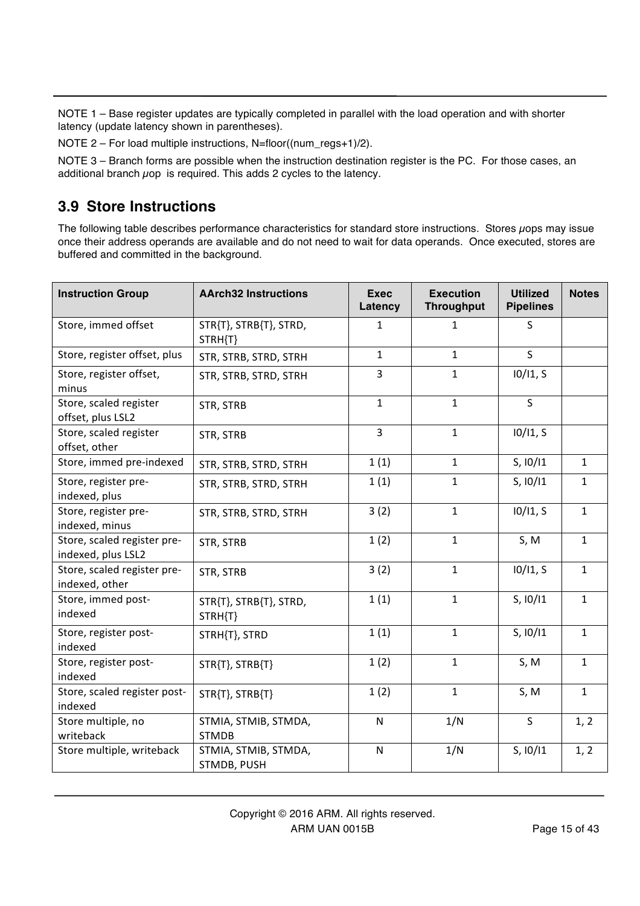NOTE 1 – Base register updates are typically completed in parallel with the load operation and with shorter latency (update latency shown in parentheses).

NOTE 2 – For load multiple instructions, N=floor((num\_regs+1)/2).

NOTE 3 – Branch forms are possible when the instruction destination register is the PC. For those cases, an additional branch  $\mu$ op is required. This adds 2 cycles to the latency.

#### **3.9 Store Instructions**

The following table describes performance characteristics for standard store instructions. Stores  $\mu$ ops may issue once their address operands are available and do not need to wait for data operands. Once executed, stores are buffered and committed in the background.

| <b>Instruction Group</b>                          | <b>AArch32 Instructions</b>          | <b>Exec</b><br>Latency | <b>Execution</b><br><b>Throughput</b> | <b>Utilized</b><br><b>Pipelines</b> | <b>Notes</b> |
|---------------------------------------------------|--------------------------------------|------------------------|---------------------------------------|-------------------------------------|--------------|
| Store, immed offset                               | STR{T}, STRB{T}, STRD,<br>STRH{T}    | $\mathbf{1}$           | $\mathbf{1}$                          | S                                   |              |
| Store, register offset, plus                      | STR, STRB, STRD, STRH                | $\mathbf{1}$           | $\mathbf{1}$                          | $\mathsf{S}$                        |              |
| Store, register offset,<br>minus                  | STR, STRB, STRD, STRH                | 3                      | $\mathbf{1}$                          | 10/11, S                            |              |
| Store, scaled register<br>offset, plus LSL2       | STR, STRB                            | $\mathbf{1}$           | $\mathbf{1}$                          | $\mathsf{S}$                        |              |
| Store, scaled register<br>offset, other           | STR, STRB                            | $\overline{3}$         | $\mathbf{1}$                          | 10/11, S                            |              |
| Store, immed pre-indexed                          | STR, STRB, STRD, STRH                | 1(1)                   | $\mathbf{1}$                          | S, 10/11                            | $\mathbf{1}$ |
| Store, register pre-<br>indexed, plus             | STR, STRB, STRD, STRH                | 1(1)                   | $\mathbf 1$                           | S, 10/11                            | $\mathbf{1}$ |
| Store, register pre-<br>indexed, minus            | STR, STRB, STRD, STRH                | 3(2)                   | $\mathbf{1}$                          | 10/11, S                            | $\mathbf{1}$ |
| Store, scaled register pre-<br>indexed, plus LSL2 | STR, STRB                            | 1(2)                   | $\mathbf{1}$                          | S, M                                | $\mathbf{1}$ |
| Store, scaled register pre-<br>indexed, other     | STR, STRB                            | 3(2)                   | $\mathbf{1}$                          | 10/11, S                            | $\mathbf{1}$ |
| Store, immed post-<br>indexed                     | STR{T}, STRB{T}, STRD,<br>STRH{T}    | 1(1)                   | $\mathbf{1}$                          | S, 10/11                            | $\mathbf{1}$ |
| Store, register post-<br>indexed                  | STRH{T}, STRD                        | 1(1)                   | $\mathbf{1}$                          | S, 10/11                            | $\mathbf{1}$ |
| Store, register post-<br>indexed                  | STR{T}, STRB{T}                      | 1(2)                   | $\mathbf{1}$                          | S, M                                | $\mathbf{1}$ |
| Store, scaled register post-<br>indexed           | STR{T}, STRB{T}                      | 1(2)                   | $\mathbf{1}$                          | S, M                                | $\mathbf{1}$ |
| Store multiple, no<br>writeback                   | STMIA, STMIB, STMDA,<br><b>STMDB</b> | N                      | 1/N                                   | S                                   | 1, 2         |
| Store multiple, writeback                         | STMIA, STMIB, STMDA,<br>STMDB, PUSH  | ${\sf N}$              | 1/N                                   | S, 10/11                            | 1, 2         |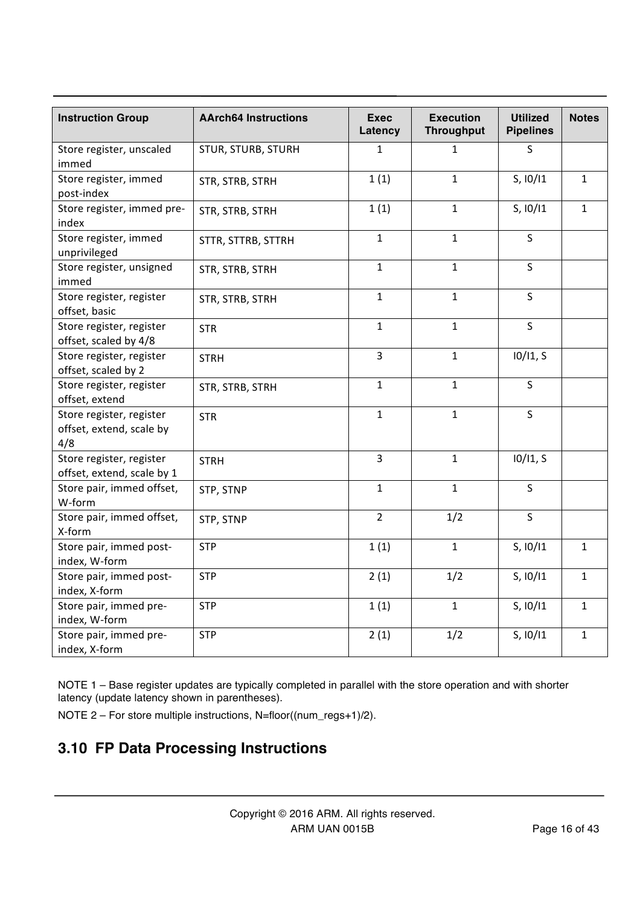| <b>Instruction Group</b>                                    | <b>AArch64 Instructions</b> | <b>Exec</b><br>Latency | <b>Execution</b><br><b>Throughput</b> | <b>Utilized</b><br><b>Pipelines</b> | <b>Notes</b> |
|-------------------------------------------------------------|-----------------------------|------------------------|---------------------------------------|-------------------------------------|--------------|
| Store register, unscaled<br>immed                           | <b>STUR, STURB, STURH</b>   | $\mathbf{1}$           | $\mathbf{1}$                          | S                                   |              |
| Store register, immed<br>post-index                         | STR, STRB, STRH             | 1(1)                   | $\mathbf{1}$                          | S, 10/11                            | $\mathbf{1}$ |
| Store register, immed pre-<br>index                         | STR, STRB, STRH             | 1(1)                   | $\mathbf{1}$                          | S, 10/11                            | $\mathbf{1}$ |
| Store register, immed<br>unprivileged                       | STTR, STTRB, STTRH          | $\mathbf{1}$           | $\mathbf{1}$                          | $\sf S$                             |              |
| Store register, unsigned<br>immed                           | STR, STRB, STRH             | $\mathbf{1}$           | $\mathbf{1}$                          | S                                   |              |
| Store register, register<br>offset, basic                   | STR, STRB, STRH             | $\mathbf{1}$           | $\mathbf{1}$                          | S                                   |              |
| Store register, register<br>offset, scaled by 4/8           | <b>STR</b>                  | $\mathbf{1}$           | $\mathbf{1}$                          | S                                   |              |
| Store register, register<br>offset, scaled by 2             | <b>STRH</b>                 | $\overline{3}$         | $\mathbf{1}$                          | 10/11, S                            |              |
| Store register, register<br>offset, extend                  | STR, STRB, STRH             | $\mathbf{1}$           | $\mathbf{1}$                          | $\mathsf{S}$                        |              |
| Store register, register<br>offset, extend, scale by<br>4/8 | <b>STR</b>                  | $\mathbf{1}$           | $\mathbf{1}$                          | $\overline{\mathsf{S}}$             |              |
| Store register, register<br>offset, extend, scale by 1      | <b>STRH</b>                 | $\overline{3}$         | $\mathbf 1$                           | 10/11, S                            |              |
| Store pair, immed offset,<br>W-form                         | STP, STNP                   | $\mathbf{1}$           | $\mathbf 1$                           | $\mathsf{S}$                        |              |
| Store pair, immed offset,<br>X-form                         | STP, STNP                   | $\overline{2}$         | 1/2                                   | $\mathsf S$                         |              |
| Store pair, immed post-<br>index, W-form                    | <b>STP</b>                  | 1(1)                   | $\mathbf 1$                           | S, 10/11                            | $\mathbf{1}$ |
| Store pair, immed post-<br>index, X-form                    | <b>STP</b>                  | 2(1)                   | 1/2                                   | S, 10/11                            | $\mathbf 1$  |
| Store pair, immed pre-<br>index, W-form                     | <b>STP</b>                  | 1(1)                   | $\mathbf{1}$                          | S, 10/11                            | $\mathbf{1}$ |
| Store pair, immed pre-<br>index, X-form                     | <b>STP</b>                  | 2(1)                   | 1/2                                   | S, 10/11                            | $\mathbf{1}$ |

NOTE 1 – Base register updates are typically completed in parallel with the store operation and with shorter latency (update latency shown in parentheses).

NOTE 2 – For store multiple instructions, N=floor((num\_regs+1)/2).

# **3.10 FP Data Processing Instructions**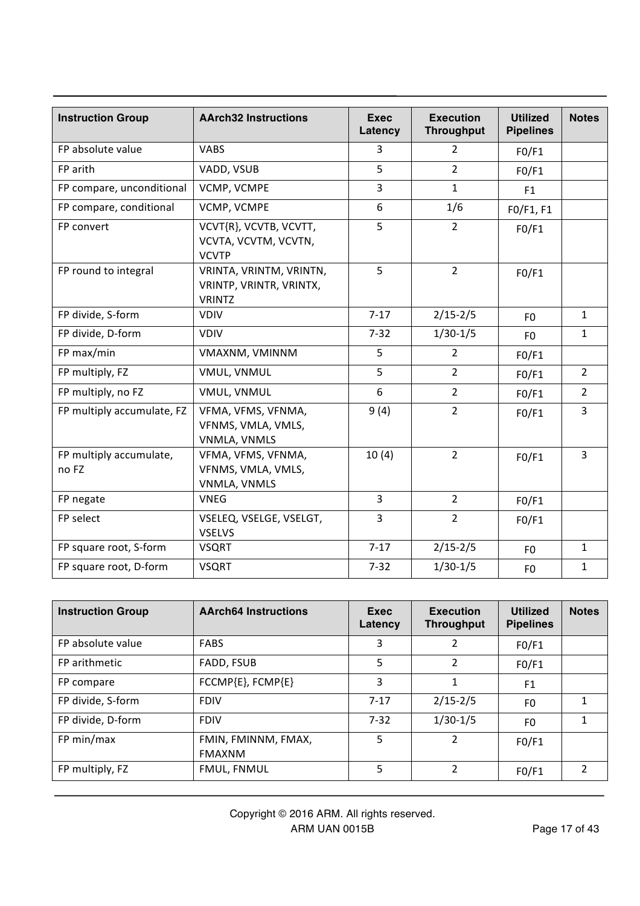| <b>Instruction Group</b>         | <b>AArch32 Instructions</b>                                         | <b>Exec</b><br>Latency | <b>Execution</b><br><b>Throughput</b> | <b>Utilized</b><br><b>Pipelines</b> | <b>Notes</b>   |
|----------------------------------|---------------------------------------------------------------------|------------------------|---------------------------------------|-------------------------------------|----------------|
| FP absolute value                | <b>VABS</b>                                                         | 3                      | $\overline{2}$                        | FO/F1                               |                |
| FP arith                         | VADD, VSUB                                                          | 5                      | $\overline{2}$                        | FO/F1                               |                |
| FP compare, unconditional        | VCMP, VCMPE                                                         |                        | $\mathbf{1}$                          | F1                                  |                |
| FP compare, conditional          | VCMP, VCMPE                                                         | 6                      | 1/6                                   | F0/F1, F1                           |                |
| FP convert                       | VCVT{R}, VCVTB, VCVTT,<br>VCVTA, VCVTM, VCVTN,<br><b>VCVTP</b>      | 5                      | $\overline{2}$                        | FO/F1                               |                |
| FP round to integral             | VRINTA, VRINTM, VRINTN,<br>VRINTP, VRINTR, VRINTX,<br><b>VRINTZ</b> | 5                      | $\overline{2}$                        | FO/F1                               |                |
| FP divide, S-form                | <b>VDIV</b>                                                         |                        | $2/15 - 2/5$                          | F <sub>0</sub>                      | $\mathbf{1}$   |
| FP divide, D-form                | <b>VDIV</b>                                                         | $7 - 32$               | $1/30-1/5$                            | F <sub>0</sub>                      | $\mathbf{1}$   |
| FP max/min                       | VMAXNM, VMINNM                                                      | 5                      | $\overline{2}$                        | FO/F1                               |                |
| FP multiply, FZ                  | VMUL, VNMUL                                                         | 5                      | $\overline{2}$                        | FO/F1                               | $\overline{2}$ |
| FP multiply, no FZ               | VMUL, VNMUL                                                         | $\boldsymbol{6}$       | $\overline{2}$                        | FO/F1                               | $\overline{2}$ |
| FP multiply accumulate, FZ       | VFMA, VFMS, VFNMA,<br>VFNMS, VMLA, VMLS,<br>VNMLA, VNMLS            | 9(4)                   | $\overline{2}$                        | FO/F1                               | 3              |
| FP multiply accumulate,<br>no FZ | VFMA, VFMS, VFNMA,<br>VFNMS, VMLA, VMLS,<br>VNMLA, VNMLS            | 10(4)                  | $\overline{2}$                        | FO/F1                               | 3              |
| FP negate                        | <b>VNEG</b>                                                         | $\overline{3}$         | $\overline{2}$                        | FO/F1                               |                |
| FP select                        | VSELEQ, VSELGE, VSELGT,<br><b>VSELVS</b>                            | 3                      | $\overline{2}$                        | FO/F1                               |                |
| FP square root, S-form           | <b>VSQRT</b>                                                        | $7-17$                 | $2/15 - 2/5$                          | F <sub>0</sub>                      | $\mathbf{1}$   |
| FP square root, D-form           | <b>VSQRT</b>                                                        | $7 - 32$               | $1/30-1/5$                            | F <sub>0</sub>                      | $\mathbf{1}$   |

| <b>Instruction Group</b> | <b>AArch64 Instructions</b>          | Exec<br>Latency | <b>Execution</b><br><b>Throughput</b> | <b>Utilized</b><br><b>Pipelines</b> | <b>Notes</b> |
|--------------------------|--------------------------------------|-----------------|---------------------------------------|-------------------------------------|--------------|
| FP absolute value        | <b>FABS</b>                          | 3               | 2                                     | FO/F1                               |              |
| FP arithmetic            | FADD, FSUB                           | 5.              | 2                                     | F0/F1                               |              |
| FP compare               | FCCMP{E}, FCMP{E}                    | 3               | 1                                     | F <sub>1</sub>                      |              |
| FP divide, S-form        | <b>FDIV</b>                          | $7 - 17$        | $2/15 - 2/5$                          | F0                                  | 1            |
| FP divide, D-form        | <b>FDIV</b>                          | $7 - 32$        | $1/30-1/5$                            | F0                                  |              |
| FP min/max               | FMIN, FMINNM, FMAX,<br><b>FMAXNM</b> | 5.              | 2                                     | FO/F1                               |              |
| FP multiply, FZ          | <b>FMUL, FNMUL</b>                   | 5               | 2                                     | FO/F1                               | 2            |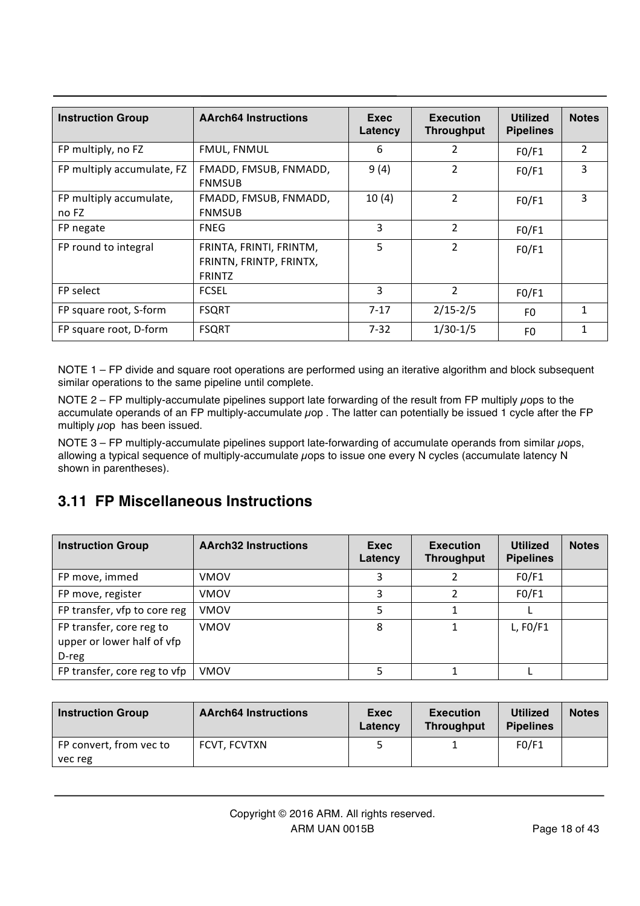| <b>Instruction Group</b>         | <b>AArch64 Instructions</b>                                         | Exec<br>Latency | <b>Execution</b><br><b>Throughput</b> | <b>Utilized</b><br><b>Pipelines</b> | <b>Notes</b>   |
|----------------------------------|---------------------------------------------------------------------|-----------------|---------------------------------------|-------------------------------------|----------------|
| FP multiply, no FZ               | <b>FMUL, FNMUL</b>                                                  | 6               | 2                                     | FO/F1                               | $\overline{2}$ |
| FP multiply accumulate, FZ       | 9(4)<br>FMADD, FMSUB, FNMADD,<br><b>FNMSUB</b>                      |                 | $\overline{2}$                        | FO/F1                               | 3              |
| FP multiply accumulate,<br>no FZ | FMADD, FMSUB, FNMADD,<br><b>FNMSUB</b>                              | 10(4)           | $\overline{2}$                        | FO/F1                               | 3              |
| FP negate                        | <b>FNEG</b>                                                         | 3               | $\overline{2}$                        | FO/F1                               |                |
| FP round to integral             | FRINTA, FRINTI, FRINTM,<br>FRINTN, FRINTP, FRINTX,<br><b>FRINTZ</b> | 5               | 2                                     | FO/F1                               |                |
| FP select                        | <b>FCSEL</b>                                                        | 3               | $\overline{2}$                        | FO/F1                               |                |
| FP square root, S-form           | <b>FSQRT</b>                                                        | $7-17$          | $2/15 - 2/5$                          | F0                                  | 1              |
| FP square root, D-form           | <b>FSQRT</b>                                                        | $7 - 32$        | $1/30-1/5$                            | F0                                  | 1              |

NOTE 1 – FP divide and square root operations are performed using an iterative algorithm and block subsequent similar operations to the same pipeline until complete.

NOTE 2 – FP multiply-accumulate pipelines support late forwarding of the result from FP multiply uops to the accumulate operands of an FP multiply-accumulate  $\mu$ op . The latter can potentially be issued 1 cycle after the FP multiply  $\mu$ op has been issued.

NOTE 3 – FP multiply-accumulate pipelines support late-forwarding of accumulate operands from similar *µ*ops, allowing a typical sequence of multiply-accumulate upps to issue one every N cycles (accumulate latency N shown in parentheses).

### **3.11 FP Miscellaneous Instructions**

| <b>Instruction Group</b>                                        | <b>AArch32 Instructions</b> | Exec<br>Latency | <b>Execution</b><br><b>Throughput</b> | <b>Utilized</b><br><b>Pipelines</b> | <b>Notes</b> |
|-----------------------------------------------------------------|-----------------------------|-----------------|---------------------------------------|-------------------------------------|--------------|
| FP move, immed                                                  | <b>VMOV</b>                 |                 |                                       | FO/F1                               |              |
| FP move, register                                               | <b>VMOV</b>                 | 3               |                                       | FO/F1                               |              |
| FP transfer, vfp to core reg                                    | <b>VMOV</b>                 |                 |                                       |                                     |              |
| FP transfer, core reg to<br>upper or lower half of vfp<br>D-reg | <b>VMOV</b>                 | 8               |                                       | L, $FO/F1$                          |              |
| FP transfer, core reg to vfp                                    | <b>VMOV</b>                 |                 |                                       |                                     |              |

| <b>Instruction Group</b> | <b>AArch64 Instructions</b> | Exec<br>Latency | <b>Execution</b><br><b>Throughput</b> | <b>Utilized</b><br><b>Pipelines</b> | <b>Notes</b> |
|--------------------------|-----------------------------|-----------------|---------------------------------------|-------------------------------------|--------------|
| FP convert, from vec to  | FCVT, FCVTXN                |                 |                                       | FO/F1                               |              |
| vec reg                  |                             |                 |                                       |                                     |              |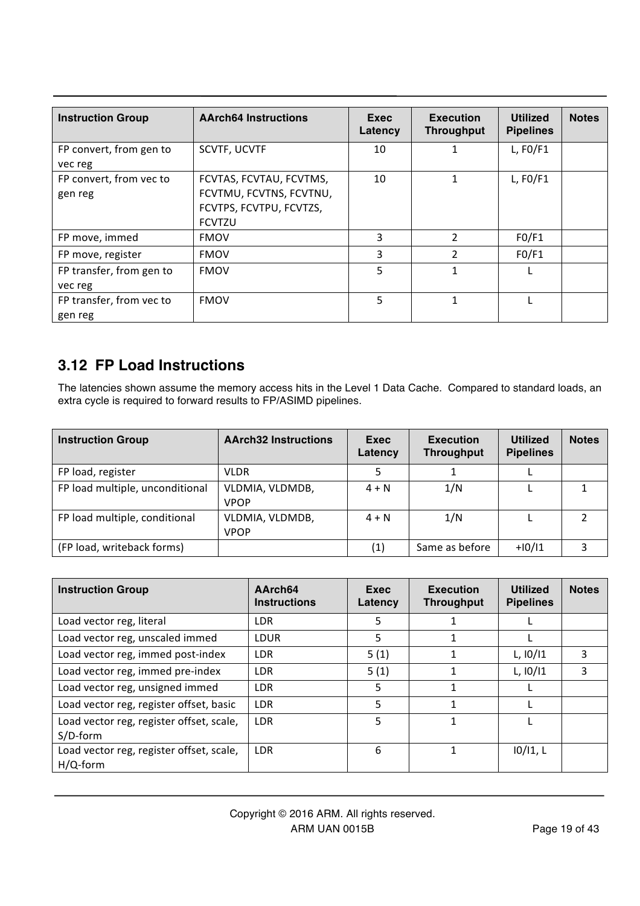| <b>Instruction Group</b>            | <b>AArch64 Instructions</b>                                                                    | Exec<br>Latency | <b>Execution</b><br><b>Throughput</b> | <b>Utilized</b><br><b>Pipelines</b> | <b>Notes</b> |
|-------------------------------------|------------------------------------------------------------------------------------------------|-----------------|---------------------------------------|-------------------------------------|--------------|
| FP convert, from gen to<br>vec reg  | <b>SCVTF, UCVTF</b>                                                                            | 10              |                                       | $L$ , FO/F1                         |              |
| FP convert, from vec to<br>gen reg  | FCVTAS, FCVTAU, FCVTMS,<br>FCVTMU, FCVTNS, FCVTNU,<br>FCVTPS, FCVTPU, FCVTZS,<br><b>FCVTZU</b> | 10              | 1                                     | $L$ , FO/F1                         |              |
| FP move, immed                      | <b>FMOV</b>                                                                                    | 3               | 2                                     | FO/F1                               |              |
| FP move, register                   | <b>FMOV</b>                                                                                    | 3               | 2                                     | FO/F1                               |              |
| FP transfer, from gen to<br>vec reg | <b>FMOV</b>                                                                                    | 5               | 1                                     |                                     |              |
| FP transfer, from vec to<br>gen reg | <b>FMOV</b>                                                                                    | 5               | 1                                     |                                     |              |

# **3.12 FP Load Instructions**

The latencies shown assume the memory access hits in the Level 1 Data Cache. Compared to standard loads, an extra cycle is required to forward results to FP/ASIMD pipelines.

| <b>Instruction Group</b>        | <b>AArch32 Instructions</b>    | Exec<br>Latency | <b>Execution</b><br><b>Throughput</b> | <b>Utilized</b><br><b>Pipelines</b> | <b>Notes</b> |
|---------------------------------|--------------------------------|-----------------|---------------------------------------|-------------------------------------|--------------|
| FP load, register               | <b>VLDR</b>                    |                 |                                       |                                     |              |
| FP load multiple, unconditional | VLDMIA, VLDMDB,<br><b>VPOP</b> | $4 + N$         | 1/N                                   |                                     |              |
| FP load multiple, conditional   | VLDMIA, VLDMDB,<br><b>VPOP</b> | $4 + N$         | 1/N                                   |                                     |              |
| (FP load, writeback forms)      |                                | (1)             | Same as before                        | $+10/11$                            | २            |

| <b>Instruction Group</b>                             | AArch <sub>64</sub><br><b>Instructions</b> | Exec<br>Latency | <b>Execution</b><br><b>Throughput</b> | <b>Utilized</b><br><b>Pipelines</b> | <b>Notes</b> |
|------------------------------------------------------|--------------------------------------------|-----------------|---------------------------------------|-------------------------------------|--------------|
| Load vector reg, literal                             | <b>LDR</b>                                 | 5               |                                       |                                     |              |
| Load vector reg, unscaled immed                      | <b>LDUR</b>                                | 5               |                                       |                                     |              |
| Load vector reg, immed post-index                    | <b>LDR</b>                                 | 5(1)            | 1                                     | L, 10/11                            | 3            |
| Load vector reg, immed pre-index                     | <b>LDR</b>                                 | 5(1)            |                                       | $L$ , $10/11$                       | 3            |
| Load vector reg, unsigned immed                      | <b>LDR</b>                                 | 5               | 1                                     |                                     |              |
| Load vector reg, register offset, basic              | <b>LDR</b>                                 | 5               |                                       |                                     |              |
| Load vector reg, register offset, scale,<br>S/D-form | <b>LDR</b>                                 | 5               | 1                                     |                                     |              |
| Load vector reg, register offset, scale,<br>H/Q-form | <b>LDR</b>                                 | 6               |                                       | 10/11, L                            |              |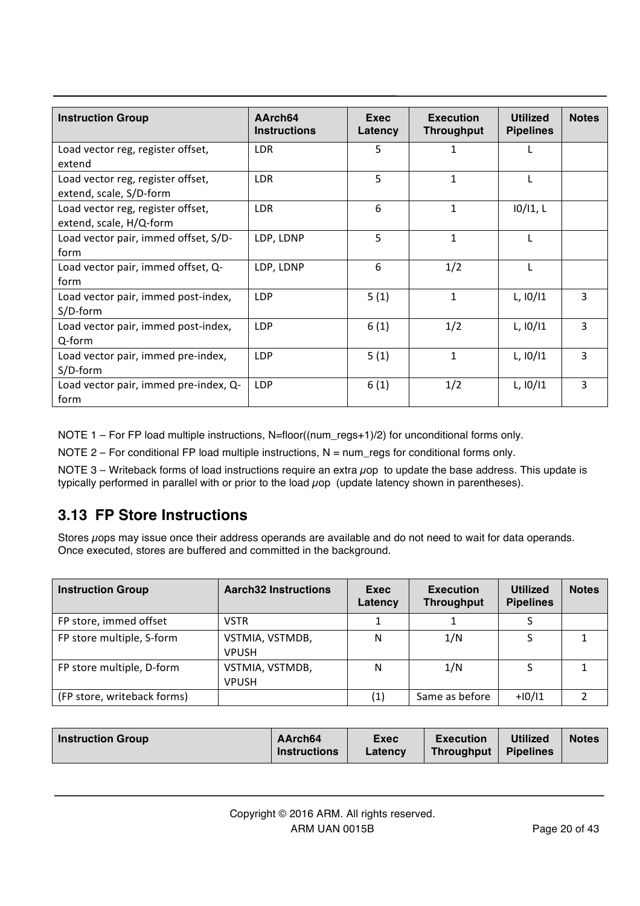| <b>Instruction Group</b>                                     | AArch64<br><b>Instructions</b> | Exec<br>Latency | <b>Execution</b><br><b>Throughput</b> | <b>Utilized</b><br><b>Pipelines</b> | <b>Notes</b> |
|--------------------------------------------------------------|--------------------------------|-----------------|---------------------------------------|-------------------------------------|--------------|
| Load vector reg, register offset,<br>extend                  | LDR                            | 5               | 1                                     |                                     |              |
| Load vector reg, register offset,<br>extend, scale, S/D-form | LDR                            | 5               | $\mathbf{1}$                          |                                     |              |
| Load vector reg, register offset,<br>extend, scale, H/Q-form | <b>LDR</b>                     | 6               | $\mathbf{1}$                          | 10/11, L                            |              |
| Load vector pair, immed offset, S/D-<br>form                 | LDP, LDNP                      | 5               | $\mathbf{1}$                          |                                     |              |
| Load vector pair, immed offset, Q-<br>form                   | LDP, LDNP                      | 6               | 1/2                                   | L                                   |              |
| Load vector pair, immed post-index,<br>S/D-form              | <b>LDP</b>                     | 5(1)            | $\mathbf{1}$                          | L, 10/11                            | 3            |
| Load vector pair, immed post-index,<br>Q-form                | LDP                            | 6(1)            | 1/2                                   | L, 10/11                            | 3            |
| Load vector pair, immed pre-index,<br>S/D-form               | <b>LDP</b>                     | 5(1)            | $\mathbf{1}$                          | L, 10/11                            | 3            |
| Load vector pair, immed pre-index, Q-<br>form                | <b>LDP</b>                     | 6(1)            | 1/2                                   | $L$ , $10/11$                       | 3            |

NOTE 1 – For FP load multiple instructions, N=floor((num\_regs+1)/2) for unconditional forms only.

NOTE 2 – For conditional FP load multiple instructions,  $N = num$  regs for conditional forms only.

NOTE  $3$  – Writeback forms of load instructions require an extra  $\mu$ op to update the base address. This update is typically performed in parallel with or prior to the load  $\mu$ op (update latency shown in parentheses).

### **3.13 FP Store Instructions**

Stores uops may issue once their address operands are available and do not need to wait for data operands. Once executed, stores are buffered and committed in the background.

| <b>Instruction Group</b>    | <b>Aarch32 Instructions</b>     | Exec<br>Latency | <b>Execution</b><br><b>Throughput</b> | <b>Utilized</b><br><b>Pipelines</b> | <b>Notes</b> |
|-----------------------------|---------------------------------|-----------------|---------------------------------------|-------------------------------------|--------------|
| FP store, immed offset      | <b>VSTR</b>                     |                 |                                       |                                     |              |
| FP store multiple, S-form   | VSTMIA, VSTMDB,<br><b>VPUSH</b> | N               | 1/N                                   |                                     |              |
| FP store multiple, D-form   | VSTMIA, VSTMDB,<br><b>VPUSH</b> | N               | 1/N                                   |                                     |              |
| (FP store, writeback forms) |                                 | (1)             | Same as before                        | $+10/11$                            |              |

| Instruction Group | AArch64<br><b>Instructions</b> | <b>Exec</b><br>Latency | <b>Execution</b><br><b>Throughput</b> | <b>Utilized</b><br><b>Pipelines</b> | <b>Notes</b> |
|-------------------|--------------------------------|------------------------|---------------------------------------|-------------------------------------|--------------|
|-------------------|--------------------------------|------------------------|---------------------------------------|-------------------------------------|--------------|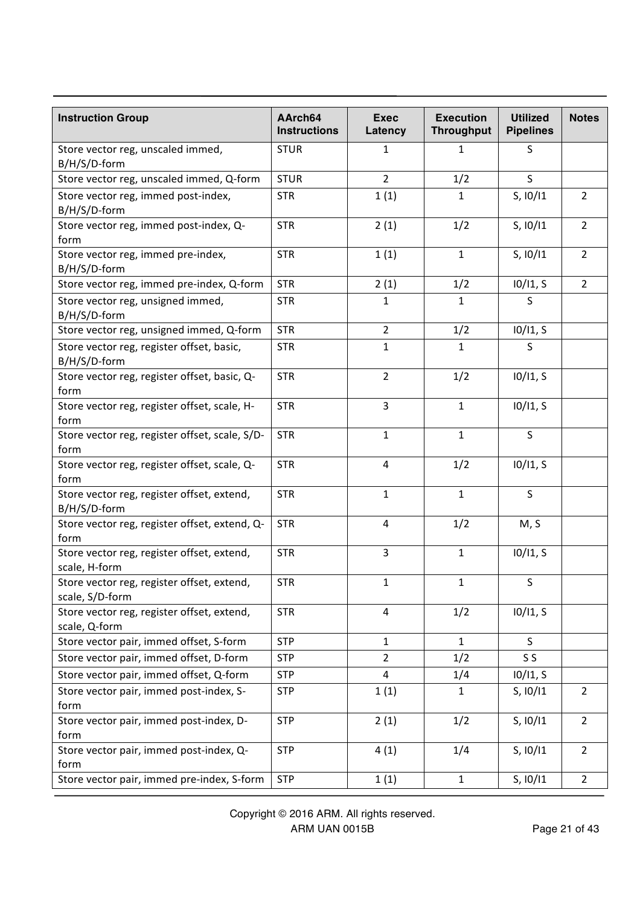| <b>Instruction Group</b>                                      | AArch64<br><b>Instructions</b> | <b>Exec</b><br>Latency | <b>Execution</b><br><b>Throughput</b> | <b>Utilized</b><br><b>Pipelines</b> | <b>Notes</b>   |
|---------------------------------------------------------------|--------------------------------|------------------------|---------------------------------------|-------------------------------------|----------------|
| Store vector reg, unscaled immed,<br>B/H/S/D-form             | <b>STUR</b>                    | 1                      | 1                                     | S                                   |                |
| Store vector reg, unscaled immed, Q-form                      | <b>STUR</b>                    | $\overline{2}$         | 1/2                                   | S                                   |                |
| Store vector reg, immed post-index,<br>B/H/S/D-form           | <b>STR</b>                     | 1(1)                   | $\mathbf{1}$                          | S, 10/11                            | $\overline{2}$ |
| Store vector reg, immed post-index, Q-<br>form                | <b>STR</b>                     | 2(1)                   | 1/2                                   | S, 10/11                            | $\overline{2}$ |
| Store vector reg, immed pre-index,<br>B/H/S/D-form            | <b>STR</b>                     | 1(1)                   | $\mathbf{1}$                          | S, 10/11                            | $\overline{2}$ |
| Store vector reg, immed pre-index, Q-form                     | <b>STR</b>                     | 2(1)                   | 1/2                                   | 10/11, S                            | $\overline{2}$ |
| Store vector reg, unsigned immed,<br>B/H/S/D-form             | <b>STR</b>                     | $\mathbf{1}$           | $\mathbf{1}$                          | S                                   |                |
| Store vector reg, unsigned immed, Q-form                      | <b>STR</b>                     | $\overline{2}$         | 1/2                                   | 10/11, S                            |                |
| Store vector reg, register offset, basic,<br>B/H/S/D-form     | <b>STR</b>                     | $\mathbf{1}$           | 1                                     | S                                   |                |
| Store vector reg, register offset, basic, Q-<br>form          | <b>STR</b>                     | $\overline{2}$         | 1/2                                   | 10/11, S                            |                |
| Store vector reg, register offset, scale, H-<br>form          | <b>STR</b>                     | 3                      | $\mathbf 1$                           | 10/11, S                            |                |
| Store vector reg, register offset, scale, S/D-<br>form        | <b>STR</b>                     | $\mathbf{1}$           | $\mathbf{1}$                          | S                                   |                |
| Store vector reg, register offset, scale, Q-<br>form          | <b>STR</b>                     | 4                      | 1/2                                   | 10/11, S                            |                |
| Store vector reg, register offset, extend,<br>B/H/S/D-form    | <b>STR</b>                     | $\mathbf{1}$           | $\mathbf{1}$                          | S                                   |                |
| Store vector reg, register offset, extend, Q-<br>form         | <b>STR</b>                     | 4                      | 1/2                                   | M, S                                |                |
| Store vector reg, register offset, extend,<br>scale, H-form   | <b>STR</b>                     | 3                      | $\mathbf{1}$                          | 10/11, S                            |                |
| Store vector reg, register offset, extend,<br>scale, S/D-form | <b>STR</b>                     | $\mathbf{1}$           | 1                                     | S                                   |                |
| Store vector reg, register offset, extend,<br>scale, Q-form   | <b>STR</b>                     | $\overline{4}$         | 1/2                                   | 10/11, S                            |                |
| Store vector pair, immed offset, S-form                       | <b>STP</b>                     | $\mathbf{1}$           | $\mathbf{1}$                          | S                                   |                |
| Store vector pair, immed offset, D-form                       | <b>STP</b>                     | $\overline{2}$         | 1/2                                   | S <sub>S</sub>                      |                |
| Store vector pair, immed offset, Q-form                       | <b>STP</b>                     | 4                      | 1/4                                   | 10/11, S                            |                |
| Store vector pair, immed post-index, S-<br>form               | <b>STP</b>                     | 1(1)                   | $\mathbf{1}$                          | S, 10/11                            | $\overline{2}$ |
| Store vector pair, immed post-index, D-<br>form               | <b>STP</b>                     | 2(1)                   | 1/2                                   | S, 10/11                            | $\overline{2}$ |
| Store vector pair, immed post-index, Q-<br>form               | <b>STP</b>                     | 4(1)                   | 1/4                                   | S, 10/11                            | $\overline{2}$ |
| Store vector pair, immed pre-index, S-form                    | <b>STP</b>                     | 1(1)                   | $\mathbf{1}$                          | S, 10/11                            | $\overline{2}$ |

Copyright © 2016 ARM. All rights reserved. ARM UAN 0015B Page 21 of 43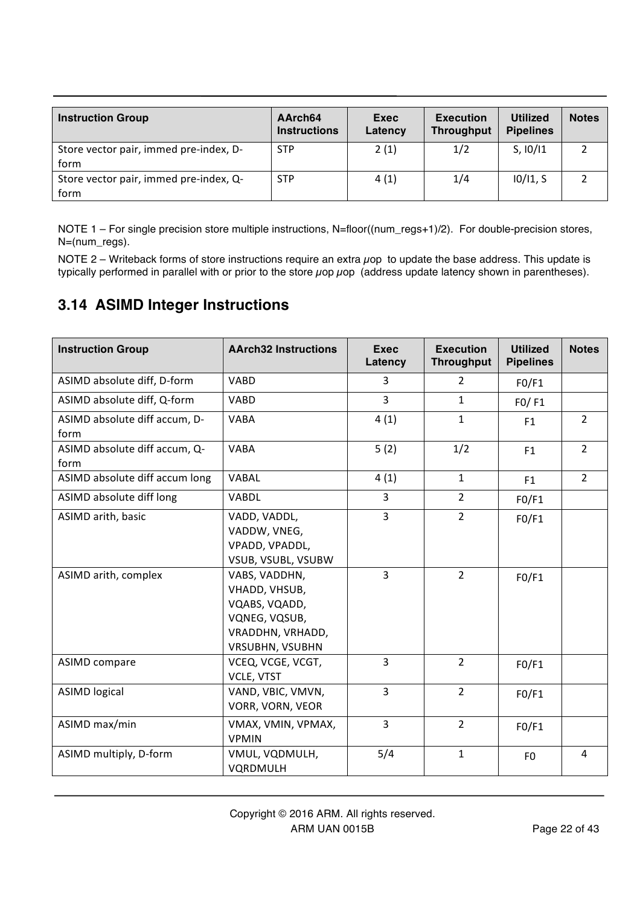| <b>Instruction Group</b>               | AArch <sub>64</sub><br><b>Instructions</b> | Exec<br>Latency | <b>Execution</b><br><b>Throughput</b> | <b>Utilized</b><br><b>Pipelines</b> | <b>Notes</b> |
|----------------------------------------|--------------------------------------------|-----------------|---------------------------------------|-------------------------------------|--------------|
| Store vector pair, immed pre-index, D- | <b>STP</b>                                 | 2(1)            | 1/2                                   | S, 10/11                            |              |
| form                                   |                                            |                 |                                       |                                     |              |
| Store vector pair, immed pre-index, Q- | <b>STP</b>                                 | 4(1)            | 1/4                                   | 10/11, S                            |              |
| form                                   |                                            |                 |                                       |                                     |              |

NOTE 1 – For single precision store multiple instructions, N=floor((num\_regs+1)/2). For double-precision stores, N=(num\_regs).

NOTE 2 – Writeback forms of store instructions require an extra  $\mu$ op to update the base address. This update is typically performed in parallel with or prior to the store  $\mu$ op  $\mu$ op (address update latency shown in parentheses).

#### **3.14 ASIMD Integer Instructions**

| <b>Instruction Group</b>              | <b>AArch32 Instructions</b>                                                                                    | <b>Exec</b><br>Latency | <b>Execution</b><br><b>Throughput</b> | <b>Utilized</b><br><b>Pipelines</b> | <b>Notes</b>   |
|---------------------------------------|----------------------------------------------------------------------------------------------------------------|------------------------|---------------------------------------|-------------------------------------|----------------|
| ASIMD absolute diff, D-form           | <b>VABD</b>                                                                                                    | 3                      | $\overline{2}$                        | FO/F1                               |                |
| ASIMD absolute diff, Q-form           | <b>VABD</b>                                                                                                    | $\overline{3}$         | $\mathbf{1}$                          | FO/FI                               |                |
| ASIMD absolute diff accum, D-<br>form | <b>VABA</b>                                                                                                    | 4(1)                   | $\mathbf{1}$                          | F1                                  | $2^{\circ}$    |
| ASIMD absolute diff accum, Q-<br>form | <b>VABA</b>                                                                                                    | 5(2)                   | 1/2                                   | F1                                  | $2^{\circ}$    |
| ASIMD absolute diff accum long        | VABAL                                                                                                          | 4(1)                   | $\mathbf{1}$                          | F1                                  | $\overline{2}$ |
| ASIMD absolute diff long              | <b>VABDL</b>                                                                                                   | $\overline{3}$         | $2^{\circ}$                           | FO/F1                               |                |
| ASIMD arith, basic                    | VADD, VADDL,<br>VADDW, VNEG,<br>VPADD, VPADDL,<br>VSUB, VSUBL, VSUBW                                           | $\overline{3}$         | $\overline{2}$                        | FO/F1                               |                |
| ASIMD arith, complex                  | VABS, VADDHN,<br>VHADD, VHSUB,<br>VQABS, VQADD,<br>VQNEG, VQSUB,<br>VRADDHN, VRHADD,<br><b>VRSUBHN, VSUBHN</b> | $\overline{3}$         | $2^{\circ}$                           | FO/F1                               |                |
| <b>ASIMD compare</b>                  | VCEQ, VCGE, VCGT,<br>VCLE, VTST                                                                                | $\overline{3}$         | $\overline{2}$                        | FO/F1                               |                |
| <b>ASIMD logical</b>                  | VAND, VBIC, VMVN,<br>VORR, VORN, VEOR                                                                          | $\overline{3}$         | $\overline{2}$                        | FO/F1                               |                |
| ASIMD max/min                         | VMAX, VMIN, VPMAX,<br><b>VPMIN</b>                                                                             | $\overline{3}$         | $\overline{2}$                        | FO/F1                               |                |
| ASIMD multiply, D-form                | VMUL, VQDMULH,<br>VQRDMULH                                                                                     | 5/4                    | $\mathbf{1}$                          | F <sub>0</sub>                      | $\overline{4}$ |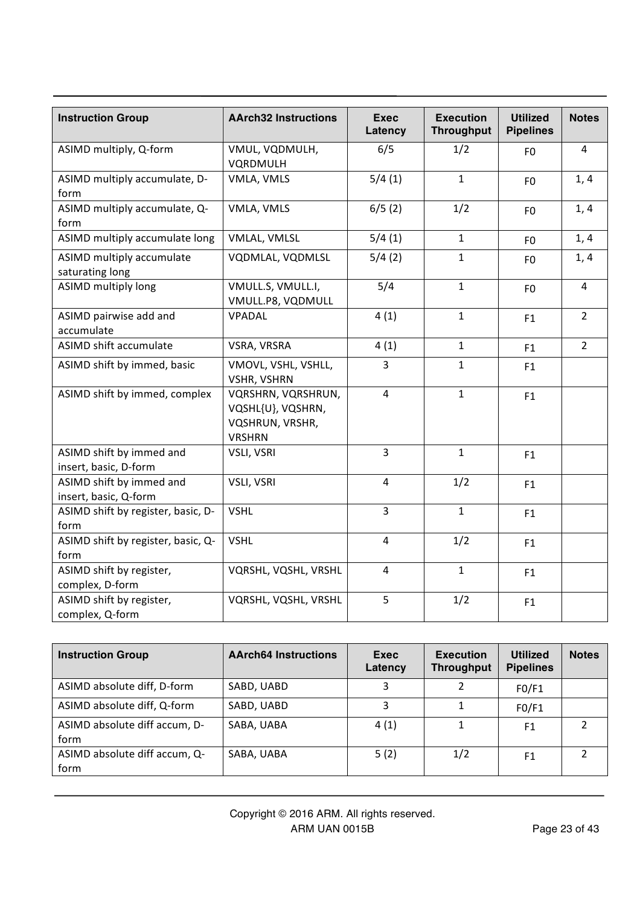| <b>Instruction Group</b>                          | <b>AArch32 Instructions</b>                                                 | <b>Exec</b><br>Latency | <b>Execution</b><br><b>Throughput</b> | <b>Utilized</b><br><b>Pipelines</b> | <b>Notes</b>   |
|---------------------------------------------------|-----------------------------------------------------------------------------|------------------------|---------------------------------------|-------------------------------------|----------------|
| ASIMD multiply, Q-form                            | VMUL, VQDMULH,<br>VQRDMULH                                                  | 6/5                    | 1/2                                   | F <sub>0</sub>                      | $\overline{4}$ |
| ASIMD multiply accumulate, D-<br>form             | VMLA, VMLS                                                                  | 5/4(1)                 | $\mathbf{1}$                          | F <sub>0</sub>                      | 1, 4           |
| ASIMD multiply accumulate, Q-<br>form             | VMLA, VMLS                                                                  | 6/5(2)                 | 1/2                                   | F <sub>0</sub>                      | 1, 4           |
| ASIMD multiply accumulate long                    | VMLAL, VMLSL                                                                | 5/4(1)                 | $\mathbf{1}$                          | F <sub>0</sub>                      | 1, 4           |
| ASIMD multiply accumulate<br>saturating long      | VQDMLAL, VQDMLSL                                                            | 5/4(2)                 | $\mathbf{1}$                          | F <sub>0</sub>                      | 1, 4           |
| <b>ASIMD multiply long</b>                        | VMULL.S, VMULL.I,<br>VMULL.P8, VQDMULL                                      | 5/4                    | $\mathbf{1}$                          | F <sub>0</sub>                      | $\pmb{4}$      |
| ASIMD pairwise add and<br>accumulate              | VPADAL                                                                      | 4(1)                   | $\mathbf{1}$                          | F1                                  | $\overline{2}$ |
| ASIMD shift accumulate                            | VSRA, VRSRA                                                                 | 4(1)                   | $\mathbf{1}$                          | F1                                  | $\overline{2}$ |
| ASIMD shift by immed, basic                       | VMOVL, VSHL, VSHLL,<br><b>VSHR, VSHRN</b>                                   | $\overline{3}$         | $\mathbf{1}$                          | F <sub>1</sub>                      |                |
| ASIMD shift by immed, complex                     | VQRSHRN, VQRSHRUN,<br>VQSHL{U}, VQSHRN,<br>VQSHRUN, VRSHR,<br><b>VRSHRN</b> | $\overline{4}$         | $\mathbf{1}$                          | F1                                  |                |
| ASIMD shift by immed and<br>insert, basic, D-form | VSLI, VSRI                                                                  | $\overline{3}$         | $\mathbf{1}$                          | F1                                  |                |
| ASIMD shift by immed and<br>insert, basic, Q-form | VSLI, VSRI                                                                  | $\overline{4}$         | 1/2                                   | F1                                  |                |
| ASIMD shift by register, basic, D-<br>form        | <b>VSHL</b>                                                                 | $\overline{3}$         | $\mathbf{1}$                          | F1                                  |                |
| ASIMD shift by register, basic, Q-<br>form        | <b>VSHL</b>                                                                 | $\overline{4}$         | 1/2                                   | F1                                  |                |
| ASIMD shift by register,<br>complex, D-form       | VQRSHL, VQSHL, VRSHL                                                        | $\overline{4}$         | $\mathbf{1}$                          | F1                                  |                |
| ASIMD shift by register,<br>complex, Q-form       | VQRSHL, VQSHL, VRSHL                                                        | 5                      | 1/2                                   | F1                                  |                |

| <b>Instruction Group</b>              | <b>AArch64 Instructions</b> | Exec<br>Latency | <b>Execution</b><br><b>Throughput</b> | <b>Utilized</b><br><b>Pipelines</b> | <b>Notes</b> |
|---------------------------------------|-----------------------------|-----------------|---------------------------------------|-------------------------------------|--------------|
| ASIMD absolute diff, D-form           | SABD, UABD                  |                 |                                       | FO/F1                               |              |
| ASIMD absolute diff, Q-form           | SABD, UABD                  | 3               |                                       | FO/F1                               |              |
| ASIMD absolute diff accum, D-<br>form | SABA, UABA                  | 4(1)            |                                       | F <sub>1</sub>                      | າ            |
| ASIMD absolute diff accum, Q-<br>form | SABA, UABA                  | 5(2)            | 1/2                                   | F <sub>1</sub>                      | 2            |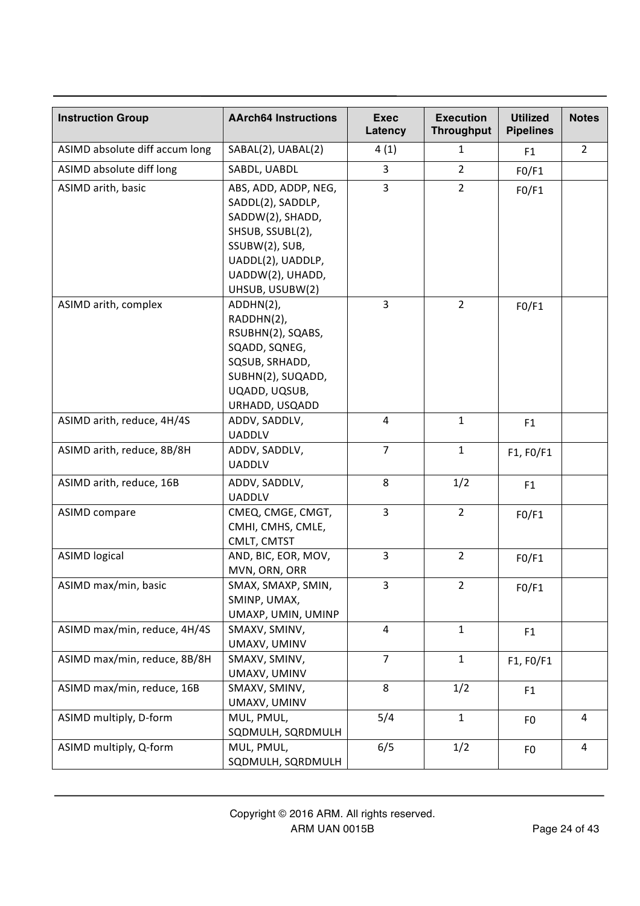| <b>Instruction Group</b>       | <b>AArch64 Instructions</b>                                                                                                                                     | <b>Exec</b><br>Latency | <b>Execution</b><br><b>Throughput</b> | <b>Utilized</b><br><b>Pipelines</b> | <b>Notes</b>   |
|--------------------------------|-----------------------------------------------------------------------------------------------------------------------------------------------------------------|------------------------|---------------------------------------|-------------------------------------|----------------|
| ASIMD absolute diff accum long | SABAL(2), UABAL(2)                                                                                                                                              | 4(1)                   | $\mathbf{1}$                          | F <sub>1</sub>                      | $\overline{2}$ |
| ASIMD absolute diff long       | SABDL, UABDL                                                                                                                                                    | 3                      | $\overline{2}$                        | FO/F1                               |                |
| ASIMD arith, basic             | ABS, ADD, ADDP, NEG,<br>SADDL(2), SADDLP,<br>SADDW(2), SHADD,<br>SHSUB, SSUBL(2),<br>SSUBW(2), SUB,<br>UADDL(2), UADDLP,<br>UADDW(2), UHADD,<br>UHSUB, USUBW(2) | 3                      | $2^{\circ}$                           | FO/F1                               |                |
| ASIMD arith, complex           | ADDHN(2),<br>RADDHN(2),<br>RSUBHN(2), SQABS,<br>SQADD, SQNEG,<br>SQSUB, SRHADD,<br>SUBHN(2), SUQADD,<br>UQADD, UQSUB,<br>URHADD, USQADD                         | 3                      | $\overline{2}$                        | FO/F1                               |                |
| ASIMD arith, reduce, 4H/4S     | ADDV, SADDLV,<br><b>UADDLV</b>                                                                                                                                  | 4                      | $\mathbf{1}$                          | F1                                  |                |
| ASIMD arith, reduce, 8B/8H     | ADDV, SADDLV,<br><b>UADDLV</b>                                                                                                                                  | $\overline{7}$         | $\mathbf{1}$                          | F1, F0/F1                           |                |
| ASIMD arith, reduce, 16B       | ADDV, SADDLV,<br><b>UADDLV</b>                                                                                                                                  | 8                      | 1/2                                   | F <sub>1</sub>                      |                |
| <b>ASIMD compare</b>           | CMEQ, CMGE, CMGT,<br>CMHI, CMHS, CMLE,<br>CMLT, CMTST                                                                                                           | $\overline{3}$         | $2^{\circ}$                           | FO/F1                               |                |
| <b>ASIMD logical</b>           | AND, BIC, EOR, MOV,<br>MVN, ORN, ORR                                                                                                                            | $\overline{3}$         | $\overline{2}$                        | FO/F1                               |                |
| ASIMD max/min, basic           | SMAX, SMAXP, SMIN,<br>SMINP, UMAX,<br>UMAXP, UMIN, UMINP                                                                                                        | 3                      | $\overline{2}$                        | FO/F1                               |                |
| ASIMD max/min, reduce, 4H/4S   | SMAXV, SMINV,<br>UMAXV, UMINV                                                                                                                                   | 4                      | $\mathbf{1}$                          | F <sub>1</sub>                      |                |
| ASIMD max/min, reduce, 8B/8H   | SMAXV, SMINV,<br>UMAXV, UMINV                                                                                                                                   | $\overline{7}$         | $\mathbf{1}$                          | F1, F0/F1                           |                |
| ASIMD max/min, reduce, 16B     | SMAXV, SMINV,<br>UMAXV, UMINV                                                                                                                                   | 8                      | 1/2                                   | F <sub>1</sub>                      |                |
| ASIMD multiply, D-form         | MUL, PMUL,<br>SQDMULH, SQRDMULH                                                                                                                                 | 5/4                    | $\mathbf{1}$                          | F <sub>0</sub>                      | 4              |
| ASIMD multiply, Q-form         | MUL, PMUL,<br>SQDMULH, SQRDMULH                                                                                                                                 | 6/5                    | 1/2                                   | F <sub>0</sub>                      | 4              |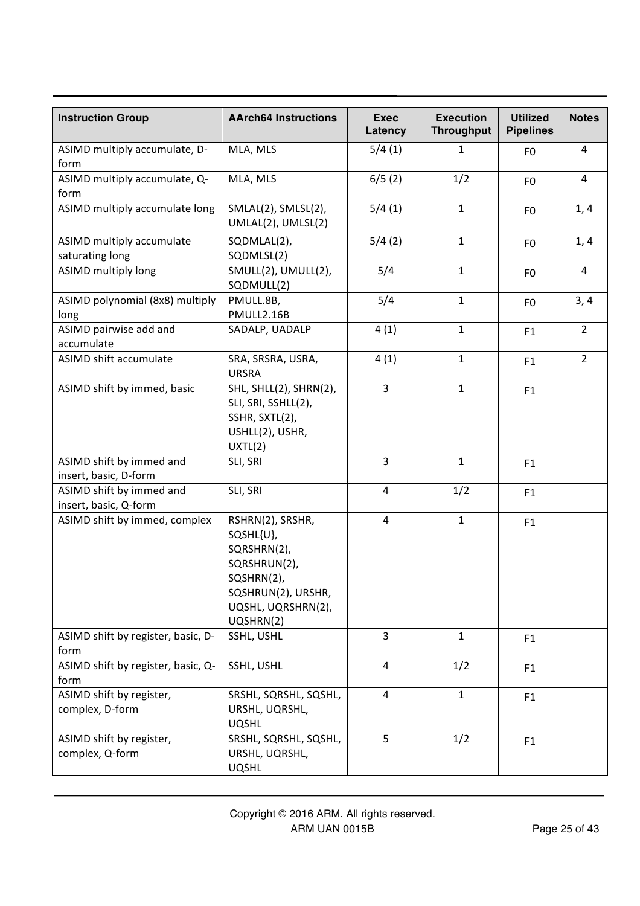| <b>Instruction Group</b>                          | <b>AArch64 Instructions</b>                                                                                                         | <b>Exec</b><br>Latency | <b>Execution</b><br><b>Throughput</b> | <b>Utilized</b><br><b>Pipelines</b> | <b>Notes</b>   |
|---------------------------------------------------|-------------------------------------------------------------------------------------------------------------------------------------|------------------------|---------------------------------------|-------------------------------------|----------------|
| ASIMD multiply accumulate, D-<br>form             | MLA, MLS                                                                                                                            | 5/4(1)                 | $\mathbf 1$                           | F <sub>0</sub>                      | 4              |
| ASIMD multiply accumulate, Q-<br>form             | MLA, MLS                                                                                                                            | 6/5(2)                 | 1/2                                   | F <sub>0</sub>                      | 4              |
| ASIMD multiply accumulate long                    | SMLAL(2), SMLSL(2),<br>UMLAL(2), UMLSL(2)                                                                                           | 5/4(1)                 | $\mathbf{1}$                          | F <sub>0</sub>                      | 1, 4           |
| ASIMD multiply accumulate<br>saturating long      | SQDMLAL(2),<br>SQDMLSL(2)                                                                                                           | 5/4(2)                 | $\mathbf{1}$                          | F <sub>0</sub>                      | 1, 4           |
| ASIMD multiply long                               | SMULL(2), UMULL(2),<br>SQDMULL(2)                                                                                                   | 5/4                    | $\mathbf{1}$                          | F <sub>0</sub>                      | 4              |
| ASIMD polynomial (8x8) multiply<br>long           | PMULL.8B,<br>PMULL2.16B                                                                                                             | 5/4                    | $\mathbf{1}$                          | F <sub>0</sub>                      | 3, 4           |
| ASIMD pairwise add and<br>accumulate              | SADALP, UADALP                                                                                                                      | 4(1)                   | $\mathbf{1}$                          | F1                                  | $\overline{2}$ |
| ASIMD shift accumulate                            | SRA, SRSRA, USRA,<br><b>URSRA</b>                                                                                                   | 4(1)                   | $\mathbf{1}$                          | F1                                  | $\overline{2}$ |
| ASIMD shift by immed, basic                       | SHL, SHLL(2), SHRN(2),<br>SLI, SRI, SSHLL(2),<br>SSHR, SXTL(2),<br>USHLL(2), USHR,<br>UXTL(2)                                       | $\overline{3}$         | $\mathbf{1}$                          | F1                                  |                |
| ASIMD shift by immed and<br>insert, basic, D-form | SLI, SRI                                                                                                                            | $\overline{3}$         | $\mathbf{1}$                          | F1                                  |                |
| ASIMD shift by immed and<br>insert, basic, Q-form | SLI, SRI                                                                                                                            | 4                      | 1/2                                   | F1                                  |                |
| ASIMD shift by immed, complex                     | RSHRN(2), SRSHR,<br>SQSHL{U},<br>SQRSHRN(2),<br>SQRSHRUN(2),<br>SQSHRN(2),<br>SQSHRUN(2), URSHR,<br>UQSHL, UQRSHRN(2),<br>UQSHRN(2) | 4                      | $\mathbf{1}$                          | F1                                  |                |
| ASIMD shift by register, basic, D-<br>form        | SSHL, USHL                                                                                                                          | $\overline{3}$         | $\mathbf{1}$                          | F <sub>1</sub>                      |                |
| ASIMD shift by register, basic, Q-<br>form        | SSHL, USHL                                                                                                                          | $\overline{4}$         | 1/2                                   | F1                                  |                |
| ASIMD shift by register,<br>complex, D-form       | SRSHL, SQRSHL, SQSHL,<br>URSHL, UQRSHL,<br><b>UQSHL</b>                                                                             | $\overline{4}$         | $\mathbf{1}$                          | F <sub>1</sub>                      |                |
| ASIMD shift by register,<br>complex, Q-form       | SRSHL, SQRSHL, SQSHL,<br>URSHL, UQRSHL,<br><b>UQSHL</b>                                                                             | 5                      | 1/2                                   | F1                                  |                |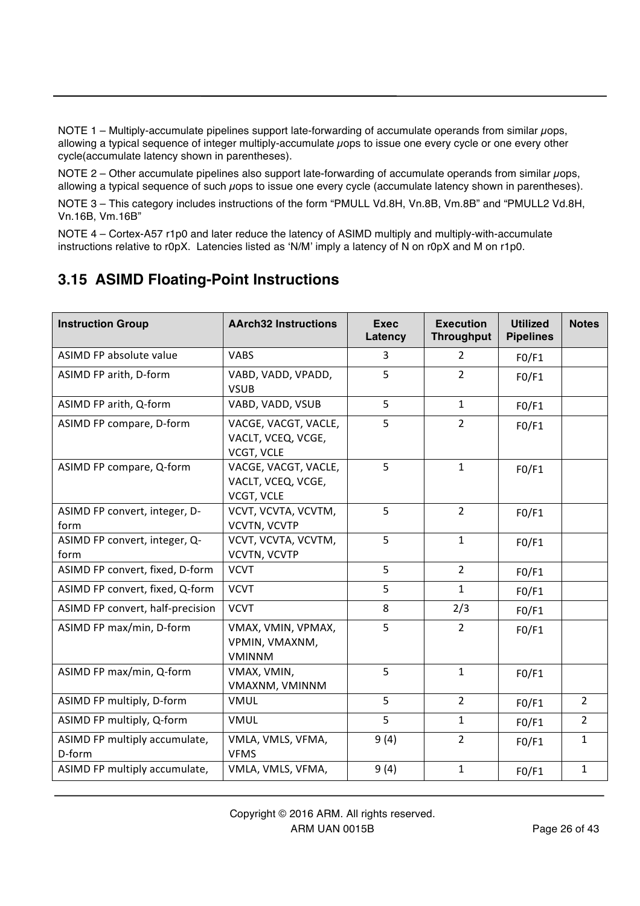NOTE 1 – Multiply-accumulate pipelines support late-forwarding of accumulate operands from similar  $\mu$ ops, allowing a typical sequence of integer multiply-accumulate uops to issue one every cycle or one every other cycle(accumulate latency shown in parentheses).

NOTE 2 – Other accumulate pipelines also support late-forwarding of accumulate operands from similar *µops*, allowing a typical sequence of such µops to issue one every cycle (accumulate latency shown in parentheses).

NOTE 3 – This category includes instructions of the form "PMULL Vd.8H, Vn.8B, Vm.8B" and "PMULL2 Vd.8H, Vn.16B, Vm.16B"

NOTE 4 – Cortex-A57 r1p0 and later reduce the latency of ASIMD multiply and multiply-with-accumulate instructions relative to r0pX. Latencies listed as 'N/M' imply a latency of N on r0pX and M on r1p0.

#### **3.15 ASIMD Floating-Point Instructions**

| <b>Instruction Group</b>                | <b>AArch32 Instructions</b>                                     | <b>Exec</b><br>Latency | <b>Execution</b><br><b>Throughput</b> | <b>Utilized</b><br><b>Pipelines</b> | <b>Notes</b>   |
|-----------------------------------------|-----------------------------------------------------------------|------------------------|---------------------------------------|-------------------------------------|----------------|
| ASIMD FP absolute value                 | <b>VABS</b>                                                     | 3                      | $\overline{2}$                        | FO/F1                               |                |
| ASIMD FP arith, D-form                  | VABD, VADD, VPADD,<br><b>VSUB</b>                               | 5                      | $\overline{2}$                        | FO/F1                               |                |
| ASIMD FP arith, Q-form                  | VABD, VADD, VSUB                                                | 5                      | $\mathbf{1}$                          | FO/F1                               |                |
| ASIMD FP compare, D-form                | VACGE, VACGT, VACLE,<br>VACLT, VCEQ, VCGE,<br><b>VCGT, VCLE</b> | 5                      | $\overline{2}$                        | FO/F1                               |                |
| ASIMD FP compare, Q-form                | VACGE, VACGT, VACLE,<br>VACLT, VCEQ, VCGE,<br>VCGT, VCLE        | 5                      | $\mathbf{1}$                          | FO/F1                               |                |
| ASIMD FP convert, integer, D-<br>form   | VCVT, VCVTA, VCVTM,<br>VCVTN, VCVTP                             | 5                      | $\overline{2}$                        | FO/F1                               |                |
| ASIMD FP convert, integer, Q-<br>form   | VCVT, VCVTA, VCVTM,<br>VCVTN, VCVTP                             | 5                      | $\mathbf{1}$                          | FO/F1                               |                |
| ASIMD FP convert, fixed, D-form         | <b>VCVT</b>                                                     | 5                      | $2^{\circ}$                           | FO/F1                               |                |
| ASIMD FP convert, fixed, Q-form         | <b>VCVT</b>                                                     | 5                      | $\mathbf{1}$                          | FO/F1                               |                |
| ASIMD FP convert, half-precision        | <b>VCVT</b>                                                     | 8                      | 2/3                                   | FO/F1                               |                |
| ASIMD FP max/min, D-form                | VMAX, VMIN, VPMAX,<br>VPMIN, VMAXNM,<br><b>VMINNM</b>           | 5                      | $\overline{2}$                        | FO/F1                               |                |
| ASIMD FP max/min, Q-form                | VMAX, VMIN,<br>VMAXNM, VMINNM                                   | 5                      | $\mathbf{1}$                          | FO/F1                               |                |
| ASIMD FP multiply, D-form               | <b>VMUL</b>                                                     | 5                      | $\overline{2}$                        | FO/F1                               | $\overline{2}$ |
| ASIMD FP multiply, Q-form               | <b>VMUL</b>                                                     | 5                      | $\mathbf{1}$                          | FO/F1                               | $\overline{2}$ |
| ASIMD FP multiply accumulate,<br>D-form | VMLA, VMLS, VFMA,<br><b>VFMS</b>                                | 9(4)                   | $\overline{2}$                        | FO/F1                               | $\mathbf{1}$   |
| ASIMD FP multiply accumulate,           | VMLA, VMLS, VFMA,                                               | 9(4)                   | $\mathbf{1}$                          | FO/F1                               | $\mathbf{1}$   |

Copyright © 2016 ARM. All rights reserved. ARM UAN 0015B Page 26 of 43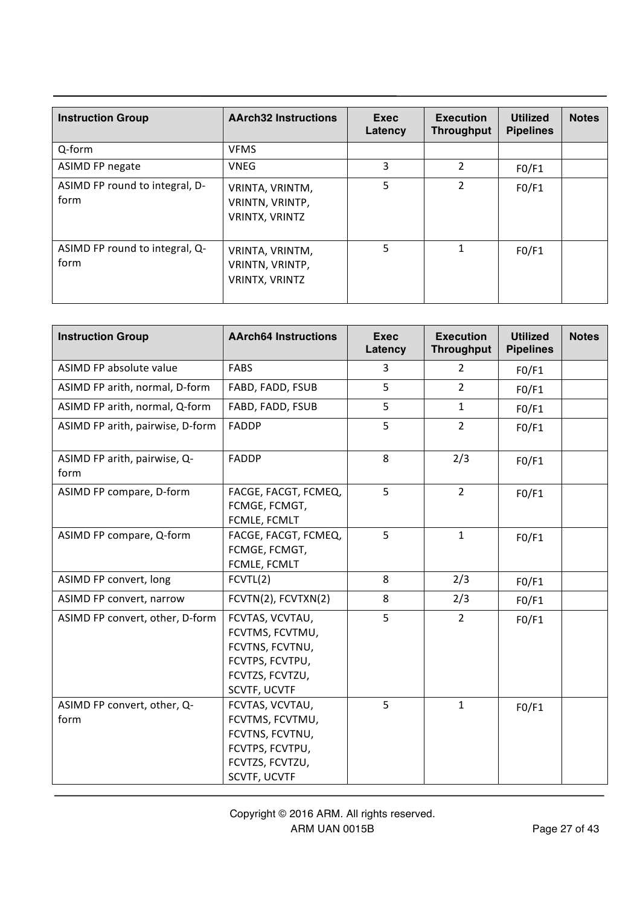| <b>Instruction Group</b>               | <b>AArch32 Instructions</b>                                 | Exec<br>Latency | <b>Execution</b><br><b>Throughput</b> | <b>Utilized</b><br><b>Pipelines</b> | <b>Notes</b> |
|----------------------------------------|-------------------------------------------------------------|-----------------|---------------------------------------|-------------------------------------|--------------|
| Q-form                                 | <b>VFMS</b>                                                 |                 |                                       |                                     |              |
| ASIMD FP negate                        | <b>VNEG</b>                                                 | 3               | $\overline{2}$                        | FO/F1                               |              |
| ASIMD FP round to integral, D-<br>form | VRINTA, VRINTM,<br>VRINTN, VRINTP,<br>VRINTX, VRINTZ        | 5               | $\overline{2}$                        | FO/F1                               |              |
| ASIMD FP round to integral, Q-<br>form | VRINTA, VRINTM,<br>VRINTN, VRINTP,<br><b>VRINTX, VRINTZ</b> | 5               |                                       | FO/F1                               |              |

| <b>Instruction Group</b>             | <b>AArch64 Instructions</b>                                                                                 | <b>Exec</b><br>Latency | <b>Execution</b><br><b>Throughput</b> | <b>Utilized</b><br><b>Pipelines</b> | <b>Notes</b> |
|--------------------------------------|-------------------------------------------------------------------------------------------------------------|------------------------|---------------------------------------|-------------------------------------|--------------|
| ASIMD FP absolute value              | <b>FABS</b>                                                                                                 | 3                      | 2                                     | FO/F1                               |              |
| ASIMD FP arith, normal, D-form       | FABD, FADD, FSUB                                                                                            | 5                      | $\overline{2}$                        | FO/F1                               |              |
| ASIMD FP arith, normal, Q-form       | FABD, FADD, FSUB                                                                                            | 5                      | $\mathbf{1}$                          | FO/F1                               |              |
| ASIMD FP arith, pairwise, D-form     | <b>FADDP</b>                                                                                                | 5                      | $\overline{2}$                        | FO/F1                               |              |
| ASIMD FP arith, pairwise, Q-<br>form | <b>FADDP</b>                                                                                                | 8                      | 2/3                                   | FO/F1                               |              |
| ASIMD FP compare, D-form             | FACGE, FACGT, FCMEQ,<br>FCMGE, FCMGT,<br>FCMLE, FCMLT                                                       | 5                      | $2^{\circ}$                           | FO/F1                               |              |
| ASIMD FP compare, Q-form             | FACGE, FACGT, FCMEQ,<br>FCMGE, FCMGT,<br>FCMLE, FCMLT                                                       | 5                      | $\mathbf{1}$                          | FO/F1                               |              |
| ASIMD FP convert, long               | FCVTL(2)                                                                                                    | 8                      | 2/3                                   | FO/F1                               |              |
| ASIMD FP convert, narrow             | FCVTN(2), FCVTXN(2)                                                                                         | 8                      | 2/3                                   | FO/F1                               |              |
| ASIMD FP convert, other, D-form      | FCVTAS, VCVTAU,<br>FCVTMS, FCVTMU,<br>FCVTNS, FCVTNU,<br>FCVTPS, FCVTPU,<br>FCVTZS, FCVTZU,<br>SCVTF, UCVTF | 5                      | $\overline{2}$                        | FO/F1                               |              |
| ASIMD FP convert, other, Q-<br>form  | FCVTAS, VCVTAU,<br>FCVTMS, FCVTMU,<br>FCVTNS, FCVTNU,<br>FCVTPS, FCVTPU,<br>FCVTZS, FCVTZU,<br>SCVTF, UCVTF | 5                      | $\mathbf{1}$                          | FO/F1                               |              |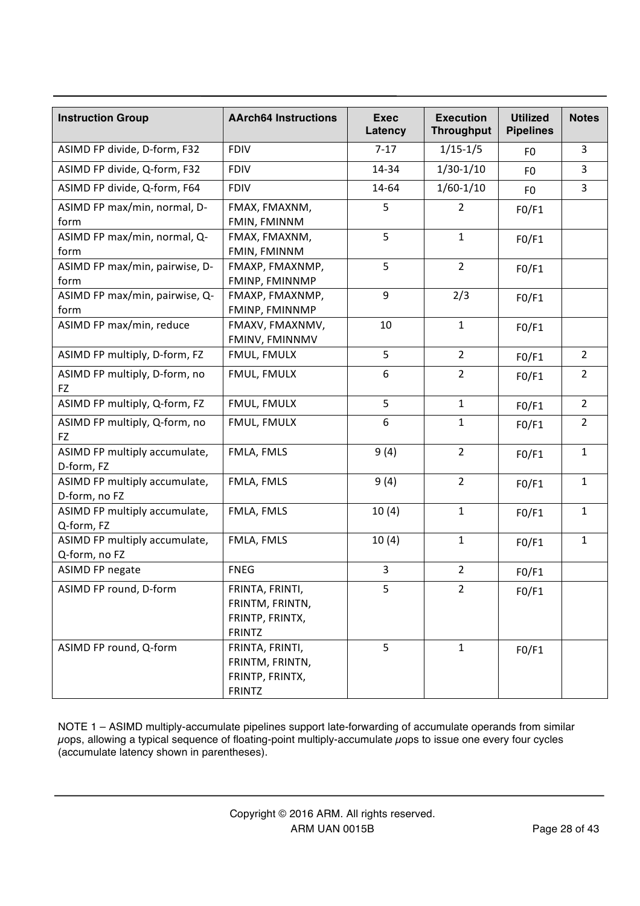| <b>Instruction Group</b>                       | <b>AArch64 Instructions</b>                                            | <b>Exec</b><br>Latency | <b>Execution</b><br><b>Throughput</b> | <b>Utilized</b><br><b>Pipelines</b> | <b>Notes</b>   |
|------------------------------------------------|------------------------------------------------------------------------|------------------------|---------------------------------------|-------------------------------------|----------------|
| ASIMD FP divide, D-form, F32                   | <b>FDIV</b>                                                            | $7-17$                 | $1/15-1/5$                            | F <sub>0</sub>                      | 3              |
| ASIMD FP divide, Q-form, F32                   | <b>FDIV</b>                                                            | 14-34                  | $1/30-1/10$                           | F <sub>0</sub>                      | 3              |
| ASIMD FP divide, Q-form, F64                   | <b>FDIV</b>                                                            | 14-64                  | $1/60 - 1/10$                         | F <sub>0</sub>                      | 3              |
| ASIMD FP max/min, normal, D-<br>form           | FMAX, FMAXNM,<br>FMIN, FMINNM                                          | 5                      | $\overline{2}$                        | FO/F1                               |                |
| ASIMD FP max/min, normal, Q-<br>form           | FMAX, FMAXNM,<br>FMIN, FMINNM                                          | 5                      | $\mathbf{1}$                          | FO/F1                               |                |
| ASIMD FP max/min, pairwise, D-<br>form         | FMAXP, FMAXNMP,<br>FMINP, FMINNMP                                      | 5                      | $\overline{2}$                        | FO/F1                               |                |
| ASIMD FP max/min, pairwise, Q-<br>form         | FMAXP, FMAXNMP,<br>FMINP, FMINNMP                                      | 9                      | 2/3                                   | FO/F1                               |                |
| ASIMD FP max/min, reduce                       | FMAXV, FMAXNMV,<br>FMINV, FMINNMV                                      | 10                     | $\mathbf{1}$                          | FO/F1                               |                |
| ASIMD FP multiply, D-form, FZ                  | FMUL, FMULX                                                            | 5                      | $\overline{2}$                        | FO/F1                               | $\overline{2}$ |
| ASIMD FP multiply, D-form, no<br>FZ            | FMUL, FMULX                                                            | $\boldsymbol{6}$       | $\overline{2}$                        | FO/F1                               | $\overline{2}$ |
| ASIMD FP multiply, Q-form, FZ                  | FMUL, FMULX                                                            | 5                      | $\mathbf{1}$                          | FO/F1                               | $\overline{2}$ |
| ASIMD FP multiply, Q-form, no<br>FZ            | FMUL, FMULX                                                            | 6                      | $\mathbf{1}$                          | FO/F1                               | $\overline{2}$ |
| ASIMD FP multiply accumulate,<br>D-form, FZ    | FMLA, FMLS                                                             | 9(4)                   | $\overline{2}$                        | FO/F1                               | $\mathbf{1}$   |
| ASIMD FP multiply accumulate,<br>D-form, no FZ | FMLA, FMLS                                                             | 9(4)                   | $\overline{2}$                        | FO/F1                               | $\mathbf{1}$   |
| ASIMD FP multiply accumulate,<br>Q-form, FZ    | FMLA, FMLS                                                             | 10(4)                  | $\mathbf{1}$                          | FO/F1                               | $\mathbf{1}$   |
| ASIMD FP multiply accumulate,<br>Q-form, no FZ | FMLA, FMLS                                                             | 10(4)                  | 1                                     | FO/F1                               | $\mathbf{1}$   |
| <b>ASIMD FP negate</b>                         | <b>FNEG</b>                                                            | $\overline{3}$         | $\overline{2}$                        | FO/F1                               |                |
| ASIMD FP round, D-form                         | FRINTA, FRINTI,<br>FRINTM, FRINTN,<br>FRINTP, FRINTX,<br><b>FRINTZ</b> | 5                      | $\overline{2}$                        | FO/F1                               |                |
| ASIMD FP round, Q-form                         | FRINTA, FRINTI,<br>FRINTM, FRINTN,<br>FRINTP, FRINTX,<br><b>FRINTZ</b> | 5                      | $\mathbf{1}$                          | FO/F1                               |                |

NOTE 1 – ASIMD multiply-accumulate pipelines support late-forwarding of accumulate operands from similar  $\mu$ ops, allowing a typical sequence of floating-point multiply-accumulate  $\mu$ ops to issue one every four cycles (accumulate latency shown in parentheses).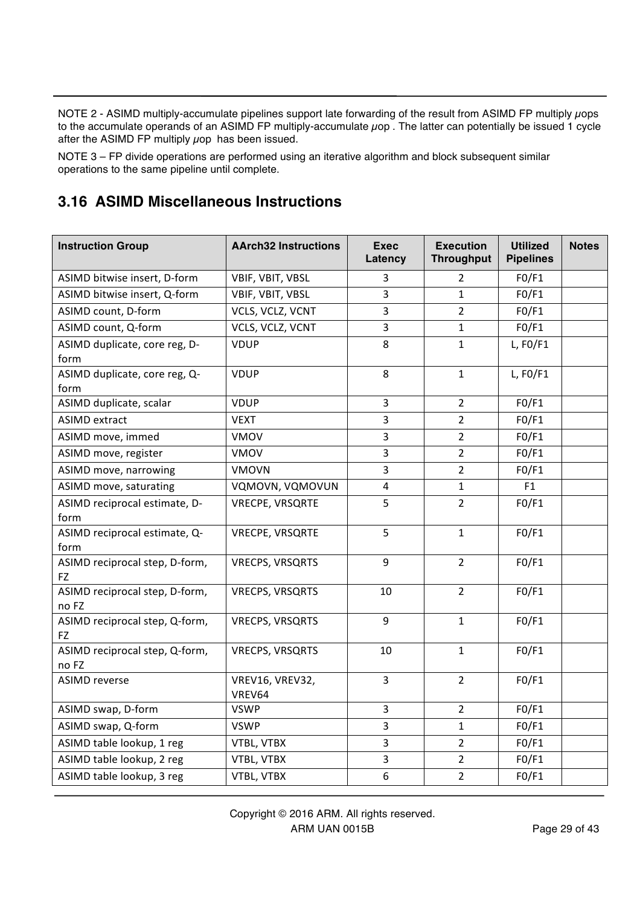NOTE 2 - ASIMD multiply-accumulate pipelines support late forwarding of the result from ASIMD FP multiply uops to the accumulate operands of an ASIMD FP multiply-accumulate µop . The latter can potentially be issued 1 cycle after the ASIMD FP multiply  $\mu$ op has been issued.

NOTE 3 – FP divide operations are performed using an iterative algorithm and block subsequent similar operations to the same pipeline until complete.

## **3.16 ASIMD Miscellaneous Instructions**

| <b>Instruction Group</b>                | <b>AArch32 Instructions</b> | <b>Exec</b><br>Latency | <b>Execution</b><br><b>Throughput</b> | <b>Utilized</b><br><b>Pipelines</b> | <b>Notes</b> |
|-----------------------------------------|-----------------------------|------------------------|---------------------------------------|-------------------------------------|--------------|
| ASIMD bitwise insert, D-form            | VBIF, VBIT, VBSL            | 3                      | $\overline{2}$                        | FO/F1                               |              |
| ASIMD bitwise insert, Q-form            | VBIF, VBIT, VBSL            | 3                      | $\mathbf{1}$                          | FO/F1                               |              |
| ASIMD count, D-form                     | VCLS, VCLZ, VCNT            | 3                      | $\overline{2}$                        | FO/F1                               |              |
| ASIMD count, Q-form                     | VCLS, VCLZ, VCNT            | 3                      | $\mathbf{1}$                          | FO/F1                               |              |
| ASIMD duplicate, core reg, D-           | <b>VDUP</b>                 | 8                      | $\mathbf{1}$                          | L, $FO/F1$                          |              |
| form                                    |                             |                        |                                       |                                     |              |
| ASIMD duplicate, core reg, Q-           | <b>VDUP</b>                 | 8                      | $\mathbf{1}$                          | L, $FO/F1$                          |              |
| form                                    |                             |                        |                                       |                                     |              |
| ASIMD duplicate, scalar                 | <b>VDUP</b>                 | 3                      | $\overline{2}$                        | FO/F1                               |              |
| <b>ASIMD extract</b>                    | <b>VEXT</b>                 | 3                      | $\overline{2}$                        | FO/F1                               |              |
| ASIMD move, immed                       | VMOV                        | $\overline{3}$         | $\overline{2}$                        | FO/F1                               |              |
| ASIMD move, register                    | <b>VMOV</b>                 | 3                      | $\overline{2}$                        | FO/F1                               |              |
| ASIMD move, narrowing                   | <b>VMOVN</b>                | 3                      | $\overline{2}$                        | FO/F1                               |              |
| ASIMD move, saturating                  | VQMOVN, VQMOVUN             | $\overline{4}$         | $\mathbf{1}$                          | F1                                  |              |
| ASIMD reciprocal estimate, D-           | <b>VRECPE, VRSQRTE</b>      | 5                      | $\overline{2}$                        | FO/F1                               |              |
| form                                    |                             |                        |                                       |                                     |              |
| ASIMD reciprocal estimate, Q-           | VRECPE, VRSQRTE             | 5                      | $\mathbf{1}$                          | FO/F1                               |              |
| form                                    |                             |                        |                                       |                                     |              |
| ASIMD reciprocal step, D-form,<br>FZ    | <b>VRECPS, VRSQRTS</b>      | 9                      | $\overline{2}$                        | FO/F1                               |              |
| ASIMD reciprocal step, D-form,          | <b>VRECPS, VRSQRTS</b>      | 10                     | $\overline{2}$                        | FO/F1                               |              |
| no FZ                                   |                             |                        |                                       |                                     |              |
| ASIMD reciprocal step, Q-form,          | <b>VRECPS, VRSQRTS</b>      | 9                      | $\mathbf{1}$                          | FO/F1                               |              |
| <b>FZ</b>                               |                             |                        | $\mathbf{1}$                          |                                     |              |
| ASIMD reciprocal step, Q-form,<br>no FZ | <b>VRECPS, VRSQRTS</b>      | 10                     |                                       | FO/F1                               |              |
| <b>ASIMD reverse</b>                    | VREV16, VREV32,<br>VREV64   | 3                      | $\overline{2}$                        | FO/F1                               |              |
| ASIMD swap, D-form                      | <b>VSWP</b>                 | 3                      | $\overline{2}$                        | FO/F1                               |              |
| ASIMD swap, Q-form                      | <b>VSWP</b>                 | $\overline{3}$         | $\mathbf{1}$                          | FO/F1                               |              |
| ASIMD table lookup, 1 reg               | VTBL, VTBX                  | 3                      | $\overline{2}$                        | FO/F1                               |              |
| ASIMD table lookup, 2 reg               | VTBL, VTBX                  | 3                      | $\overline{2}$                        | FO/F1                               |              |
| ASIMD table lookup, 3 reg               | VTBL, VTBX                  | 6                      | $\overline{2}$                        | FO/F1                               |              |
|                                         |                             |                        |                                       |                                     |              |

Copyright © 2016 ARM. All rights reserved. ARM UAN 0015B Page 29 of 43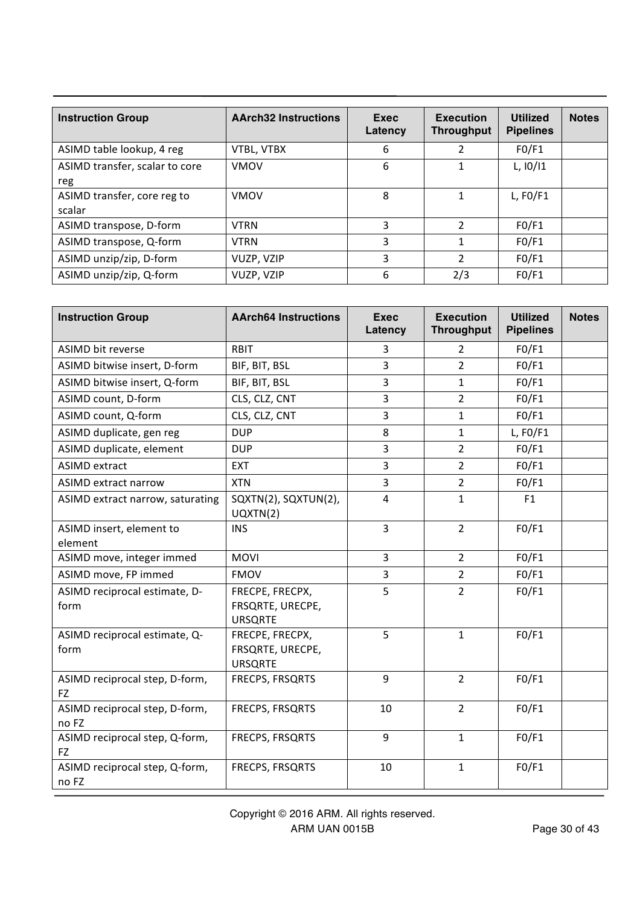| <b>Instruction Group</b>              | <b>AArch32 Instructions</b> | Exec<br>Latency | <b>Execution</b><br><b>Throughput</b> | <b>Utilized</b><br><b>Pipelines</b> | <b>Notes</b> |
|---------------------------------------|-----------------------------|-----------------|---------------------------------------|-------------------------------------|--------------|
| ASIMD table lookup, 4 reg             | VTBL, VTBX                  | 6               |                                       | F0/F1                               |              |
| ASIMD transfer, scalar to core<br>reg | <b>VMOV</b>                 | 6               |                                       | L, 10/11                            |              |
| ASIMD transfer, core reg to<br>scalar | <b>VMOV</b>                 | 8               |                                       | L, $FO/F1$                          |              |
| ASIMD transpose, D-form               | <b>VTRN</b>                 | 3               | $\mathcal{P}$                         | FO/F1                               |              |
| ASIMD transpose, Q-form               | <b>VTRN</b>                 | 3               |                                       | F0/F1                               |              |
| ASIMD unzip/zip, D-form               | VUZP, VZIP                  | 3               | 2                                     | FO/F1                               |              |
| ASIMD unzip/zip, Q-form               | VUZP, VZIP                  | 6               | 2/3                                   | F0/F1                               |              |

| <b>Instruction Group</b>                | <b>AArch64 Instructions</b>                           | <b>Exec</b><br>Latency | <b>Execution</b><br><b>Throughput</b> | <b>Utilized</b><br><b>Pipelines</b> | <b>Notes</b> |
|-----------------------------------------|-------------------------------------------------------|------------------------|---------------------------------------|-------------------------------------|--------------|
| <b>ASIMD bit reverse</b>                | <b>RBIT</b>                                           | 3                      | $\overline{2}$                        | FO/F1                               |              |
| ASIMD bitwise insert, D-form            | BIF, BIT, BSL                                         | 3                      | $\overline{2}$                        | FO/F1                               |              |
| ASIMD bitwise insert, Q-form            | BIF, BIT, BSL                                         | 3                      | $\mathbf{1}$                          | FO/F1                               |              |
| ASIMD count, D-form                     | CLS, CLZ, CNT                                         | 3                      | $\overline{2}$                        | FO/F1                               |              |
| ASIMD count, Q-form                     | CLS, CLZ, CNT                                         | 3                      | $\mathbf{1}$                          | FO/F1                               |              |
| ASIMD duplicate, gen reg                | <b>DUP</b>                                            | 8                      | $\mathbf{1}$                          | $L$ , FO/F1                         |              |
| ASIMD duplicate, element                | <b>DUP</b>                                            | 3                      | $\overline{2}$                        | FO/F1                               |              |
| <b>ASIMD extract</b>                    | <b>EXT</b>                                            | 3                      | $\overline{2}$                        | FO/F1                               |              |
| <b>ASIMD extract narrow</b>             | <b>XTN</b>                                            | 3                      | $\overline{2}$                        | FO/F1                               |              |
| ASIMD extract narrow, saturating        | SQXTN(2), SQXTUN(2),<br>UQXTN(2)                      | $\overline{4}$         | $\mathbf{1}$                          | F1                                  |              |
| ASIMD insert, element to<br>element     | <b>INS</b>                                            | 3                      | $2^{\circ}$                           | FO/F1                               |              |
| ASIMD move, integer immed               | <b>MOVI</b>                                           | 3                      | $\overline{2}$                        | FO/F1                               |              |
| ASIMD move, FP immed                    | <b>FMOV</b>                                           | 3                      | $\overline{2}$                        | FO/F1                               |              |
| ASIMD reciprocal estimate, D-<br>form   | FRECPE, FRECPX,<br>FRSQRTE, URECPE,<br><b>URSQRTE</b> | 5                      | $\overline{2}$                        | FO/F1                               |              |
| ASIMD reciprocal estimate, Q-<br>form   | FRECPE, FRECPX,<br>FRSQRTE, URECPE,<br><b>URSQRTE</b> | 5                      | $\mathbf{1}$                          | FO/F1                               |              |
| ASIMD reciprocal step, D-form,<br>FZ    | FRECPS, FRSQRTS                                       | 9                      | $2^{\circ}$                           | FO/F1                               |              |
| ASIMD reciprocal step, D-form,<br>no FZ | FRECPS, FRSQRTS                                       | 10                     | $2^{\circ}$                           | FO/F1                               |              |
| ASIMD reciprocal step, Q-form,<br>FZ    | FRECPS, FRSQRTS                                       | 9                      | $\mathbf{1}$                          | FO/F1                               |              |
| ASIMD reciprocal step, Q-form,<br>no FZ | FRECPS, FRSQRTS                                       | 10                     | $\mathbf{1}$                          | FO/F1                               |              |

Copyright © 2016 ARM. All rights reserved. ARM UAN 0015B Page 30 of 43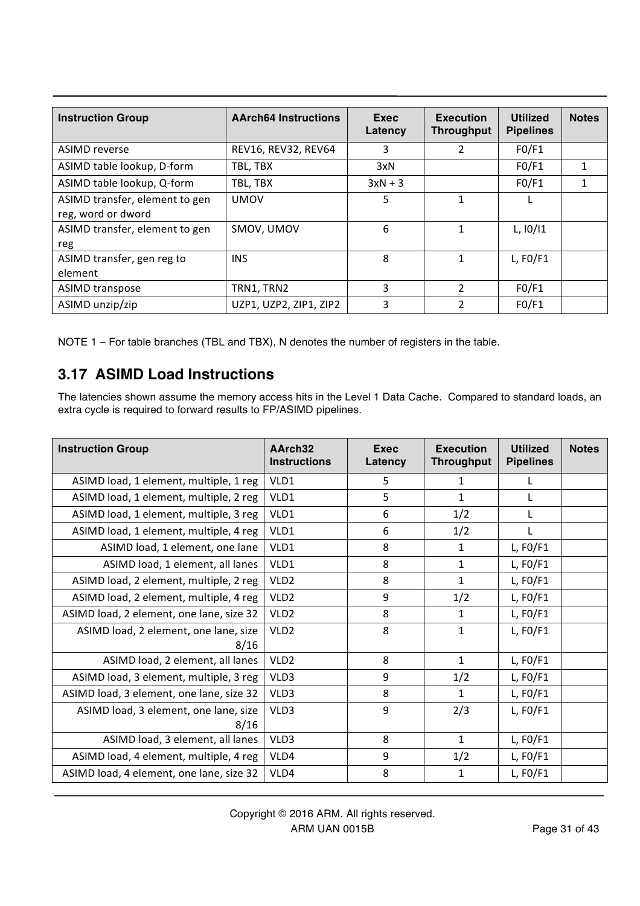| <b>Instruction Group</b>                             | <b>AArch64 Instructions</b> | Exec<br>Latency | <b>Execution</b><br><b>Throughput</b> | <b>Utilized</b><br><b>Pipelines</b> | <b>Notes</b> |
|------------------------------------------------------|-----------------------------|-----------------|---------------------------------------|-------------------------------------|--------------|
| <b>ASIMD</b> reverse                                 | REV16, REV32, REV64         | 3               | 2                                     | F0/F1                               |              |
| ASIMD table lookup, D-form                           | TBL, TBX                    | 3xN             |                                       | F0/F1                               |              |
| ASIMD table lookup, Q-form                           | TBL, TBX                    | $3xN + 3$       |                                       | F0/F1                               |              |
| ASIMD transfer, element to gen<br>reg, word or dword | <b>UMOV</b>                 | 5               |                                       |                                     |              |
| ASIMD transfer, element to gen<br>reg                | SMOV, UMOV                  | 6               |                                       | $L$ , $10/11$                       |              |
| ASIMD transfer, gen reg to<br>element                | <b>INS</b>                  | 8               |                                       | $L$ , FO/F1                         |              |
| <b>ASIMD transpose</b>                               | TRN1, TRN2                  | 3               | $\overline{2}$                        | FO/F1                               |              |
| ASIMD unzip/zip                                      | UZP1, UZP2, ZIP1, ZIP2      | 3               |                                       | F0/F1                               |              |

NOTE 1 – For table branches (TBL and TBX), N denotes the number of registers in the table.

# **3.17 ASIMD Load Instructions**

The latencies shown assume the memory access hits in the Level 1 Data Cache. Compared to standard loads, an extra cycle is required to forward results to FP/ASIMD pipelines.

| <b>Instruction Group</b>                      | AArch32<br><b>Instructions</b> | <b>Exec</b><br>Latency | <b>Execution</b><br><b>Throughput</b> | <b>Utilized</b><br><b>Pipelines</b> | <b>Notes</b> |
|-----------------------------------------------|--------------------------------|------------------------|---------------------------------------|-------------------------------------|--------------|
| ASIMD load, 1 element, multiple, 1 reg        | VLD1                           | 5                      | 1                                     |                                     |              |
| ASIMD load, 1 element, multiple, 2 reg        | VLD1                           | 5                      | 1                                     | L                                   |              |
| ASIMD load, 1 element, multiple, 3 reg        | VLD1                           | 6                      | 1/2                                   | L                                   |              |
| ASIMD load, 1 element, multiple, 4 reg        | VLD1                           | 6                      | 1/2                                   |                                     |              |
| ASIMD load, 1 element, one lane               | VLD1                           | 8                      | 1                                     | L, $F0/F1$                          |              |
| ASIMD load, 1 element, all lanes              | VLD1                           | 8                      | 1                                     | L, $FO/F1$                          |              |
| ASIMD load, 2 element, multiple, 2 reg        | VLD <sub>2</sub>               | 8                      | 1                                     | L, $F0/F1$                          |              |
| ASIMD load, 2 element, multiple, 4 reg        | VLD <sub>2</sub>               | 9                      | 1/2                                   | L, $F0/F1$                          |              |
| ASIMD load, 2 element, one lane, size 32      | VLD <sub>2</sub>               | 8                      | 1                                     | L, $F0/F1$                          |              |
| ASIMD load, 2 element, one lane, size<br>8/16 | VLD <sub>2</sub>               | 8                      | $\mathbf{1}$                          | L, $F0/F1$                          |              |
| ASIMD load, 2 element, all lanes              | VLD <sub>2</sub>               | 8                      | $\mathbf{1}$                          | L, $F0/F1$                          |              |
| ASIMD load, 3 element, multiple, 3 reg        | VLD3                           | 9                      | 1/2                                   | L, $FO/F1$                          |              |
| ASIMD load, 3 element, one lane, size 32      | VLD3                           | 8                      | 1                                     | L, $F0/F1$                          |              |
| ASIMD load, 3 element, one lane, size<br>8/16 | VLD3                           | 9                      | 2/3                                   | L, $F0/F1$                          |              |
| ASIMD load, 3 element, all lanes              | VLD3                           | 8                      | $\mathbf{1}$                          | L, $F0/F1$                          |              |
| ASIMD load, 4 element, multiple, 4 reg        | VLD4                           | 9                      | 1/2                                   | L, $FO/F1$                          |              |
| ASIMD load, 4 element, one lane, size 32      | VLD4                           | 8                      | 1                                     | L, $FO/F1$                          |              |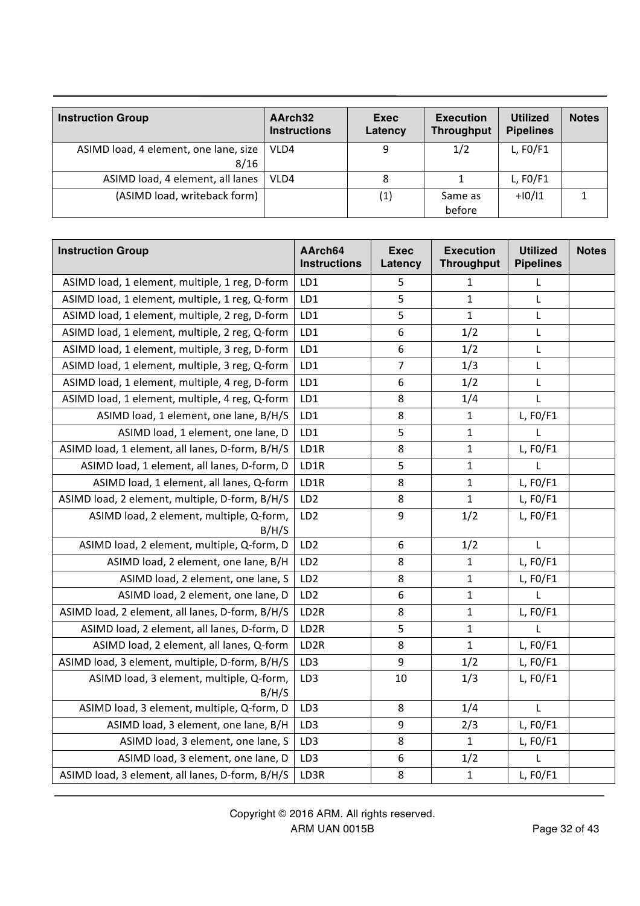| <b>Instruction Group</b>                      | AArch32<br><b>Instructions</b> | Exec<br>Latency | <b>Execution</b><br><b>Throughput</b> | <b>Utilized</b><br><b>Pipelines</b> | <b>Notes</b> |
|-----------------------------------------------|--------------------------------|-----------------|---------------------------------------|-------------------------------------|--------------|
| ASIMD load, 4 element, one lane, size<br>8/16 | VLD4                           | 9               | 1/2                                   | $L$ , FO/F1                         |              |
| ASIMD load, 4 element, all lanes              | VLD4                           | 8               |                                       | $L$ , FO/F1                         |              |
| (ASIMD load, writeback form)                  |                                | (1)             | Same as<br>before                     | $+10/11$                            |              |

| <b>Instruction Group</b>                          | AArch64<br><b>Instructions</b> | <b>Exec</b><br>Latency | <b>Execution</b><br><b>Throughput</b> | <b>Utilized</b><br><b>Pipelines</b> | <b>Notes</b> |
|---------------------------------------------------|--------------------------------|------------------------|---------------------------------------|-------------------------------------|--------------|
| ASIMD load, 1 element, multiple, 1 reg, D-form    | LD1                            | 5                      | 1                                     | L                                   |              |
| ASIMD load, 1 element, multiple, 1 reg, Q-form    | LD1                            | 5                      | $\mathbf{1}$                          | L                                   |              |
| ASIMD load, 1 element, multiple, 2 reg, D-form    | LD1                            | 5                      | $\mathbf 1$                           | L                                   |              |
| ASIMD load, 1 element, multiple, 2 reg, Q-form    | LD1                            | 6                      | 1/2                                   | L                                   |              |
| ASIMD load, 1 element, multiple, 3 reg, D-form    | LD1                            | 6                      | 1/2                                   | L                                   |              |
| ASIMD load, 1 element, multiple, 3 reg, Q-form    | LD1                            | $\overline{7}$         | 1/3                                   | L                                   |              |
| ASIMD load, 1 element, multiple, 4 reg, D-form    | LD1                            | 6                      | 1/2                                   | L                                   |              |
| ASIMD load, 1 element, multiple, 4 reg, Q-form    | LD1                            | 8                      | 1/4                                   | L                                   |              |
| ASIMD load, 1 element, one lane, B/H/S            | LD1                            | 8                      | $\mathbf 1$                           | $L$ , FO/F1                         |              |
| ASIMD load, 1 element, one lane, D                | LD1                            | 5                      | $\mathbf{1}$                          | L                                   |              |
| ASIMD load, 1 element, all lanes, D-form, B/H/S   | LD1R                           | 8                      | $\mathbf{1}$                          | $L$ , FO/F1                         |              |
| ASIMD load, 1 element, all lanes, D-form, D       | LD1R                           | 5                      | $\mathbf{1}$                          | L                                   |              |
| ASIMD load, 1 element, all lanes, Q-form          | LD1R                           | 8                      | $\mathbf{1}$                          | $L$ , FO/F1                         |              |
| ASIMD load, 2 element, multiple, D-form, B/H/S    | LD <sub>2</sub>                | 8                      | $\mathbf{1}$                          | $L$ , FO/F1                         |              |
| ASIMD load, 2 element, multiple, Q-form,<br>B/H/S | LD <sub>2</sub>                | 9                      | 1/2                                   | $L$ , FO/F1                         |              |
| ASIMD load, 2 element, multiple, Q-form, D        | LD <sub>2</sub>                | 6                      | 1/2                                   | $\mathsf{L}$                        |              |
| ASIMD load, 2 element, one lane, B/H              | LD <sub>2</sub>                | 8                      | $\mathbf 1$                           | $L$ , FO/F1                         |              |
| ASIMD load, 2 element, one lane, S                | LD <sub>2</sub>                | 8                      | $\mathbf 1$                           | $L$ , FO/F1                         |              |
| ASIMD load, 2 element, one lane, D                | LD <sub>2</sub>                | 6                      | $\mathbf{1}$                          | L                                   |              |
| ASIMD load, 2 element, all lanes, D-form, B/H/S   | LD <sub>2R</sub>               | 8                      | $\mathbf 1$                           | $L$ , FO/F1                         |              |
| ASIMD load, 2 element, all lanes, D-form, D       | LD <sub>2R</sub>               | 5                      | $\mathbf{1}$                          | L                                   |              |
| ASIMD load, 2 element, all lanes, Q-form          | LD <sub>2R</sub>               | 8                      | $\mathbf{1}$                          | $L$ , FO/F1                         |              |
| ASIMD load, 3 element, multiple, D-form, B/H/S    | LD <sub>3</sub>                | 9                      | 1/2                                   | L, F0/F1                            |              |
| ASIMD load, 3 element, multiple, Q-form,<br>B/H/S | LD3                            | 10                     | 1/3                                   | $L$ , FO/F1                         |              |
| ASIMD load, 3 element, multiple, Q-form, D        | LD3                            | 8                      | 1/4                                   | L                                   |              |
| ASIMD load, 3 element, one lane, B/H              | LD <sub>3</sub>                | 9                      | 2/3                                   | $L$ , FO/F1                         |              |
| ASIMD load, 3 element, one lane, S                | LD3                            | 8                      | $\mathbf{1}$                          | $L$ , FO/F1                         |              |
| ASIMD load, 3 element, one lane, D                | LD3                            | 6                      | 1/2                                   | L                                   |              |
| ASIMD load, 3 element, all lanes, D-form, B/H/S   | LD3R                           | 8                      | $\mathbf 1$                           | $L$ , FO/F1                         |              |

Copyright © 2016 ARM. All rights reserved. ARM UAN 0015B Page 32 of 43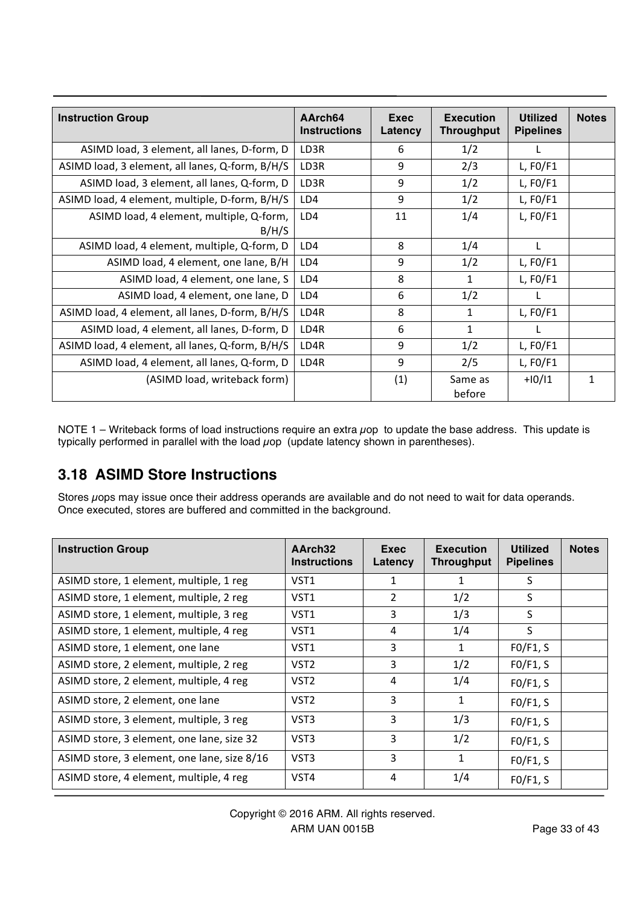| <b>Instruction Group</b>                          | AArch <sub>64</sub><br><b>Instructions</b> | Exec<br>Latency | <b>Execution</b><br><b>Throughput</b> | <b>Utilized</b><br><b>Pipelines</b> | <b>Notes</b> |
|---------------------------------------------------|--------------------------------------------|-----------------|---------------------------------------|-------------------------------------|--------------|
| ASIMD load, 3 element, all lanes, D-form, D       | LD3R                                       | 6               | 1/2                                   | L                                   |              |
| ASIMD load, 3 element, all lanes, Q-form, B/H/S   | LD3R                                       | 9               | 2/3                                   | L, $FO/F1$                          |              |
| ASIMD load, 3 element, all lanes, Q-form, D       | LD3R                                       | 9               | 1/2                                   | L, $FO/F1$                          |              |
| ASIMD load, 4 element, multiple, D-form, B/H/S    | LD4                                        | 9               | 1/2                                   | L, $FO/F1$                          |              |
| ASIMD load, 4 element, multiple, Q-form,<br>B/H/S | LD4                                        | 11              | 1/4                                   | L, $FO/F1$                          |              |
| ASIMD load, 4 element, multiple, Q-form, D        | LD4                                        | 8               | 1/4                                   | L                                   |              |
| ASIMD load, 4 element, one lane, B/H              | LD4                                        | 9               | 1/2                                   | L, $FO/F1$                          |              |
| ASIMD load, 4 element, one lane, S                | LD4                                        | 8               | $\mathbf{1}$                          | L, $FO/F1$                          |              |
| ASIMD load, 4 element, one lane, D                | LD4                                        | 6               | 1/2                                   | L                                   |              |
| ASIMD load, 4 element, all lanes, D-form, B/H/S   | LD4R                                       | 8               | 1                                     | L, $FO/F1$                          |              |
| ASIMD load, 4 element, all lanes, D-form, D       | LD4R                                       | 6               | 1                                     |                                     |              |
| ASIMD load, 4 element, all lanes, Q-form, B/H/S   | LD4R                                       | 9               | 1/2                                   | L, $FO/F1$                          |              |
| ASIMD load, 4 element, all lanes, Q-form, D       | LD4R                                       | 9               | 2/5                                   | L, $FO/F1$                          |              |
| (ASIMD load, writeback form)                      |                                            | (1)             | Same as<br>before                     | $+10/11$                            | 1            |

NOTE 1 – Writeback forms of load instructions require an extra  $\mu$ op to update the base address. This update is typically performed in parallel with the load  $\mu$ op (update latency shown in parentheses).

### **3.18 ASIMD Store Instructions**

Stores uops may issue once their address operands are available and do not need to wait for data operands. Once executed, stores are buffered and committed in the background.

| <b>Instruction Group</b>                    | AArch <sub>32</sub><br><b>Instructions</b> | Exec<br>Latency | <b>Execution</b><br><b>Throughput</b> | <b>Utilized</b><br><b>Pipelines</b> | <b>Notes</b> |
|---------------------------------------------|--------------------------------------------|-----------------|---------------------------------------|-------------------------------------|--------------|
| ASIMD store, 1 element, multiple, 1 reg     | VST <sub>1</sub>                           |                 |                                       | S                                   |              |
| ASIMD store, 1 element, multiple, 2 reg     | VST1                                       | 2               | 1/2                                   | S                                   |              |
| ASIMD store, 1 element, multiple, 3 reg     | VST <sub>1</sub>                           | 3               | 1/3                                   | S                                   |              |
| ASIMD store, 1 element, multiple, 4 reg     | VST <sub>1</sub>                           | 4               | 1/4                                   | S                                   |              |
| ASIMD store, 1 element, one lane            | VST <sub>1</sub>                           | 3               | 1                                     | FO/F1, S                            |              |
| ASIMD store, 2 element, multiple, 2 reg     | VST <sub>2</sub>                           | 3               | 1/2                                   | FO/F1, S                            |              |
| ASIMD store, 2 element, multiple, 4 reg     | VST <sub>2</sub>                           | 4               | 1/4                                   | FO/F1, S                            |              |
| ASIMD store, 2 element, one lane            | VST <sub>2</sub>                           | 3               | 1                                     | FO/F1, S                            |              |
| ASIMD store, 3 element, multiple, 3 reg     | VST3                                       | 3               | 1/3                                   | FO/F1, S                            |              |
| ASIMD store, 3 element, one lane, size 32   | VST3                                       | 3               | 1/2                                   | FO/F1, S                            |              |
| ASIMD store, 3 element, one lane, size 8/16 | VST3                                       | 3               | 1                                     | FO/F1, S                            |              |
| ASIMD store, 4 element, multiple, 4 reg     | VST4                                       | 4               | 1/4                                   | FO/F1, S                            |              |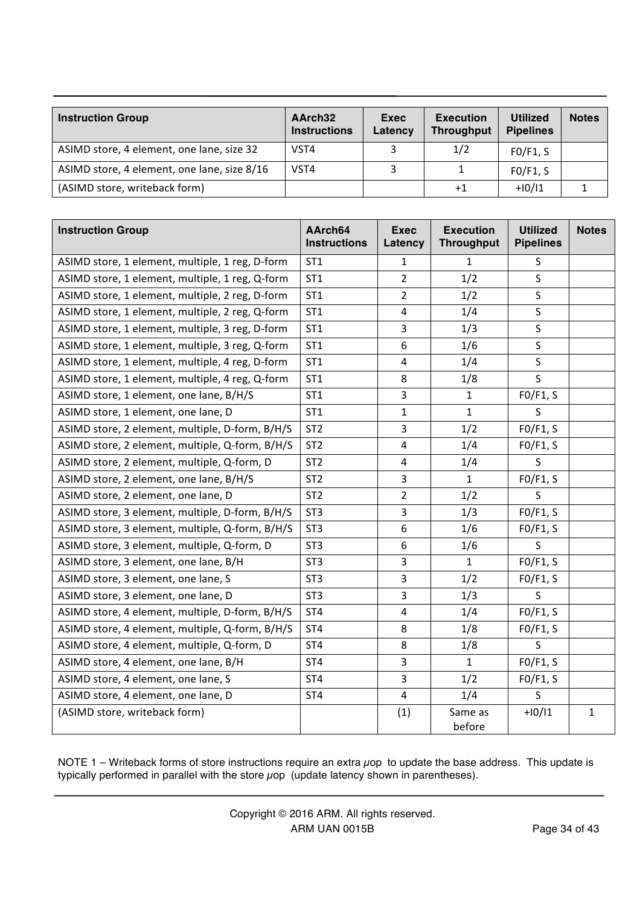| <b>Instruction Group</b>                    | AArch32<br><b>Instructions</b> | Exec<br>Latency | <b>Execution</b><br><b>Throughput</b> | <b>Utilized</b><br><b>Pipelines</b> | <b>Notes</b> |
|---------------------------------------------|--------------------------------|-----------------|---------------------------------------|-------------------------------------|--------------|
| ASIMD store, 4 element, one lane, size 32   | VST4                           |                 | 1/2                                   | FO/F1, S                            |              |
| ASIMD store, 4 element, one lane, size 8/16 | VST4                           |                 |                                       | FO/F1, S                            |              |
| (ASIMD store, writeback form)               |                                |                 | $+1$                                  | $+10/11$                            |              |

| <b>Instruction Group</b>                        | AArch64<br><b>Instructions</b> | <b>Exec</b><br>Latency  | <b>Execution</b><br><b>Throughput</b> | <b>Utilized</b><br><b>Pipelines</b> | <b>Notes</b> |
|-------------------------------------------------|--------------------------------|-------------------------|---------------------------------------|-------------------------------------|--------------|
| ASIMD store, 1 element, multiple, 1 reg, D-form | ST <sub>1</sub>                | $\mathbf{1}$            | $\mathbf{1}$                          | S                                   |              |
| ASIMD store, 1 element, multiple, 1 reg, Q-form | ST <sub>1</sub>                | $\overline{2}$          | 1/2                                   | S                                   |              |
| ASIMD store, 1 element, multiple, 2 reg, D-form | ST <sub>1</sub>                | $\overline{2}$          | 1/2                                   | $\sf S$                             |              |
| ASIMD store, 1 element, multiple, 2 reg, Q-form | ST <sub>1</sub>                | 4                       | 1/4                                   | $\sf S$                             |              |
| ASIMD store, 1 element, multiple, 3 reg, D-form | ST <sub>1</sub>                | 3                       | 1/3                                   | $\sf S$                             |              |
| ASIMD store, 1 element, multiple, 3 reg, Q-form | ST <sub>1</sub>                | 6                       | 1/6                                   | $\mathsf S$                         |              |
| ASIMD store, 1 element, multiple, 4 reg, D-form | ST <sub>1</sub>                | $\overline{\mathbf{4}}$ | 1/4                                   | $\sf S$                             |              |
| ASIMD store, 1 element, multiple, 4 reg, Q-form | ST <sub>1</sub>                | 8                       | 1/8                                   | S                                   |              |
| ASIMD store, 1 element, one lane, B/H/S         | ST <sub>1</sub>                | 3                       | $\mathbf{1}$                          | FO/F1, S                            |              |
| ASIMD store, 1 element, one lane, D             | ST <sub>1</sub>                | $\mathbf{1}$            | $\mathbf{1}$                          | S                                   |              |
| ASIMD store, 2 element, multiple, D-form, B/H/S | ST <sub>2</sub>                | $\overline{3}$          | 1/2                                   | FO/F1, S                            |              |
| ASIMD store, 2 element, multiple, Q-form, B/H/S | ST <sub>2</sub>                | $\overline{\mathbf{4}}$ | 1/4                                   | FO/F1, S                            |              |
| ASIMD store, 2 element, multiple, Q-form, D     | ST <sub>2</sub>                | 4                       | 1/4                                   | S                                   |              |
| ASIMD store, 2 element, one lane, B/H/S         | ST <sub>2</sub>                | 3                       | $\mathbf{1}$                          | FO/F1, S                            |              |
| ASIMD store, 2 element, one lane, D             | ST <sub>2</sub>                | $\overline{2}$          | 1/2                                   | $\sf S$                             |              |
| ASIMD store, 3 element, multiple, D-form, B/H/S | ST <sub>3</sub>                | 3                       | 1/3                                   | FO/F1, S                            |              |
| ASIMD store, 3 element, multiple, Q-form, B/H/S | ST <sub>3</sub>                | 6                       | 1/6                                   | FO/F1, S                            |              |
| ASIMD store, 3 element, multiple, Q-form, D     | ST <sub>3</sub>                | 6                       | 1/6                                   | S                                   |              |
| ASIMD store, 3 element, one lane, B/H           | ST <sub>3</sub>                | 3                       | $\mathbf{1}$                          | FO/F1, S                            |              |
| ASIMD store, 3 element, one lane, S             | ST <sub>3</sub>                | 3                       | 1/2                                   | FO/F1, S                            |              |
| ASIMD store, 3 element, one lane, D             | ST <sub>3</sub>                | 3                       | 1/3                                   | S                                   |              |
| ASIMD store, 4 element, multiple, D-form, B/H/S | ST <sub>4</sub>                | $\overline{4}$          | 1/4                                   | FO/F1, S                            |              |
| ASIMD store, 4 element, multiple, Q-form, B/H/S | ST <sub>4</sub>                | 8                       | 1/8                                   | FO/F1, S                            |              |
| ASIMD store, 4 element, multiple, Q-form, D     | ST <sub>4</sub>                | 8                       | 1/8                                   | $\sf S$                             |              |
| ASIMD store, 4 element, one lane, B/H           | ST <sub>4</sub>                | 3                       | $\mathbf{1}$                          | FO/F1, S                            |              |
| ASIMD store, 4 element, one lane, S             | ST <sub>4</sub>                | 3                       | 1/2                                   | FO/F1, S                            |              |
| ASIMD store, 4 element, one lane, D             | ST <sub>4</sub>                | $\overline{4}$          | 1/4                                   | S                                   |              |
| (ASIMD store, writeback form)                   |                                | (1)                     | Same as<br>before                     | $+10/11$                            | $\mathbf{1}$ |

NOTE 1 – Writeback forms of store instructions require an extra µop to update the base address. This update is typically performed in parallel with the store  $\mu$ op (update latency shown in parentheses).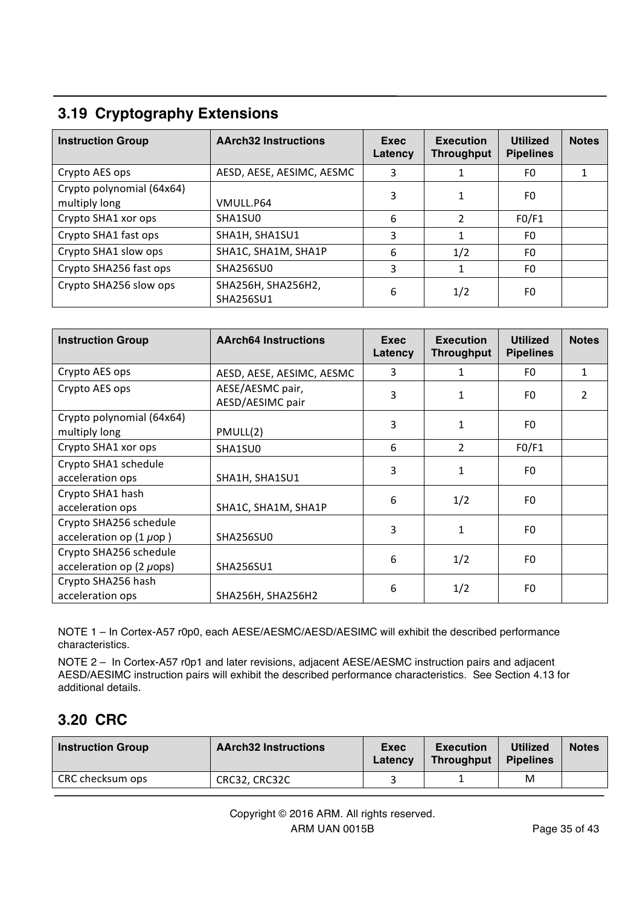# **3.19 Cryptography Extensions**

| <b>Instruction Group</b>                   | <b>AArch32 Instructions</b>            | Exec<br>Latency | <b>Execution</b><br><b>Throughput</b> | <b>Utilized</b><br><b>Pipelines</b> | <b>Notes</b> |
|--------------------------------------------|----------------------------------------|-----------------|---------------------------------------|-------------------------------------|--------------|
| Crypto AES ops                             | AESD, AESE, AESIMC, AESMC              | 3               |                                       | F0                                  |              |
| Crypto polynomial (64x64)<br>multiply long | VMULL.P64                              | 3               |                                       | F0                                  |              |
| Crypto SHA1 xor ops                        | SHA1SU0                                | 6               | 2                                     | FO/F1                               |              |
| Crypto SHA1 fast ops                       | SHA1H, SHA1SU1                         | 3               |                                       | F0                                  |              |
| Crypto SHA1 slow ops                       | SHA1C, SHA1M, SHA1P                    | 6               | 1/2                                   | F0.                                 |              |
| Crypto SHA256 fast ops                     | SHA256SU0                              | 3               |                                       | F0                                  |              |
| Crypto SHA256 slow ops                     | SHA256H, SHA256H2,<br><b>SHA256SU1</b> | 6               | 1/2                                   | F0                                  |              |

| <b>Instruction Group</b>                                | <b>AArch64 Instructions</b>          | Exec<br>Latency | <b>Execution</b><br>Throughput | <b>Utilized</b><br><b>Pipelines</b> | <b>Notes</b>   |
|---------------------------------------------------------|--------------------------------------|-----------------|--------------------------------|-------------------------------------|----------------|
| Crypto AES ops                                          | AESD, AESE, AESIMC, AESMC            | 3               |                                | F0                                  | 1              |
| Crypto AES ops                                          | AESE/AESMC pair,<br>AESD/AESIMC pair | 3               |                                | F0                                  | $\overline{2}$ |
| Crypto polynomial (64x64)<br>multiply long              | PMULL(2)                             | 3               |                                | F0                                  |                |
| Crypto SHA1 xor ops                                     | SHA1SU0                              | 6               | $\overline{2}$                 | FO/F1                               |                |
| Crypto SHA1 schedule<br>acceleration ops                | SHA1H, SHA1SU1                       | 3               |                                | F0                                  |                |
| Crypto SHA1 hash<br>acceleration ops                    | SHA1C, SHA1M, SHA1P                  | 6               | 1/2                            | F0                                  |                |
| Crypto SHA256 schedule<br>acceleration op $(1 \mu$ op)  | SHA256SU0                            | 3               |                                | F0                                  |                |
| Crypto SHA256 schedule<br>acceleration op $(2 \mu$ ops) | <b>SHA256SU1</b>                     | 6               | 1/2                            | F0                                  |                |
| Crypto SHA256 hash<br>acceleration ops                  | SHA256H, SHA256H2                    | 6               | 1/2                            | F0                                  |                |

NOTE 1 – In Cortex-A57 r0p0, each AESE/AESMC/AESD/AESIMC will exhibit the described performance characteristics.

NOTE 2 – In Cortex-A57 r0p1 and later revisions, adjacent AESE/AESMC instruction pairs and adjacent AESD/AESIMC instruction pairs will exhibit the described performance characteristics. See Section 4.13 for additional details.

#### **3.20 CRC**

| <b>Instruction Group</b> | <b>AArch32 Instructions</b> | Exec<br>Latency | <b>Execution</b><br><b>Throughput</b> | <b>Utilized</b><br><b>Pipelines</b> | <b>Notes</b> |
|--------------------------|-----------------------------|-----------------|---------------------------------------|-------------------------------------|--------------|
| CRC checksum ops         | CRC32, CRC32C               |                 |                                       | M                                   |              |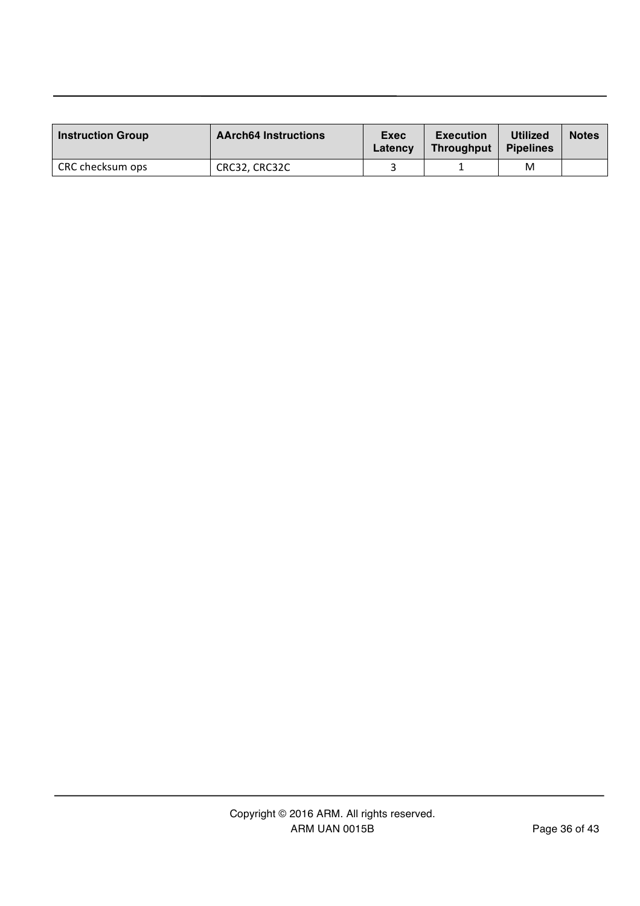| <b>Instruction Group</b> | <b>AArch64 Instructions</b> | Exec<br>Latency | <b>Execution</b><br>Throughput | <b>Utilized</b><br><b>Pipelines</b> | <b>Notes</b> |
|--------------------------|-----------------------------|-----------------|--------------------------------|-------------------------------------|--------------|
| CRC checksum ops         | CRC32, CRC32C               |                 |                                | M                                   |              |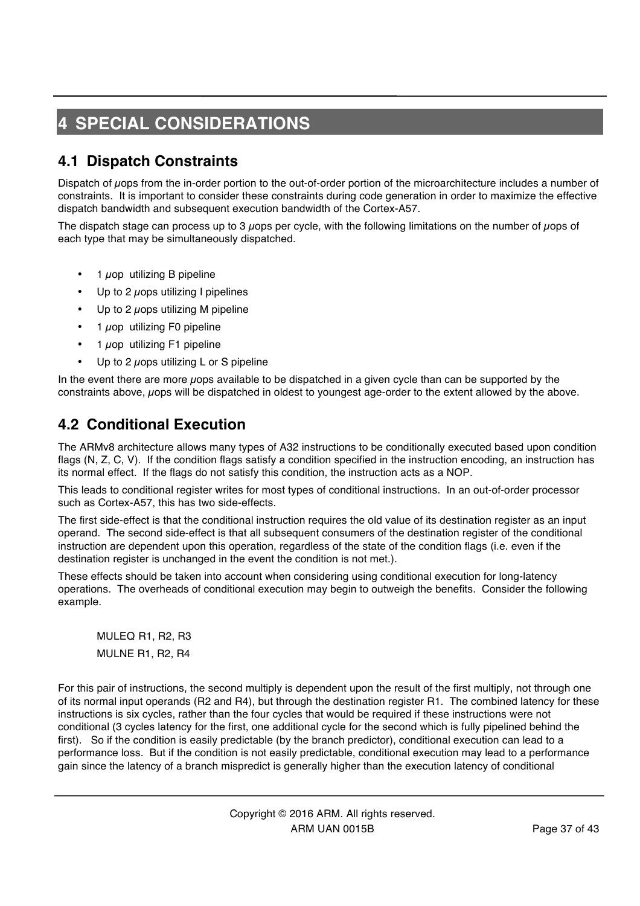# **4 SPECIAL CONSIDERATIONS**

## **4.1 Dispatch Constraints**

Dispatch of µops from the in-order portion to the out-of-order portion of the microarchitecture includes a number of constraints. It is important to consider these constraints during code generation in order to maximize the effective dispatch bandwidth and subsequent execution bandwidth of the Cortex-A57.

The dispatch stage can process up to 3  $\mu$ ops per cycle, with the following limitations on the number of  $\mu$ ops of each type that may be simultaneously dispatched.

- $\cdot$  1  $\mu$ op utilizing B pipeline
- Up to 2  $\mu$ ops utilizing I pipelines
- Up to 2  $\mu$ ops utilizing M pipeline
- 1  $\mu$ op utilizing F0 pipeline
- 1 uop utilizing F1 pipeline
- Up to 2 *u*ops utilizing L or S pipeline

In the event there are more  $\mu$ ops available to be dispatched in a given cycle than can be supported by the constraints above, uops will be dispatched in oldest to youngest age-order to the extent allowed by the above.

#### **4.2 Conditional Execution**

The ARMv8 architecture allows many types of A32 instructions to be conditionally executed based upon condition flags (N, Z, C, V). If the condition flags satisfy a condition specified in the instruction encoding, an instruction has its normal effect. If the flags do not satisfy this condition, the instruction acts as a NOP.

This leads to conditional register writes for most types of conditional instructions. In an out-of-order processor such as Cortex-A57, this has two side-effects.

The first side-effect is that the conditional instruction requires the old value of its destination register as an input operand. The second side-effect is that all subsequent consumers of the destination register of the conditional instruction are dependent upon this operation, regardless of the state of the condition flags (i.e. even if the destination register is unchanged in the event the condition is not met.).

These effects should be taken into account when considering using conditional execution for long-latency operations. The overheads of conditional execution may begin to outweigh the benefits. Consider the following example.

MULEQ R1, R2, R3 MULNE R1, R2, R4

For this pair of instructions, the second multiply is dependent upon the result of the first multiply, not through one of its normal input operands (R2 and R4), but through the destination register R1. The combined latency for these instructions is six cycles, rather than the four cycles that would be required if these instructions were not conditional (3 cycles latency for the first, one additional cycle for the second which is fully pipelined behind the first). So if the condition is easily predictable (by the branch predictor), conditional execution can lead to a performance loss. But if the condition is not easily predictable, conditional execution may lead to a performance gain since the latency of a branch mispredict is generally higher than the execution latency of conditional

> Copyright © 2016 ARM. All rights reserved. ARM UAN 0015B Page 37 of 43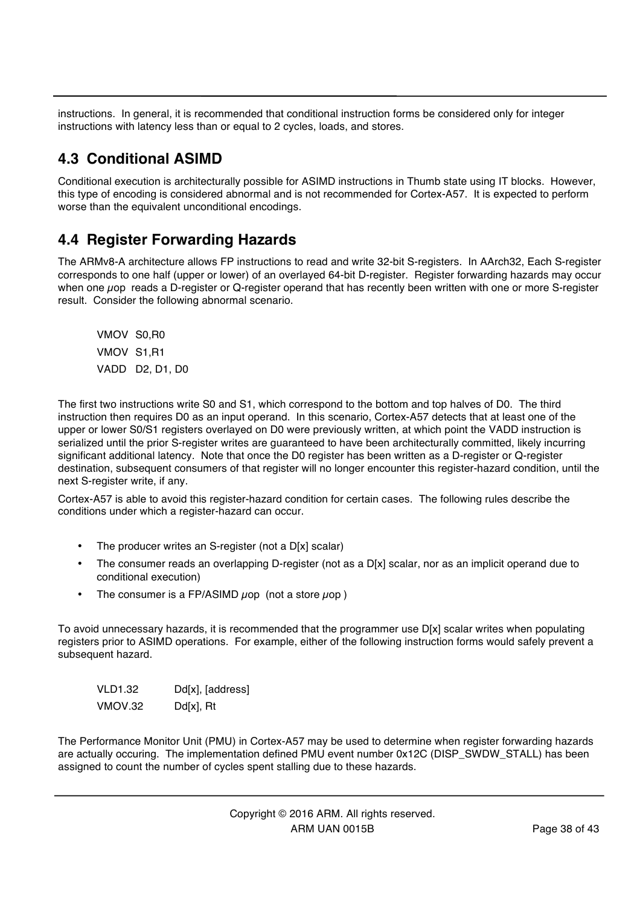instructions. In general, it is recommended that conditional instruction forms be considered only for integer instructions with latency less than or equal to 2 cycles, loads, and stores.

## **4.3 Conditional ASIMD**

Conditional execution is architecturally possible for ASIMD instructions in Thumb state using IT blocks. However, this type of encoding is considered abnormal and is not recommended for Cortex-A57. It is expected to perform worse than the equivalent unconditional encodings.

### **4.4 Register Forwarding Hazards**

The ARMv8-A architecture allows FP instructions to read and write 32-bit S-registers. In AArch32, Each S-register corresponds to one half (upper or lower) of an overlayed 64-bit D-register. Register forwarding hazards may occur when one uop reads a D-register or Q-register operand that has recently been written with one or more S-register result. Consider the following abnormal scenario.

VMOV S0,R0 VMOV S1,R1 VADD D2, D1, D0

The first two instructions write S0 and S1, which correspond to the bottom and top halves of D0. The third instruction then requires D0 as an input operand. In this scenario, Cortex-A57 detects that at least one of the upper or lower S0/S1 registers overlayed on D0 were previously written, at which point the VADD instruction is serialized until the prior S-register writes are guaranteed to have been architecturally committed, likely incurring significant additional latency. Note that once the D0 register has been written as a D-register or Q-register destination, subsequent consumers of that register will no longer encounter this register-hazard condition, until the next S-register write, if any.

Cortex-A57 is able to avoid this register-hazard condition for certain cases. The following rules describe the conditions under which a register-hazard can occur.

- The producer writes an S-register (not a D[x] scalar)
- The consumer reads an overlapping D-register (not as a D[x] scalar, nor as an implicit operand due to conditional execution)
- The consumer is a FP/ASIMD  $\mu$ op (not a store  $\mu$ op)

To avoid unnecessary hazards, it is recommended that the programmer use D[x] scalar writes when populating registers prior to ASIMD operations. For example, either of the following instruction forms would safely prevent a subsequent hazard.

VLD1.32 Dd[x], [address] VMOV.32 Dd[x], Rt

The Performance Monitor Unit (PMU) in Cortex-A57 may be used to determine when register forwarding hazards are actually occuring. The implementation defined PMU event number 0x12C (DISP\_SWDW\_STALL) has been assigned to count the number of cycles spent stalling due to these hazards.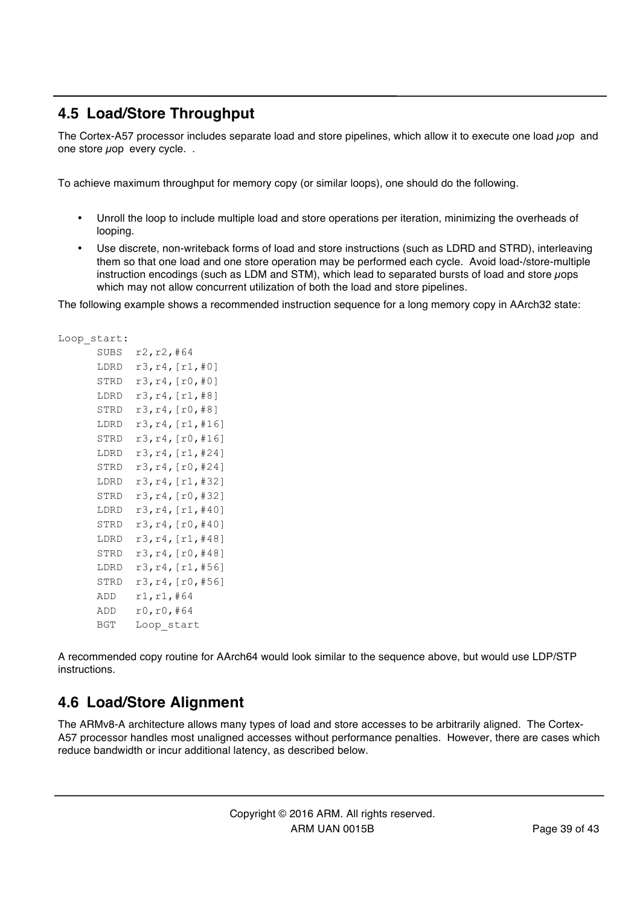### **4.5 Load/Store Throughput**

The Cortex-A57 processor includes separate load and store pipelines, which allow it to execute one load  $\mu$ op and one store uop every cycle...

To achieve maximum throughput for memory copy (or similar loops), one should do the following.

- Unroll the loop to include multiple load and store operations per iteration, minimizing the overheads of looping.
- Use discrete, non-writeback forms of load and store instructions (such as LDRD and STRD), interleaving them so that one load and one store operation may be performed each cycle. Avoid load-/store-multiple instruction encodings (such as LDM and STM), which lead to separated bursts of load and store *u*ops which may not allow concurrent utilization of both the load and store pipelines.

The following example shows a recommended instruction sequence for a long memory copy in AArch32 state:

```
Loop start:
      SIIBS \r2r2r3#64
```

| ບບບບ | ⊥∠,⊥∠, † ∪ <del>;</del> |
|------|-------------------------|
| LDRD | r3,r4,[r1,#0]           |
| STRD | r3,r4,[r0,#0]           |
| LDRD | r3,r4,[r1,#8]           |
| STRD | r3,r4,[r0,#8]           |
| LDRD | r3,r4,[r1,#16]          |
| STRD | r3,r4,[r0,#16]          |
| LDRD | r3,r4,[r1,#24]          |
| STRD | r3,r4,[r0,#24]          |
| LDRD | r3,r4,[r1,#32]          |
| STRD | r3,r4,[r0,#32]          |
| LDRD | r3,r4,[r1,#40]          |
| STRD | r3,r4,[r0,#40]          |
| LDRD | r3,r4,[r1,#48]          |
| STRD | r3,r4,[r0,#48]          |
| LDRD | r3,r4,[r1,#56]          |
| STRD | r3,r4,[r0,#56]          |
| ADD  | r1,r1,#64               |
| ADD  | r0,r0,#64               |
| BGT  | Loop start              |

A recommended copy routine for AArch64 would look similar to the sequence above, but would use LDP/STP instructions.

### **4.6 Load/Store Alignment**

The ARMv8-A architecture allows many types of load and store accesses to be arbitrarily aligned. The Cortex-A57 processor handles most unaligned accesses without performance penalties. However, there are cases which reduce bandwidth or incur additional latency, as described below.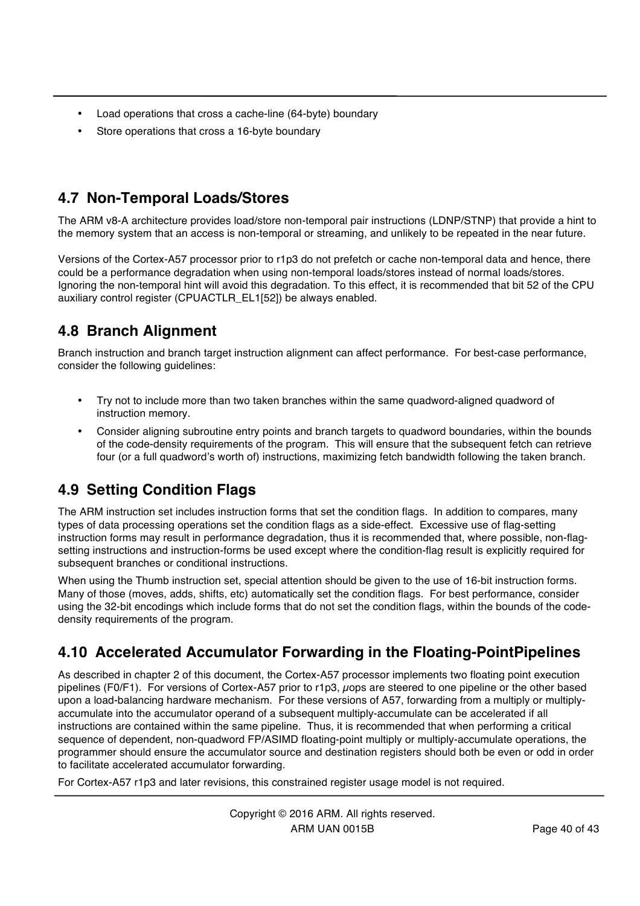- Load operations that cross a cache-line (64-byte) boundary
- Store operations that cross a 16-byte boundary

# **4.7 Non-Temporal Loads/Stores**

The ARM v8-A architecture provides load/store non-temporal pair instructions (LDNP/STNP) that provide a hint to the memory system that an access is non-temporal or streaming, and unlikely to be repeated in the near future.

Versions of the Cortex-A57 processor prior to r1p3 do not prefetch or cache non-temporal data and hence, there could be a performance degradation when using non-temporal loads/stores instead of normal loads/stores. Ignoring the non-temporal hint will avoid this degradation. To this effect, it is recommended that bit 52 of the CPU auxiliary control register (CPUACTLR\_EL1[52]) be always enabled.

# **4.8 Branch Alignment**

Branch instruction and branch target instruction alignment can affect performance. For best-case performance, consider the following guidelines:

- Try not to include more than two taken branches within the same quadword-aligned quadword of instruction memory.
- Consider aligning subroutine entry points and branch targets to quadword boundaries, within the bounds of the code-density requirements of the program. This will ensure that the subsequent fetch can retrieve four (or a full quadword's worth of) instructions, maximizing fetch bandwidth following the taken branch.

# **4.9 Setting Condition Flags**

The ARM instruction set includes instruction forms that set the condition flags. In addition to compares, many types of data processing operations set the condition flags as a side-effect. Excessive use of flag-setting instruction forms may result in performance degradation, thus it is recommended that, where possible, non-flagsetting instructions and instruction-forms be used except where the condition-flag result is explicitly required for subsequent branches or conditional instructions.

When using the Thumb instruction set, special attention should be given to the use of 16-bit instruction forms. Many of those (moves, adds, shifts, etc) automatically set the condition flags. For best performance, consider using the 32-bit encodings which include forms that do not set the condition flags, within the bounds of the codedensity requirements of the program.

# **4.10 Accelerated Accumulator Forwarding in the Floating-PointPipelines**

As described in chapter 2 of this document, the Cortex-A57 processor implements two floating point execution pipelines (F0/F1). For versions of Cortex-A57 prior to r1p3, uops are steered to one pipeline or the other based upon a load-balancing hardware mechanism. For these versions of A57, forwarding from a multiply or multiplyaccumulate into the accumulator operand of a subsequent multiply-accumulate can be accelerated if all instructions are contained within the same pipeline. Thus, it is recommended that when performing a critical sequence of dependent, non-quadword FP/ASIMD floating-point multiply or multiply-accumulate operations, the programmer should ensure the accumulator source and destination registers should both be even or odd in order to facilitate accelerated accumulator forwarding.

For Cortex-A57 r1p3 and later revisions, this constrained register usage model is not required.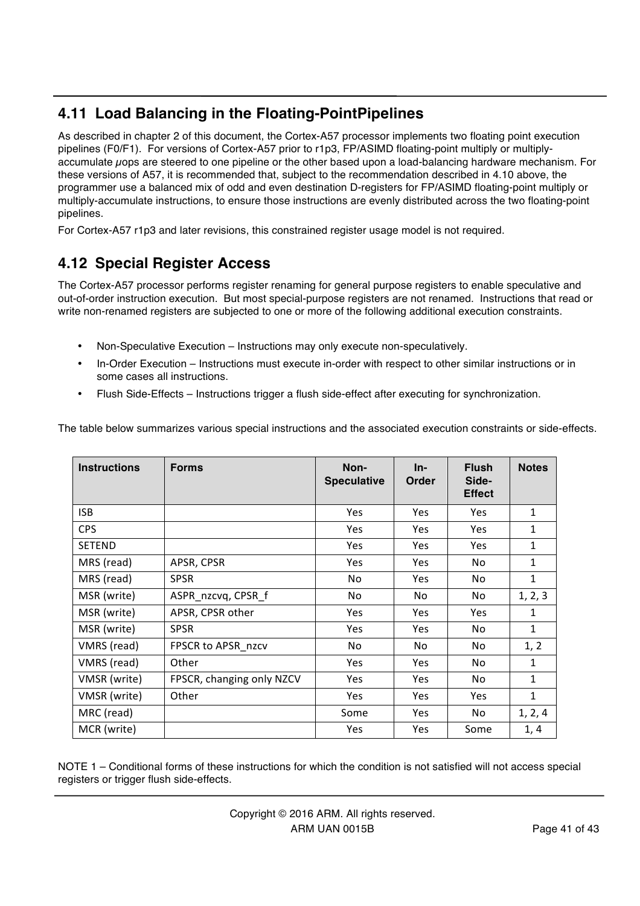# **4.11 Load Balancing in the Floating-PointPipelines**

As described in chapter 2 of this document, the Cortex-A57 processor implements two floating point execution pipelines (F0/F1). For versions of Cortex-A57 prior to r1p3, FP/ASIMD floating-point multiply or multiplyaccumulate µops are steered to one pipeline or the other based upon a load-balancing hardware mechanism. For these versions of A57, it is recommended that, subject to the recommendation described in 4.10 above, the programmer use a balanced mix of odd and even destination D-registers for FP/ASIMD floating-point multiply or multiply-accumulate instructions, to ensure those instructions are evenly distributed across the two floating-point pipelines.

For Cortex-A57 r1p3 and later revisions, this constrained register usage model is not required.

# **4.12 Special Register Access**

The Cortex-A57 processor performs register renaming for general purpose registers to enable speculative and out-of-order instruction execution. But most special-purpose registers are not renamed. Instructions that read or write non-renamed registers are subjected to one or more of the following additional execution constraints.

- Non-Speculative Execution Instructions may only execute non-speculatively.
- In-Order Execution Instructions must execute in-order with respect to other similar instructions or in some cases all instructions.
- Flush Side-Effects Instructions trigger a flush side-effect after executing for synchronization.

The table below summarizes various special instructions and the associated execution constraints or side-effects.

| <b>Instructions</b> | <b>Forms</b>              | Non-<br><b>Speculative</b> | In-<br>Order | <b>Flush</b><br>Side-<br><b>Effect</b> | <b>Notes</b> |
|---------------------|---------------------------|----------------------------|--------------|----------------------------------------|--------------|
| <b>ISB</b>          |                           | Yes                        | Yes          | <b>Yes</b>                             | $\mathbf{1}$ |
| <b>CPS</b>          |                           | <b>Yes</b>                 | Yes          | <b>Yes</b>                             | 1            |
| <b>SETEND</b>       |                           | <b>Yes</b>                 | <b>Yes</b>   | <b>Yes</b>                             | 1            |
| MRS (read)          | APSR, CPSR                | <b>Yes</b>                 | Yes          | No                                     | 1            |
| MRS (read)          | <b>SPSR</b>               | No.                        | <b>Yes</b>   | No                                     | $\mathbf{1}$ |
| MSR (write)         | ASPR nzcvq, CPSR f        | No                         | No           | No                                     | 1, 2, 3      |
| MSR (write)         | APSR, CPSR other          | Yes                        | Yes          | Yes                                    | 1            |
| MSR (write)         | <b>SPSR</b>               | <b>Yes</b>                 | Yes          | No                                     | $\mathbf{1}$ |
| VMRS (read)         | FPSCR to APSR nzcv        | No                         | No           | No                                     | 1, 2         |
| VMRS (read)         | Other                     | <b>Yes</b>                 | <b>Yes</b>   | No                                     | 1            |
| VMSR (write)        | FPSCR, changing only NZCV | <b>Yes</b>                 | Yes          | No                                     | 1            |
| VMSR (write)        | Other                     | Yes                        | Yes          | <b>Yes</b>                             | $\mathbf{1}$ |
| MRC (read)          |                           | Some                       | <b>Yes</b>   | No                                     | 1, 2, 4      |
| MCR (write)         |                           | <b>Yes</b>                 | <b>Yes</b>   | Some                                   | 1, 4         |

NOTE 1 – Conditional forms of these instructions for which the condition is not satisfied will not access special registers or trigger flush side-effects.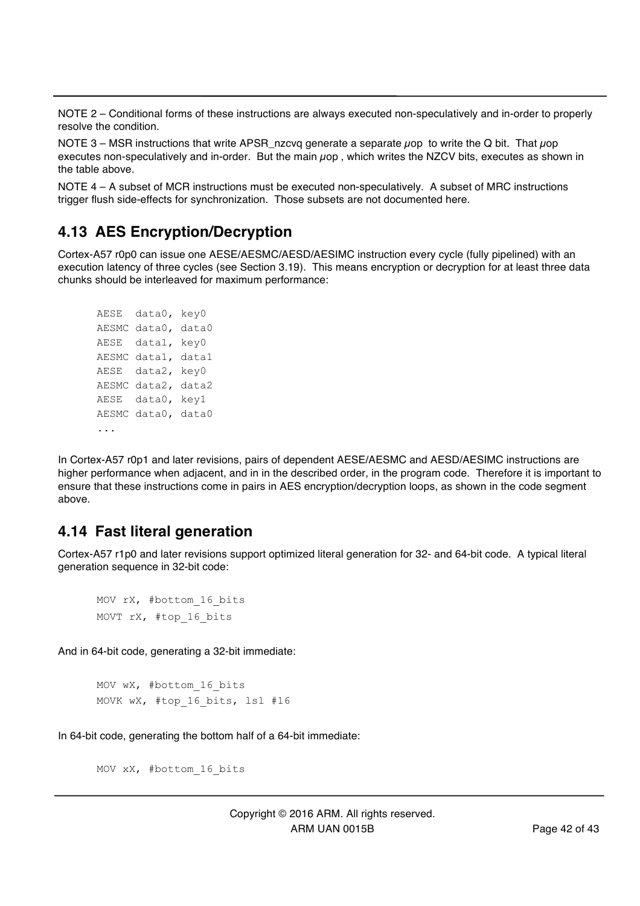NOTE 2 – Conditional forms of these instructions are always executed non-speculatively and in-order to properly resolve the condition.

NOTE 3 – MSR instructions that write APSR nzcvq generate a separate  $\mu$ op to write the Q bit. That  $\mu$ op executes non-speculatively and in-order. But the main  $\mu$ op, which writes the NZCV bits, executes as shown in the table above.

NOTE 4 – A subset of MCR instructions must be executed non-speculatively. A subset of MRC instructions trigger flush side-effects for synchronization. Those subsets are not documented here.

#### **4.13 AES Encryption/Decryption**

Cortex-A57 r0p0 can issue one AESE/AESMC/AESD/AESIMC instruction every cycle (fully pipelined) with an execution latency of three cycles (see Section 3.19). This means encryption or decryption for at least three data chunks should be interleaved for maximum performance:

```
AESE data0, key0
AESMC data0, data0
AESE data1, key0
AESMC data1, data1
AESE data2, key0
AESMC data2, data2
AESE data0, key1
AESMC data0, data0
...
```
In Cortex-A57 r0p1 and later revisions, pairs of dependent AESE/AESMC and AESD/AESIMC instructions are higher performance when adjacent, and in in the described order, in the program code. Therefore it is important to ensure that these instructions come in pairs in AES encryption/decryption loops, as shown in the code segment above.

#### **4.14 Fast literal generation**

Cortex-A57 r1p0 and later revisions support optimized literal generation for 32- and 64-bit code. A typical literal generation sequence in 32-bit code:

```
MOV rX, #bottom_16_bits
MOVT rX, #top_16_bits
```
And in 64-bit code, generating a 32-bit immediate:

```
MOV wX, #bottom_16_bits
MOVK wX, #top 16 bits, lsl #16
```
In 64-bit code, generating the bottom half of a 64-bit immediate:

```
MOV xX, #bottom_16_bits
```